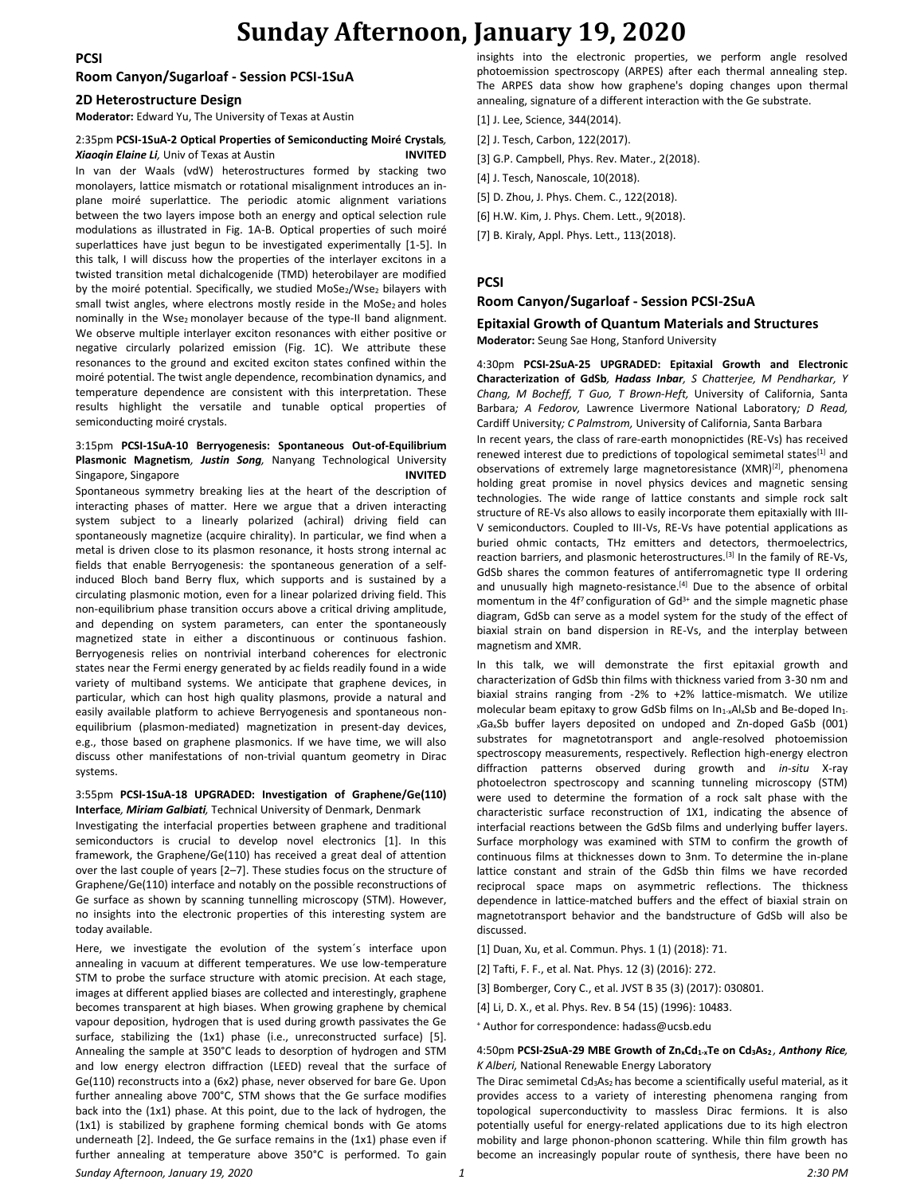#### **PCSI**

### **Sunday Afternoon, January 19, 2020**

#### **Room Canyon/Sugarloaf - Session PCSI-1SuA**

#### **2D Heterostructure Design**

**Moderator:** Edward Yu, The University of Texas at Austin

#### 2:35pm **PCSI-1SuA-2 Optical Properties of Semiconducting Moiré Crystals***, Xiaoqin Elaine Li,* Univ of Texas at Austin **INVITED**

In van der Waals (vdW) heterostructures formed by stacking two monolayers, lattice mismatch or rotational misalignment introduces an inplane moiré superlattice. The periodic atomic alignment variations between the two layers impose both an energy and optical selection rule modulations as illustrated in Fig. 1A-B. Optical properties of such moiré superlattices have just begun to be investigated experimentally [1-5]. In this talk, I will discuss how the properties of the interlayer excitons in a twisted transition metal dichalcogenide (TMD) heterobilayer are modified by the moiré potential. Specifically, we studied MoSe2/Wse2 bilayers with small twist angles, where electrons mostly reside in the MoSe $<sub>2</sub>$  and holes</sub> nominally in the Wse<sub>2</sub> monolayer because of the type-II band alignment. We observe multiple interlayer exciton resonances with either positive or negative circularly polarized emission (Fig. 1C). We attribute these resonances to the ground and excited exciton states confined within the moiré potential. The twist angle dependence, recombination dynamics, and temperature dependence are consistent with this interpretation. These results highlight the versatile and tunable optical properties of semiconducting moiré crystals.

#### 3:15pm **PCSI-1SuA-10 Berryogenesis: Spontaneous Out-of-Equilibrium Plasmonic Magnetism***, Justin Song,* Nanyang Technological University Singapore, Singapore **INVITED**

Spontaneous symmetry breaking lies at the heart of the description of interacting phases of matter. Here we argue that a driven interacting system subject to a linearly polarized (achiral) driving field can spontaneously magnetize (acquire chirality). In particular, we find when a metal is driven close to its plasmon resonance, it hosts strong internal ac fields that enable Berryogenesis: the spontaneous generation of a selfinduced Bloch band Berry flux, which supports and is sustained by a circulating plasmonic motion, even for a linear polarized driving field. This non-equilibrium phase transition occurs above a critical driving amplitude, and depending on system parameters, can enter the spontaneously magnetized state in either a discontinuous or continuous fashion. Berryogenesis relies on nontrivial interband coherences for electronic states near the Fermi energy generated by ac fields readily found in a wide variety of multiband systems. We anticipate that graphene devices, in particular, which can host high quality plasmons, provide a natural and easily available platform to achieve Berryogenesis and spontaneous nonequilibrium (plasmon-mediated) magnetization in present-day devices, e.g., those based on graphene plasmonics. If we have time, we will also discuss other manifestations of non-trivial quantum geometry in Dirac systems.

#### 3:55pm **PCSI-1SuA-18 UPGRADED: Investigation of Graphene/Ge(110) Interface***, Miriam Galbiati,* Technical University of Denmark, Denmark

Investigating the interfacial properties between graphene and traditional semiconductors is crucial to develop novel electronics [1]. In this framework, the Graphene/Ge(110) has received a great deal of attention over the last couple of years [2–7]. These studies focus on the structure of Graphene/Ge(110) interface and notably on the possible reconstructions of Ge surface as shown by scanning tunnelling microscopy (STM). However, no insights into the electronic properties of this interesting system are today available.

Here, we investigate the evolution of the system´s interface upon annealing in vacuum at different temperatures. We use low-temperature STM to probe the surface structure with atomic precision. At each stage, images at different applied biases are collected and interestingly, graphene becomes transparent at high biases. When growing graphene by chemical vapour deposition, hydrogen that is used during growth passivates the Ge surface, stabilizing the (1x1) phase (i.e., unreconstructed surface) [5]. Annealing the sample at 350°C leads to desorption of hydrogen and STM and low energy electron diffraction (LEED) reveal that the surface of Ge(110) reconstructs into a (6x2) phase, never observed for bare Ge. Upon further annealing above 700°C, STM shows that the Ge surface modifies back into the (1x1) phase. At this point, due to the lack of hydrogen, the (1x1) is stabilized by graphene forming chemical bonds with Ge atoms underneath [2]. Indeed, the Ge surface remains in the (1x1) phase even if further annealing at temperature above 350°C is performed. To gain insights into the electronic properties, we perform angle resolved photoemission spectroscopy (ARPES) after each thermal annealing step. The ARPES data show how graphene's doping changes upon thermal annealing, signature of a different interaction with the Ge substrate.

- [1] J. Lee, Science, 344(2014).
- [2] J. Tesch, Carbon, 122(2017).
- [3] G.P. Campbell, Phys. Rev. Mater., 2(2018).
- [4] J. Tesch, Nanoscale, 10(2018).
- [5] D. Zhou, J. Phys. Chem. C., 122(2018).
- [6] H.W. Kim, J. Phys. Chem. Lett., 9(2018).
- [7] B. Kiraly, Appl. Phys. Lett., 113(2018).

#### **PCSI**

#### **Room Canyon/Sugarloaf - Session PCSI-2SuA**

#### **Epitaxial Growth of Quantum Materials and Structures Moderator:** Seung Sae Hong, Stanford University

4:30pm **PCSI-2SuA-25 UPGRADED: Epitaxial Growth and Electronic Characterization of GdSb***, Hadass Inbar, S Chatterjee, M Pendharkar, Y Chang, M Bocheff, T Guo, T Brown-Heft,* University of California, Santa Barbara*; A Fedorov,* Lawrence Livermore National Laboratory*; D Read,*  Cardiff University*; C Palmstrom,* University of California, Santa Barbara In recent years, the class of rare-earth monopnictides (RE-Vs) has received renewed interest due to predictions of topological semimetal states<sup>[1]</sup> and observations of extremely large magnetoresistance (XMR)<sup>[2]</sup>, phenomena holding great promise in novel physics devices and magnetic sensing technologies. The wide range of lattice constants and simple rock salt structure of RE-Vs also allows to easily incorporate them epitaxially with III-V semiconductors. Coupled to III-Vs, RE-Vs have potential applications as buried ohmic contacts, THz emitters and detectors, thermoelectrics, reaction barriers, and plasmonic heterostructures.<sup>[3]</sup> In the family of RE-Vs, GdSb shares the common features of antiferromagnetic type II ordering and unusually high magneto-resistance.<sup>[4]</sup> Due to the absence of orbital momentum in the  $4f<sup>7</sup>$  configuration of  $Gd<sup>3+</sup>$  and the simple magnetic phase diagram, GdSb can serve as a model system for the study of the effect of biaxial strain on band dispersion in RE-Vs, and the interplay between magnetism and XMR.

In this talk, we will demonstrate the first epitaxial growth and characterization of GdSb thin films with thickness varied from 3-30 nm and biaxial strains ranging from -2% to +2% lattice-mismatch. We utilize molecular beam epitaxy to grow GdSb films on  $In_{1-x}Al_xSb$  and Be-doped  $In_{1-x}$ <sup>x</sup>GaxSb buffer layers deposited on undoped and Zn-doped GaSb (001) substrates for magnetotransport and angle-resolved photoemission spectroscopy measurements, respectively. Reflection high-energy electron diffraction patterns observed during growth and *in-situ* X-ray photoelectron spectroscopy and scanning tunneling microscopy (STM) were used to determine the formation of a rock salt phase with the characteristic surface reconstruction of 1X1, indicating the absence of interfacial reactions between the GdSb films and underlying buffer layers. Surface morphology was examined with STM to confirm the growth of continuous films at thicknesses down to 3nm. To determine the in-plane lattice constant and strain of the GdSb thin films we have recorded reciprocal space maps on asymmetric reflections. The thickness dependence in lattice-matched buffers and the effect of biaxial strain on magnetotransport behavior and the bandstructure of GdSb will also be discussed.

- [1] Duan, Xu, et al. Commun. Phys. 1 (1) (2018): 71.
- [2] Tafti, F. F., et al. Nat. Phys. 12 (3) (2016): 272.
- [3] Bomberger, Cory C., et al. JVST B 35 (3) (2017): 030801.
- [4] Li, D. X., et al. Phys. Rev. B 54 (15) (1996): 10483.
- <sup>+</sup> Author for correspondence: hadass@ucsb.edu

#### 4:50pm **PCSI-2SuA-29 MBE Growth of ZnxCd1-xTe on Cd3As2** *, Anthony Rice, K Alberi,* National Renewable Energy Laboratory

The Dirac semimetal Cd<sub>3</sub>As<sub>2</sub> has become a scientifically useful material, as it provides access to a variety of interesting phenomena ranging from topological superconductivity to massless Dirac fermions. It is also potentially useful for energy-related applications due to its high electron mobility and large phonon-phonon scattering. While thin film growth has become an increasingly popular route of synthesis, there have been no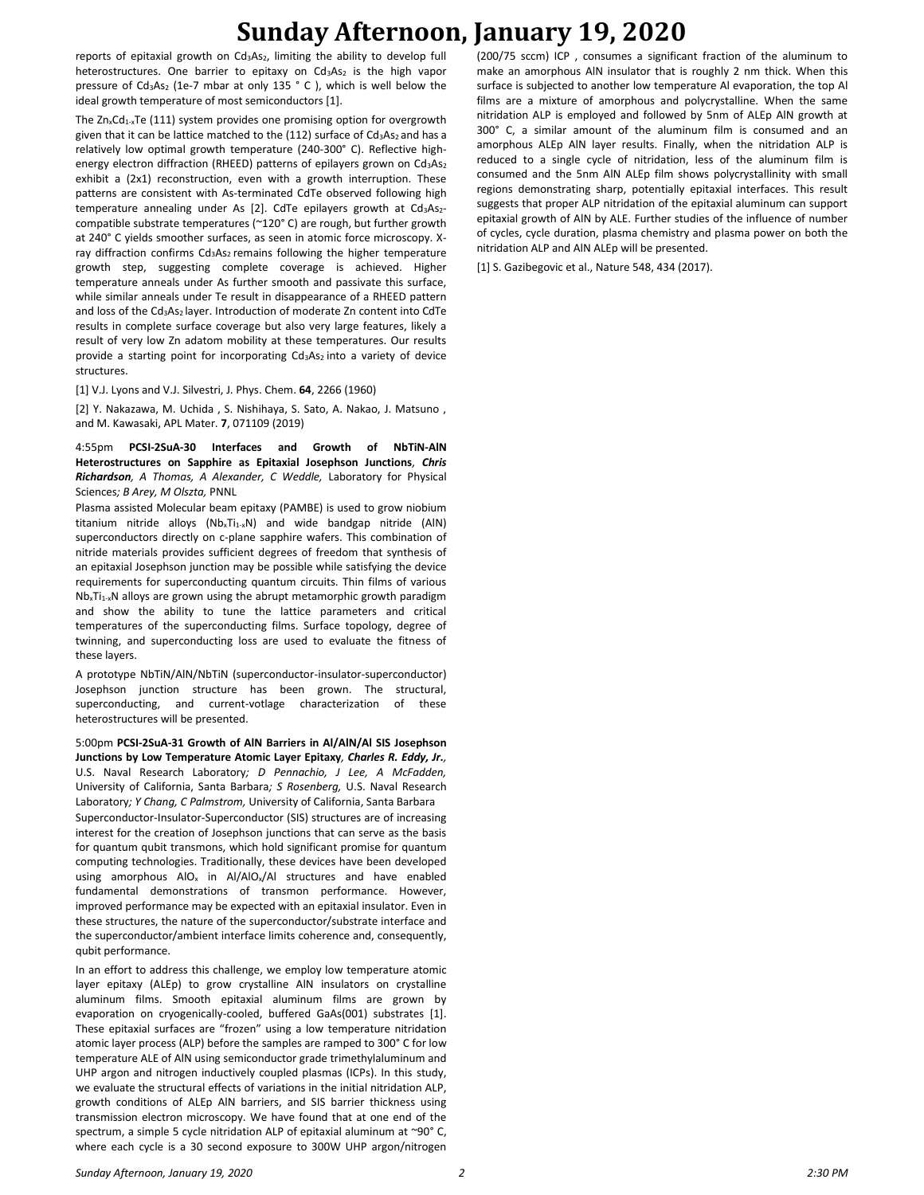# **Sunday Afternoon, January 19, 2020**

reports of epitaxial growth on  $Cd<sub>3</sub>As<sub>2</sub>$ , limiting the ability to develop full heterostructures. One barrier to epitaxy on Cd<sub>3</sub>As<sub>2</sub> is the high vapor pressure of  $Cd<sub>3</sub>As<sub>2</sub>$  (1e-7 mbar at only 135  $^{\circ}$  C ), which is well below the ideal growth temperature of most semiconductors [1].

The  $Zn_xCd_{1-x}Te$  (111) system provides one promising option for overgrowth given that it can be lattice matched to the  $(112)$  surface of Cd<sub>3</sub>As<sub>2</sub> and has a relatively low optimal growth temperature (240-300° C). Reflective highenergy electron diffraction (RHEED) patterns of epilayers grown on Cd<sub>3</sub>As<sub>2</sub> exhibit a (2x1) reconstruction, even with a growth interruption. These patterns are consistent with As-terminated CdTe observed following high temperature annealing under As [2]. CdTe epilayers growth at  $Cd<sub>3</sub>As<sub>2</sub>$ compatible substrate temperatures (~120° C) are rough, but further growth at 240° C yields smoother surfaces, as seen in atomic force microscopy. Xray diffraction confirms  $Cd<sub>3</sub>As<sub>2</sub>$  remains following the higher temperature growth step, suggesting complete coverage is achieved. Higher temperature anneals under As further smooth and passivate this surface, while similar anneals under Te result in disappearance of a RHEED pattern and loss of the  $Cd_3As_2$  layer. Introduction of moderate Zn content into CdTe results in complete surface coverage but also very large features, likely a result of very low Zn adatom mobility at these temperatures. Our results provide a starting point for incorporating Cd<sub>3</sub>As<sub>2</sub> into a variety of device structures.

[1] V.J. Lyons and V.J. Silvestri, J. Phys. Chem. **64**, 2266 (1960)

[2] Y. Nakazawa, M. Uchida , S. Nishihaya, S. Sato, A. Nakao, J. Matsuno , and M. Kawasaki, APL Mater. **7**, 071109 (2019)

4:55pm **PCSI-2SuA-30 Interfaces and Growth of NbTiN-AlN Heterostructures on Sapphire as Epitaxial Josephson Junctions***, Chris Richardson, A Thomas, A Alexander, C Weddle,* Laboratory for Physical Sciences*; B Arey, M Olszta,* PNNL

Plasma assisted Molecular beam epitaxy (PAMBE) is used to grow niobium titanium nitride alloys (Nb<sub>x</sub>Ti<sub>1-x</sub>N) and wide bandgap nitride (AlN) superconductors directly on c-plane sapphire wafers. This combination of nitride materials provides sufficient degrees of freedom that synthesis of an epitaxial Josephson junction may be possible while satisfying the device requirements for superconducting quantum circuits. Thin films of various Nb<sub>x</sub>Ti<sub>1-x</sub>N alloys are grown using the abrupt metamorphic growth paradigm and show the ability to tune the lattice parameters and critical temperatures of the superconducting films. Surface topology, degree of twinning, and superconducting loss are used to evaluate the fitness of these layers.

A prototype NbTiN/AlN/NbTiN (superconductor-insulator-superconductor) Josephson junction structure has been grown. The structural, superconducting, and current-votlage characterization of these heterostructures will be presented.

5:00pm **PCSI-2SuA-31 Growth of AlN Barriers in Al/AlN/Al SIS Josephson Junctions by Low Temperature Atomic Layer Epitaxy***, Charles R. Eddy, Jr.,*  U.S. Naval Research Laboratory*; D Pennachio, J Lee, A McFadden,*  University of California, Santa Barbara*; S Rosenberg,* U.S. Naval Research Laboratory*; Y Chang, C Palmstrom,* University of California, Santa Barbara

Superconductor-Insulator-Superconductor (SIS) structures are of increasing interest for the creation of Josephson junctions that can serve as the basis for quantum qubit transmons, which hold significant promise for quantum computing technologies. Traditionally, these devices have been developed using amorphous  $AIO_x$  in  $A|/AIO_x/A$  structures and have enabled fundamental demonstrations of transmon performance. However, improved performance may be expected with an epitaxial insulator. Even in these structures, the nature of the superconductor/substrate interface and the superconductor/ambient interface limits coherence and, consequently, qubit performance.

In an effort to address this challenge, we employ low temperature atomic layer epitaxy (ALEp) to grow crystalline AlN insulators on crystalline aluminum films. Smooth epitaxial aluminum films are grown by evaporation on cryogenically-cooled, buffered GaAs(001) substrates [1]. These epitaxial surfaces are "frozen" using a low temperature nitridation atomic layer process (ALP) before the samples are ramped to 300° C for low temperature ALE of AlN using semiconductor grade trimethylaluminum and UHP argon and nitrogen inductively coupled plasmas (ICPs). In this study, we evaluate the structural effects of variations in the initial nitridation ALP, growth conditions of ALEp AlN barriers, and SIS barrier thickness using transmission electron microscopy. We have found that at one end of the spectrum, a simple 5 cycle nitridation ALP of epitaxial aluminum at ~90° C, where each cycle is a 30 second exposure to 300W UHP argon/nitrogen

(200/75 sccm) ICP , consumes a significant fraction of the aluminum to make an amorphous AlN insulator that is roughly 2 nm thick. When this surface is subjected to another low temperature Al evaporation, the top Al films are a mixture of amorphous and polycrystalline. When the same nitridation ALP is employed and followed by 5nm of ALEp AlN growth at 300° C, a similar amount of the aluminum film is consumed and an amorphous ALEp AlN layer results. Finally, when the nitridation ALP is reduced to a single cycle of nitridation, less of the aluminum film is consumed and the 5nm AlN ALEp film shows polycrystallinity with small regions demonstrating sharp, potentially epitaxial interfaces. This result suggests that proper ALP nitridation of the epitaxial aluminum can support epitaxial growth of AlN by ALE. Further studies of the influence of number of cycles, cycle duration, plasma chemistry and plasma power on both the nitridation ALP and AlN ALEp will be presented.

[1] S. Gazibegovic et al., Nature 548, 434 (2017).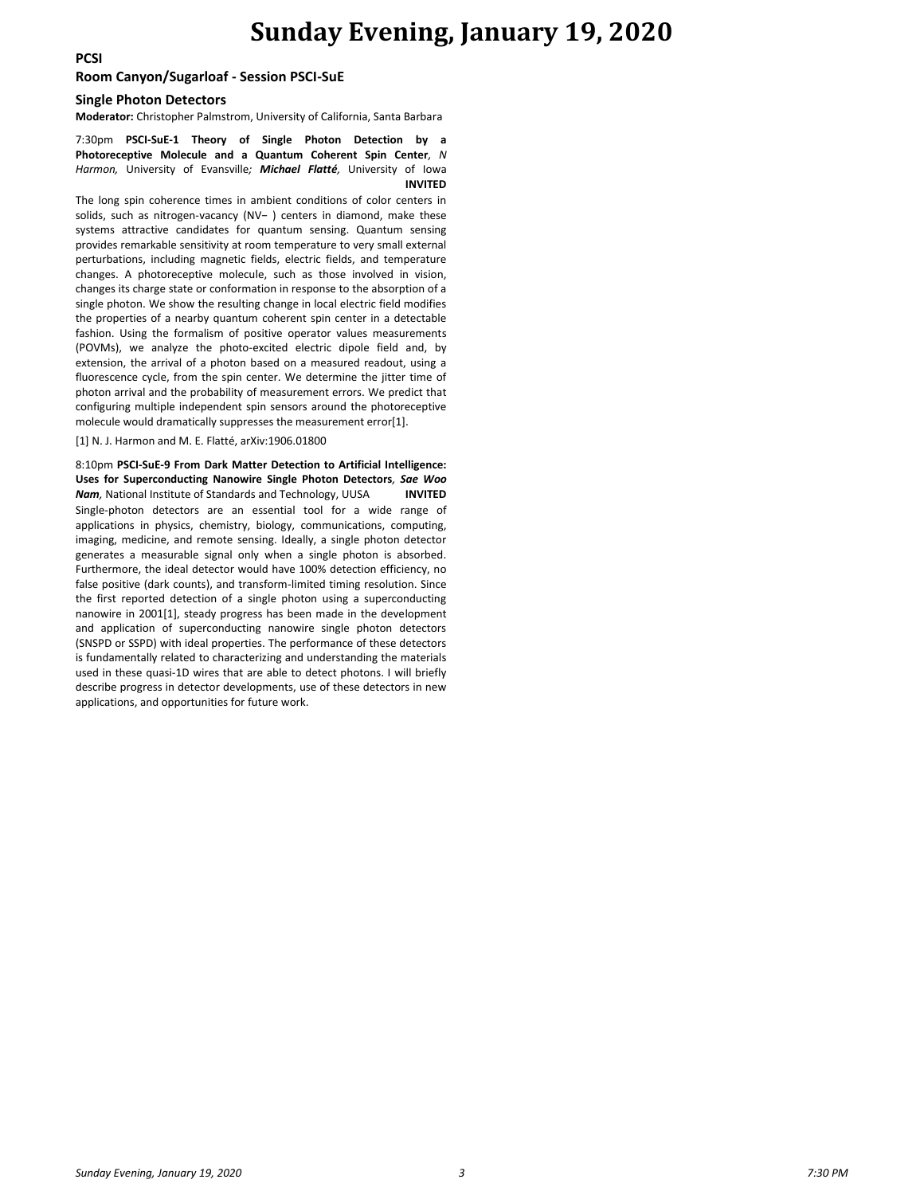### **Sunday Evening, January 19, 2020**

**PCSI**

#### **Room Canyon/Sugarloaf - Session PSCI-SuE**

#### **Single Photon Detectors**

**Moderator:** Christopher Palmstrom, University of California, Santa Barbara

7:30pm **PSCI-SuE-1 Theory of Single Photon Detection by a Photoreceptive Molecule and a Quantum Coherent Spin Center***, N Harmon,* University of Evansville*; Michael Flatté,* University of Iowa **INVITED**

The long spin coherence times in ambient conditions of color centers in solids, such as nitrogen-vacancy (NV− ) centers in diamond, make these systems attractive candidates for quantum sensing. Quantum sensing provides remarkable sensitivity at room temperature to very small external perturbations, including magnetic fields, electric fields, and temperature changes. A photoreceptive molecule, such as those involved in vision, changes its charge state or conformation in response to the absorption of a single photon. We show the resulting change in local electric field modifies the properties of a nearby quantum coherent spin center in a detectable fashion. Using the formalism of positive operator values measurements (POVMs), we analyze the photo-excited electric dipole field and, by extension, the arrival of a photon based on a measured readout, using a fluorescence cycle, from the spin center. We determine the jitter time of photon arrival and the probability of measurement errors. We predict that configuring multiple independent spin sensors around the photoreceptive molecule would dramatically suppresses the measurement error[1].

[1] N. J. Harmon and M. E. Flatté, arXiv:1906.01800

8:10pm **PSCI-SuE-9 From Dark Matter Detection to Artificial Intelligence: Uses for Superconducting Nanowire Single Photon Detectors***, Sae Woo Nam,* National Institute of Standards and Technology, UUSA **INVITED** Single-photon detectors are an essential tool for a wide range of applications in physics, chemistry, biology, communications, computing, imaging, medicine, and remote sensing. Ideally, a single photon detector generates a measurable signal only when a single photon is absorbed. Furthermore, the ideal detector would have 100% detection efficiency, no false positive (dark counts), and transform-limited timing resolution. Since the first reported detection of a single photon using a superconducting nanowire in 2001[1], steady progress has been made in the development and application of superconducting nanowire single photon detectors (SNSPD or SSPD) with ideal properties. The performance of these detectors is fundamentally related to characterizing and understanding the materials used in these quasi-1D wires that are able to detect photons. I will briefly describe progress in detector developments, use of these detectors in new applications, and opportunities for future work.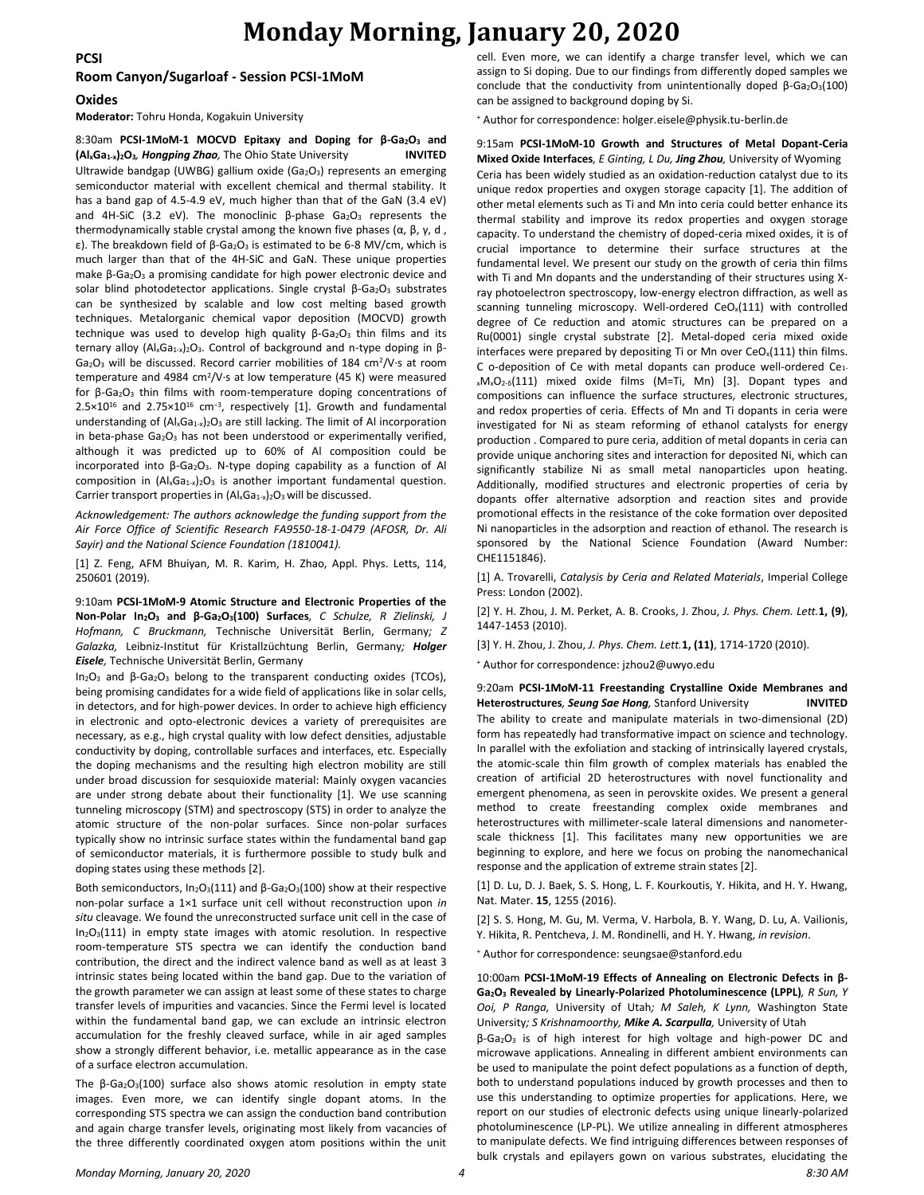#### **PCSI**

# **Monday Morning, January 20, 2020**

### **Room Canyon/Sugarloaf - Session PCSI-1MoM**

#### **Oxides**

**Moderator:** Tohru Honda, Kogakuin University

#### 8:30am **PCSI-1MoM-1 MOCVD Epitaxy and Doping for β-Ga2O<sup>3</sup> and (AlxGa1-x)2O3***, Hongping Zhao,* The Ohio State University **INVITED**

Ultrawide bandgap (UWBG) gallium oxide (Ga<sub>2</sub>O<sub>3</sub>) represents an emerging semiconductor material with excellent chemical and thermal stability. It has a band gap of 4.5-4.9 eV, much higher than that of the GaN (3.4 eV) and 4H-SiC (3.2 eV). The monoclinic  $β$ -phase  $Ga<sub>2</sub>O<sub>3</sub>$  represents the thermodynamically stable crystal among the known five phases (α, β, γ, d , ε). The breakdown field of β-Ga2O<sup>3</sup> is estimated to be 6-8 MV/cm, which is much larger than that of the 4H-SiC and GaN. These unique properties make β-Ga<sub>2</sub>O<sub>3</sub> a promising candidate for high power electronic device and solar blind photodetector applications. Single crystal β-Ga2O3 substrates can be synthesized by scalable and low cost melting based growth techniques. Metalorganic chemical vapor deposition (MOCVD) growth technique was used to develop high quality  $β$ -Ga<sub>2</sub>O<sub>3</sub> thin films and its ternary alloy (Al<sub>x</sub>Ga<sub>1-x</sub>)<sub>2</sub>O<sub>3</sub>. Control of background and n-type doping in β- $Ga<sub>2</sub>O<sub>3</sub>$  will be discussed. Record carrier mobilities of 184 cm<sup>2</sup>/V·s at room temperature and 4984 cm<sup>2</sup>/V·s at low temperature (45 K) were measured for β-Ga<sub>2</sub>O<sub>3</sub> thin films with room-temperature doping concentrations of 2.5×10<sup>16</sup> and 2.75×10<sup>16</sup> cm<sup>-3</sup>, respectively [1]. Growth and fundamental understanding of  $(Al_xGa_{1-x})_2O_3$  are still lacking. The limit of Al incorporation in beta-phase  $Ga<sub>2</sub>O<sub>3</sub>$  has not been understood or experimentally verified, although it was predicted up to 60% of Al composition could be incorporated into β-Ga2O3. N-type doping capability as a function of Al composition in  $(Al_xGa_{1-x})_2O_3$  is another important fundamental question. Carrier transport properties in  $(Al_xGa_{1-x})_2O_3$  will be discussed.

*Acknowledgement: The authors acknowledge the funding support from the Air Force Office of Scientific Research FA9550-18-1-0479 (AFOSR, Dr. Ali Sayir) and the National Science Foundation (1810041).*

[1] Z. Feng, AFM Bhuiyan, M. R. Karim, H. Zhao, Appl. Phys. Letts, 114, 250601 (2019).

9:10am **PCSI-1MoM-9 Atomic Structure and Electronic Properties of the Non-Polar In2O<sup>3</sup> and β-Ga2O3(100) Surfaces***, C Schulze, R Zielinski, J Hofmann, C Bruckmann,* Technische Universität Berlin, Germany*; Z Galazka,* Leibniz-Institut für Kristallzüchtung Berlin, Germany*; Holger Eisele,* Technische Universität Berlin, Germany

In2O<sup>3</sup> and β-Ga2O<sup>3</sup> belong to the transparent conducting oxides (TCOs), being promising candidates for a wide field of applications like in solar cells, in detectors, and for high-power devices. In order to achieve high efficiency in electronic and opto-electronic devices a variety of prerequisites are necessary, as e.g., high crystal quality with low defect densities, adjustable conductivity by doping, controllable surfaces and interfaces, etc. Especially the doping mechanisms and the resulting high electron mobility are still under broad discussion for sesquioxide material: Mainly oxygen vacancies are under strong debate about their functionality [1]. We use scanning tunneling microscopy (STM) and spectroscopy (STS) in order to analyze the atomic structure of the non-polar surfaces. Since non-polar surfaces typically show no intrinsic surface states within the fundamental band gap of semiconductor materials, it is furthermore possible to study bulk and doping states using these methods [2].

Both semiconductors,  $In_2O_3(111)$  and  $β-Ga_2O_3(100)$  show at their respective non-polar surface a 1×1 surface unit cell without reconstruction upon *in situ* cleavage. We found the unreconstructed surface unit cell in the case of  $In_2O<sub>3</sub>(111)$  in empty state images with atomic resolution. In respective room-temperature STS spectra we can identify the conduction band contribution, the direct and the indirect valence band as well as at least 3 intrinsic states being located within the band gap. Due to the variation of the growth parameter we can assign at least some of these states to charge transfer levels of impurities and vacancies. Since the Fermi level is located within the fundamental band gap, we can exclude an intrinsic electron accumulation for the freshly cleaved surface, while in air aged samples show a strongly different behavior, i.e. metallic appearance as in the case of a surface electron accumulation.

The  $\beta$ -Ga<sub>2</sub>O<sub>3</sub>(100) surface also shows atomic resolution in empty state images. Even more, we can identify single dopant atoms. In the corresponding STS spectra we can assign the conduction band contribution and again charge transfer levels, originating most likely from vacancies of the three differently coordinated oxygen atom positions within the unit cell. Even more, we can identify a charge transfer level, which we can assign to Si doping. Due to our findings from differently doped samples we conclude that the conductivity from unintentionally doped  $β$ -Ga<sub>2</sub>O<sub>3</sub>(100) can be assigned to background doping by Si.

<sup>+</sup> Author for correspondence: holger.eisele@physik.tu-berlin.de

9:15am **PCSI-1MoM-10 Growth and Structures of Metal Dopant-Ceria Mixed Oxide Interfaces***, E Ginting, L Du, Jing Zhou,* University of Wyoming Ceria has been widely studied as an oxidation-reduction catalyst due to its unique redox properties and oxygen storage capacity [1]. The addition of other metal elements such as Ti and Mn into ceria could better enhance its thermal stability and improve its redox properties and oxygen storage capacity. To understand the chemistry of doped-ceria mixed oxides, it is of crucial importance to determine their surface structures at the fundamental level. We present our study on the growth of ceria thin films with Ti and Mn dopants and the understanding of their structures using Xray photoelectron spectroscopy, low-energy electron diffraction, as well as scanning tunneling microscopy. Well-ordered  $CeO<sub>x</sub>(111)$  with controlled degree of Ce reduction and atomic structures can be prepared on a Ru(0001) single crystal substrate [2]. Metal-doped ceria mixed oxide interfaces were prepared by depositing Ti or Mn over  $CeO<sub>x</sub>(111)$  thin films. C o-deposition of Ce with metal dopants can produce well-ordered Ce1 <sup>x</sup>MxO2-δ(111) mixed oxide films (M=Ti, Mn) [3]. Dopant types and compositions can influence the surface structures, electronic structures, and redox properties of ceria. Effects of Mn and Ti dopants in ceria were investigated for Ni as steam reforming of ethanol catalysts for energy production . Compared to pure ceria, addition of metal dopants in ceria can provide unique anchoring sites and interaction for deposited Ni, which can significantly stabilize Ni as small metal nanoparticles upon heating. Additionally, modified structures and electronic properties of ceria by dopants offer alternative adsorption and reaction sites and provide promotional effects in the resistance of the coke formation over deposited Ni nanoparticles in the adsorption and reaction of ethanol. The research is sponsored by the National Science Foundation (Award Number: CHE1151846).

[1] A. Trovarelli, *Catalysis by Ceria and Related Materials*, Imperial College Press: London (2002).

[2] Y. H. Zhou, J. M. Perket, A. B. Crooks, J. Zhou, *J. Phys. Chem. Lett.***1, (9)**, 1447-1453 (2010).

[3] Y. H. Zhou, J. Zhou, *J. Phys. Chem. Lett.***1, (11)**, 1714-1720 (2010).

<sup>+</sup> Author for correspondence: jzhou2@uwyo.edu

9:20am **PCSI-1MoM-11 Freestanding Crystalline Oxide Membranes and Heterostructures***, Seung Sae Hong,* Stanford University **INVITED** The ability to create and manipulate materials in two-dimensional (2D) form has repeatedly had transformative impact on science and technology. In parallel with the exfoliation and stacking of intrinsically layered crystals, the atomic-scale thin film growth of complex materials has enabled the creation of artificial 2D heterostructures with novel functionality and emergent phenomena, as seen in perovskite oxides. We present a general method to create freestanding complex oxide membranes and heterostructures with millimeter-scale lateral dimensions and nanometerscale thickness [1]. This facilitates many new opportunities we are beginning to explore, and here we focus on probing the nanomechanical response and the application of extreme strain states [2].

[1] D. Lu, D. J. Baek, S. S. Hong, L. F. Kourkoutis, Y. Hikita, and H. Y. Hwang, Nat. Mater. **15**, 1255 (2016).

[2] S. S. Hong, M. Gu, M. Verma, V. Harbola, B. Y. Wang, D. Lu, A. Vailionis, Y. Hikita, R. Pentcheva, J. M. Rondinelli, and H. Y. Hwang, *in revision*.

<sup>+</sup> Author for correspondence: seungsae@stanford.edu

10:00am **PCSI-1MoM-19 Effects of Annealing on Electronic Defects in β-Ga2O<sup>3</sup> Revealed by Linearly-Polarized Photoluminescence (LPPL)***, R Sun, Y Ooi, P Ranga,* University of Utah*; M Saleh, K Lynn,* Washington State University*; S Krishnamoorthy, Mike A. Scarpulla,* University of Utah

β-Ga2O<sup>3</sup> is of high interest for high voltage and high-power DC and microwave applications. Annealing in different ambient environments can be used to manipulate the point defect populations as a function of depth, both to understand populations induced by growth processes and then to use this understanding to optimize properties for applications. Here, we report on our studies of electronic defects using unique linearly-polarized photoluminescence (LP-PL). We utilize annealing in different atmospheres to manipulate defects. We find intriguing differences between responses of bulk crystals and epilayers gown on various substrates, elucidating the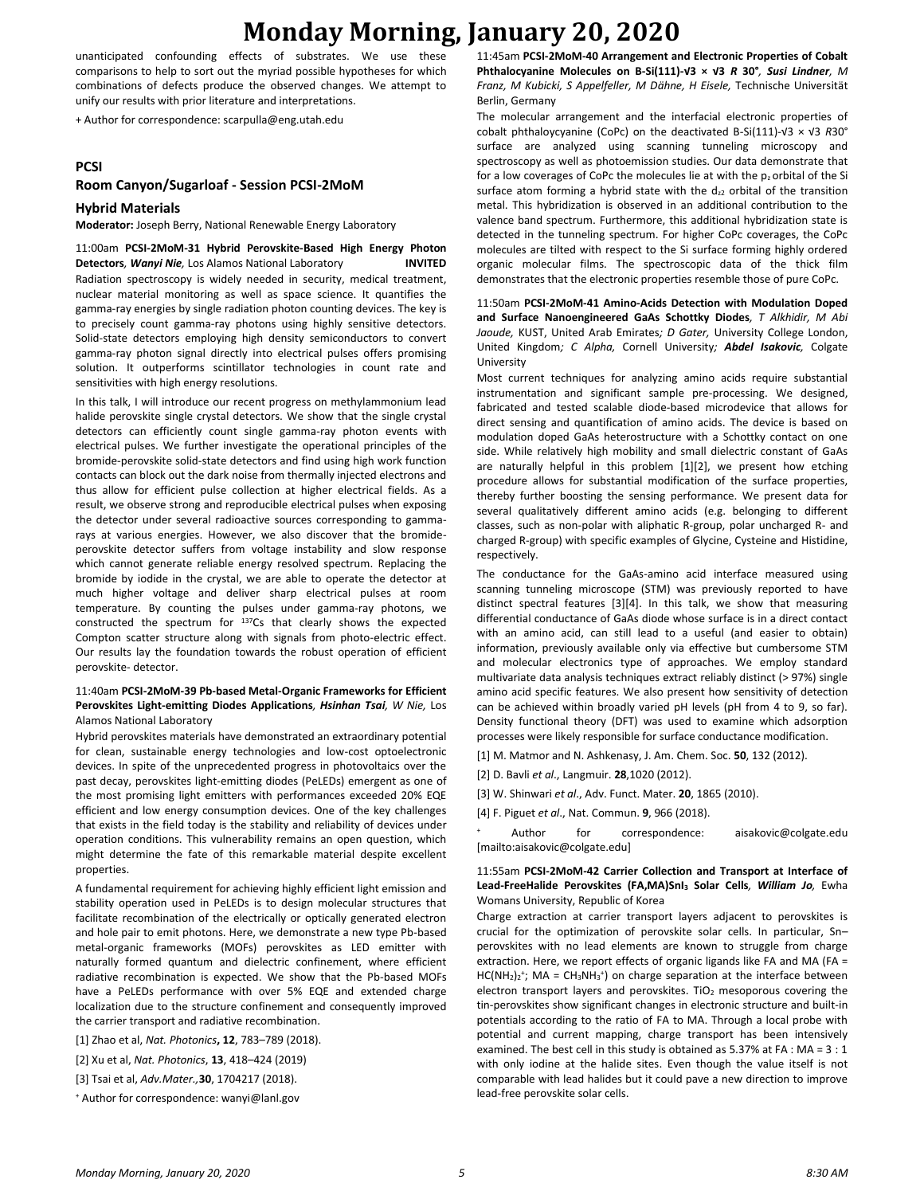## **Monday Morning, January 20, 2020**

unanticipated confounding effects of substrates. We use these comparisons to help to sort out the myriad possible hypotheses for which combinations of defects produce the observed changes. We attempt to unify our results with prior literature and interpretations.

+ Author for correspondence: scarpulla@eng.utah.edu

#### **PCSI**

#### **Room Canyon/Sugarloaf - Session PCSI-2MoM**

#### **Hybrid Materials**

**Moderator:** Joseph Berry, National Renewable Energy Laboratory

11:00am **PCSI-2MoM-31 Hybrid Perovskite-Based High Energy Photon Detectors***, Wanyi Nie,* Los Alamos National Laboratory **INVITED** Radiation spectroscopy is widely needed in security, medical treatment, nuclear material monitoring as well as space science. It quantifies the gamma-ray energies by single radiation photon counting devices. The key is to precisely count gamma-ray photons using highly sensitive detectors. Solid-state detectors employing high density semiconductors to convert gamma-ray photon signal directly into electrical pulses offers promising solution. It outperforms scintillator technologies in count rate and sensitivities with high energy resolutions.

In this talk, I will introduce our recent progress on methylammonium lead halide perovskite single crystal detectors. We show that the single crystal detectors can efficiently count single gamma-ray photon events with electrical pulses. We further investigate the operational principles of the bromide-perovskite solid-state detectors and find using high work function contacts can block out the dark noise from thermally injected electrons and thus allow for efficient pulse collection at higher electrical fields. As a result, we observe strong and reproducible electrical pulses when exposing the detector under several radioactive sources corresponding to gammarays at various energies. However, we also discover that the bromideperovskite detector suffers from voltage instability and slow response which cannot generate reliable energy resolved spectrum. Replacing the bromide by iodide in the crystal, we are able to operate the detector at much higher voltage and deliver sharp electrical pulses at room temperature. By counting the pulses under gamma-ray photons, we constructed the spectrum for <sup>137</sup>Cs that clearly shows the expected Compton scatter structure along with signals from photo-electric effect. Our results lay the foundation towards the robust operation of efficient perovskite- detector.

#### 11:40am **PCSI-2MoM-39 Pb-based Metal-Organic Frameworks for Efficient Perovskites Light-emitting Diodes Applications***, Hsinhan Tsai, W Nie,* Los Alamos National Laboratory

Hybrid perovskites materials have demonstrated an extraordinary potential for clean, sustainable energy technologies and low-cost optoelectronic devices. In spite of the unprecedented progress in photovoltaics over the past decay, perovskites light-emitting diodes (PeLEDs) emergent as one of the most promising light emitters with performances exceeded 20% EQE efficient and low energy consumption devices. One of the key challenges that exists in the field today is the stability and reliability of devices under operation conditions. This vulnerability remains an open question, which might determine the fate of this remarkable material despite excellent properties.

A fundamental requirement for achieving highly efficient light emission and stability operation used in PeLEDs is to design molecular structures that facilitate recombination of the electrically or optically generated electron and hole pair to emit photons. Here, we demonstrate a new type Pb-based metal-organic frameworks (MOFs) perovskites as LED emitter with naturally formed quantum and dielectric confinement, where efficient radiative recombination is expected. We show that the Pb-based MOFs have a PeLEDs performance with over 5% EQE and extended charge localization due to the structure confinement and consequently improved the carrier transport and radiative recombination.

[1] Zhao et al, *Nat. Photonics***, 12**, 783–789 (2018).

[2] Xu et al, *Nat. Photonics*, **13**, 418–424 (2019)

[3] Tsai et al, *Adv.Mater.,***30**, 1704217 (2018).

<sup>+</sup> Author for correspondence: wanyi@lanl.gov

11:45am **PCSI-2MoM-40 Arrangement and Electronic Properties of Cobalt Phthalocyanine Molecules on B-Si(111)-√3 × √3** *R* **30°***, Susi Lindner, M Franz, M Kubicki, S Appelfeller, M Dähne, H Eisele,* Technische Universität Berlin, Germany

The molecular arrangement and the interfacial electronic properties of cobalt phthaloycyanine (CoPc) on the deactivated B-Si(111)-√3 × √3 *R*30° surface are analyzed using scanning tunneling microscopy and spectroscopy as well as photoemission studies. Our data demonstrate that for a low coverages of CoPc the molecules lie at with the  $p_2$  orbital of the Si surface atom forming a hybrid state with the  $d_{z2}$  orbital of the transition metal. This hybridization is observed in an additional contribution to the valence band spectrum. Furthermore, this additional hybridization state is detected in the tunneling spectrum. For higher CoPc coverages, the CoPc molecules are tilted with respect to the Si surface forming highly ordered organic molecular films. The spectroscopic data of the thick film demonstrates that the electronic properties resemble those of pure CoPc.

11:50am **PCSI-2MoM-41 Amino-Acids Detection with Modulation Doped and Surface Nanoengineered GaAs Schottky Diodes***, T Alkhidir, M Abi Jaoude,* KUST, United Arab Emirates*; D Gater,* University College London, United Kingdom*; C Alpha,* Cornell University*; Abdel Isakovic,* Colgate University

Most current techniques for analyzing amino acids require substantial instrumentation and significant sample pre-processing. We designed, fabricated and tested scalable diode-based microdevice that allows for direct sensing and quantification of amino acids. The device is based on modulation doped GaAs heterostructure with a Schottky contact on one side. While relatively high mobility and small dielectric constant of GaAs are naturally helpful in this problem [1][2], we present how etching procedure allows for substantial modification of the surface properties, thereby further boosting the sensing performance. We present data for several qualitatively different amino acids (e.g. belonging to different classes, such as non-polar with aliphatic R-group, polar uncharged R- and charged R-group) with specific examples of Glycine, Cysteine and Histidine, respectively.

The conductance for the GaAs-amino acid interface measured using scanning tunneling microscope (STM) was previously reported to have distinct spectral features [3][4]. In this talk, we show that measuring differential conductance of GaAs diode whose surface is in a direct contact with an amino acid, can still lead to a useful (and easier to obtain) information, previously available only via effective but cumbersome STM and molecular electronics type of approaches. We employ standard multivariate data analysis techniques extract reliably distinct (> 97%) single amino acid specific features. We also present how sensitivity of detection can be achieved within broadly varied pH levels (pH from 4 to 9, so far). Density functional theory (DFT) was used to examine which adsorption processes were likely responsible for surface conductance modification.

[1] M. Matmor and N. Ashkenasy, J. Am. Chem. Soc. **50**, 132 (2012).

[2] D. Bavli *et al*., Langmuir. **28**,1020 (2012).

[3] W. Shinwari *et al*., Adv. Funct. Mater. **20**, 1865 (2010).

[4] F. Piguet *et al*., Nat. Commun. **9**, 966 (2018).

Author for correspondence: aisakovic@colgate.edu [mailto:aisakovic@colgate.edu]

#### 11:55am **PCSI-2MoM-42 Carrier Collection and Transport at Interface of Lead-FreeHalide Perovskites (FA,MA)SnI<sup>3</sup> Solar Cells***, William Jo,* Ewha Womans University, Republic of Korea

Charge extraction at carrier transport layers adjacent to perovskites is crucial for the optimization of perovskite solar cells. In particular, Sn– perovskites with no lead elements are known to struggle from charge extraction. Here, we report effects of organic ligands like FA and MA (FA =  $HC(NH<sub>2</sub>)<sub>2</sub>$ <sup>+</sup>; MA = CH<sub>3</sub>NH<sub>3</sub><sup>+</sup>) on charge separation at the interface between electron transport layers and perovskites. TiO<sub>2</sub> mesoporous covering the tin-perovskites show significant changes in electronic structure and built-in potentials according to the ratio of FA to MA. Through a local probe with potential and current mapping, charge transport has been intensively examined. The best cell in this study is obtained as 5.37% at FA : MA = 3 : 1 with only iodine at the halide sites. Even though the value itself is not comparable with lead halides but it could pave a new direction to improve lead-free perovskite solar cells.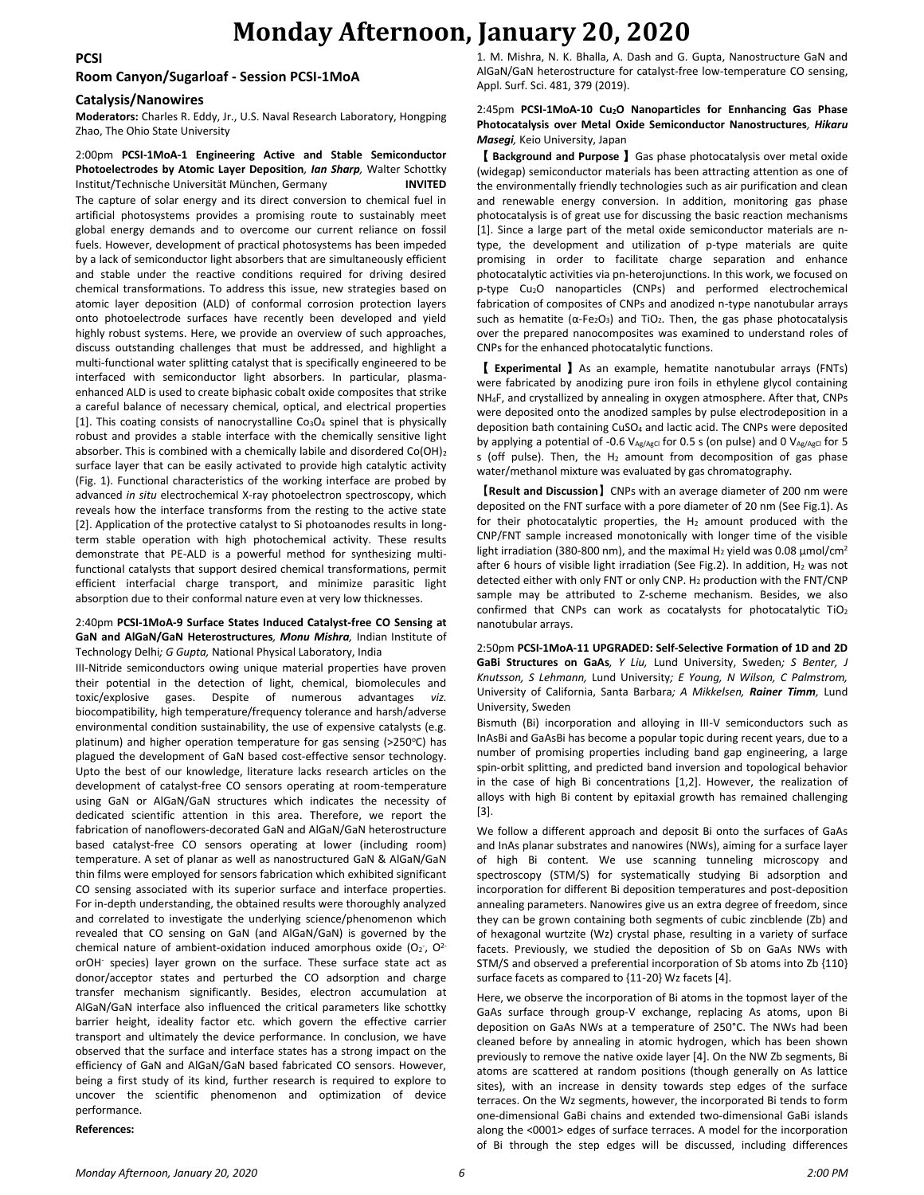### **Monday Afternoon, January 20, 2020**

#### **PCSI**

#### **Room Canyon/Sugarloaf - Session PCSI-1MoA**

#### **Catalysis/Nanowires**

**Moderators:** Charles R. Eddy, Jr., U.S. Naval Research Laboratory, Hongping Zhao, The Ohio State University

#### 2:00pm **PCSI-1MoA-1 Engineering Active and Stable Semiconductor Photoelectrodes by Atomic Layer Deposition***, Ian Sharp,* Walter Schottky Institut/Technische Universität München, Germany **INVITED**

The capture of solar energy and its direct conversion to chemical fuel in artificial photosystems provides a promising route to sustainably meet global energy demands and to overcome our current reliance on fossil fuels. However, development of practical photosystems has been impeded by a lack of semiconductor light absorbers that are simultaneously efficient and stable under the reactive conditions required for driving desired chemical transformations. To address this issue, new strategies based on atomic layer deposition (ALD) of conformal corrosion protection layers onto photoelectrode surfaces have recently been developed and yield highly robust systems. Here, we provide an overview of such approaches, discuss outstanding challenges that must be addressed, and highlight a multi-functional water splitting catalyst that is specifically engineered to be interfaced with semiconductor light absorbers. In particular, plasmaenhanced ALD is used to create biphasic cobalt oxide composites that strike a careful balance of necessary chemical, optical, and electrical properties [1]. This coating consists of nanocrystalline  $Co<sub>3</sub>O<sub>4</sub>$  spinel that is physically robust and provides a stable interface with the chemically sensitive light absorber. This is combined with a chemically labile and disordered Co(OH)<sup>2</sup> surface layer that can be easily activated to provide high catalytic activity (Fig. 1). Functional characteristics of the working interface are probed by advanced *in situ* electrochemical X-ray photoelectron spectroscopy, which reveals how the interface transforms from the resting to the active state [2]. Application of the protective catalyst to Si photoanodes results in longterm stable operation with high photochemical activity. These results demonstrate that PE-ALD is a powerful method for synthesizing multifunctional catalysts that support desired chemical transformations, permit efficient interfacial charge transport, and minimize parasitic light absorption due to their conformal nature even at very low thicknesses.

#### 2:40pm **PCSI-1MoA-9 Surface States Induced Catalyst-free CO Sensing at GaN and AlGaN/GaN Heterostructures***, Monu Mishra,* Indian Institute of Technology Delhi*; G Gupta,* National Physical Laboratory, India

III-Nitride semiconductors owing unique material properties have proven their potential in the detection of light, chemical, biomolecules and toxic/explosive gases. Despite of numerous advantages *viz.* biocompatibility, high temperature/frequency tolerance and harsh/adverse environmental condition sustainability, the use of expensive catalysts (e.g. platinum) and higher operation temperature for gas sensing ( $>$ 250 $\degree$ C) has plagued the development of GaN based cost-effective sensor technology. Upto the best of our knowledge, literature lacks research articles on the development of catalyst-free CO sensors operating at room-temperature using GaN or AlGaN/GaN structures which indicates the necessity of dedicated scientific attention in this area. Therefore, we report the fabrication of nanoflowers-decorated GaN and AlGaN/GaN heterostructure based catalyst-free CO sensors operating at lower (including room) temperature. A set of planar as well as nanostructured GaN & AlGaN/GaN thin films were employed for sensors fabrication which exhibited significant CO sensing associated with its superior surface and interface properties. For in-depth understanding, the obtained results were thoroughly analyzed and correlated to investigate the underlying science/phenomenon which revealed that CO sensing on GaN (and AlGaN/GaN) is governed by the chemical nature of ambient-oxidation induced amorphous oxide ( $O_2$ ,  $O^{2-}$ orOH<sup>-</sup> species) layer grown on the surface. These surface state act as donor/acceptor states and perturbed the CO adsorption and charge transfer mechanism significantly. Besides, electron accumulation at AlGaN/GaN interface also influenced the critical parameters like schottky barrier height, ideality factor etc. which govern the effective carrier transport and ultimately the device performance. In conclusion, we have observed that the surface and interface states has a strong impact on the efficiency of GaN and AlGaN/GaN based fabricated CO sensors. However, being a first study of its kind, further research is required to explore to uncover the scientific phenomenon and optimization of device performance.

#### **References:**

1. M. Mishra, N. K. Bhalla, A. Dash and G. Gupta, Nanostructure GaN and AlGaN/GaN heterostructure for catalyst-free low-temperature CO sensing, Appl. Surf. Sci. 481, 379 (2019).

#### 2:45pm **PCSI-1MoA-10 Cu2O Nanoparticles for Ennhancing Gas Phase Photocatalysis over Metal Oxide Semiconductor Nanostructures***, Hikaru Masegi,* Keio University, Japan

【 **Background and Purpose** 】Gas phase photocatalysis over metal oxide (widegap) semiconductor materials has been attracting attention as one of the environmentally friendly technologies such as air purification and clean and renewable energy conversion. In addition, monitoring gas phase photocatalysis is of great use for discussing the basic reaction mechanisms [1]. Since a large part of the metal oxide semiconductor materials are ntype, the development and utilization of p-type materials are quite promising in order to facilitate charge separation and enhance photocatalytic activities via pn-heterojunctions. In this work, we focused on p-type Cu2O nanoparticles (CNPs) and performed electrochemical fabrication of composites of CNPs and anodized n-type nanotubular arrays such as hematite ( $\alpha$ -Fe<sub>2</sub>O<sub>3</sub>) and TiO<sub>2</sub>. Then, the gas phase photocatalysis over the prepared nanocomposites was examined to understand roles of CNPs for the enhanced photocatalytic functions.

【 **Experimental** 】As an example, hematite nanotubular arrays (FNTs) were fabricated by anodizing pure iron foils in ethylene glycol containing NH4F, and crystallized by annealing in oxygen atmosphere. After that, CNPs were deposited onto the anodized samples by pulse electrodeposition in a deposition bath containing CuSO<sup>4</sup> and lactic acid. The CNPs were deposited by applying a potential of -0.6  $V_{Ag/AgCl}$  for 0.5 s (on pulse) and 0  $V_{Ag/AgCl}$  for 5 s (off pulse). Then, the  $H_2$  amount from decomposition of gas phase water/methanol mixture was evaluated by gas chromatography.

【**Result and Discussion**】CNPs with an average diameter of 200 nm were deposited on the FNT surface with a pore diameter of 20 nm (See Fig.1). As for their photocatalytic properties, the  $H_2$  amount produced with the CNP/FNT sample increased monotonically with longer time of the visible light irradiation (380-800 nm), and the maximal H<sub>2</sub> yield was 0.08  $\mu$ mol/cm<sup>2</sup> after 6 hours of visible light irradiation (See Fig.2). In addition,  $H_2$  was not detected either with only FNT or only CNP. H<sub>2</sub> production with the FNT/CNP sample may be attributed to Z-scheme mechanism. Besides, we also confirmed that CNPs can work as cocatalysts for photocatalytic  $TiO<sub>2</sub>$ nanotubular arrays.

2:50pm **PCSI-1MoA-11 UPGRADED: Self-Selective Formation of 1D and 2D GaBi Structures on GaAs***, Y Liu,* Lund University, Sweden*; S Benter, J Knutsson, S Lehmann,* Lund University*; E Young, N Wilson, C Palmstrom,*  University of California, Santa Barbara*; A Mikkelsen, Rainer Timm,* Lund University, Sweden

Bismuth (Bi) incorporation and alloying in III-V semiconductors such as InAsBi and GaAsBi has become a popular topic during recent years, due to a number of promising properties including band gap engineering, a large spin-orbit splitting, and predicted band inversion and topological behavior in the case of high Bi concentrations [1,2]. However, the realization of alloys with high Bi content by epitaxial growth has remained challenging [3].

We follow a different approach and deposit Bi onto the surfaces of GaAs and InAs planar substrates and nanowires (NWs), aiming for a surface layer of high Bi content. We use scanning tunneling microscopy and spectroscopy (STM/S) for systematically studying Bi adsorption and incorporation for different Bi deposition temperatures and post-deposition annealing parameters. Nanowires give us an extra degree of freedom, since they can be grown containing both segments of cubic zincblende (Zb) and of hexagonal wurtzite (Wz) crystal phase, resulting in a variety of surface facets. Previously, we studied the deposition of Sb on GaAs NWs with STM/S and observed a preferential incorporation of Sb atoms into Zb {110} surface facets as compared to {11-20} Wz facets [4].

Here, we observe the incorporation of Bi atoms in the topmost layer of the GaAs surface through group-V exchange, replacing As atoms, upon Bi deposition on GaAs NWs at a temperature of 250°C. The NWs had been cleaned before by annealing in atomic hydrogen, which has been shown previously to remove the native oxide layer [4]. On the NW Zb segments, Bi atoms are scattered at random positions (though generally on As lattice sites), with an increase in density towards step edges of the surface terraces. On the Wz segments, however, the incorporated Bi tends to form one-dimensional GaBi chains and extended two-dimensional GaBi islands along the <0001> edges of surface terraces. A model for the incorporation of Bi through the step edges will be discussed, including differences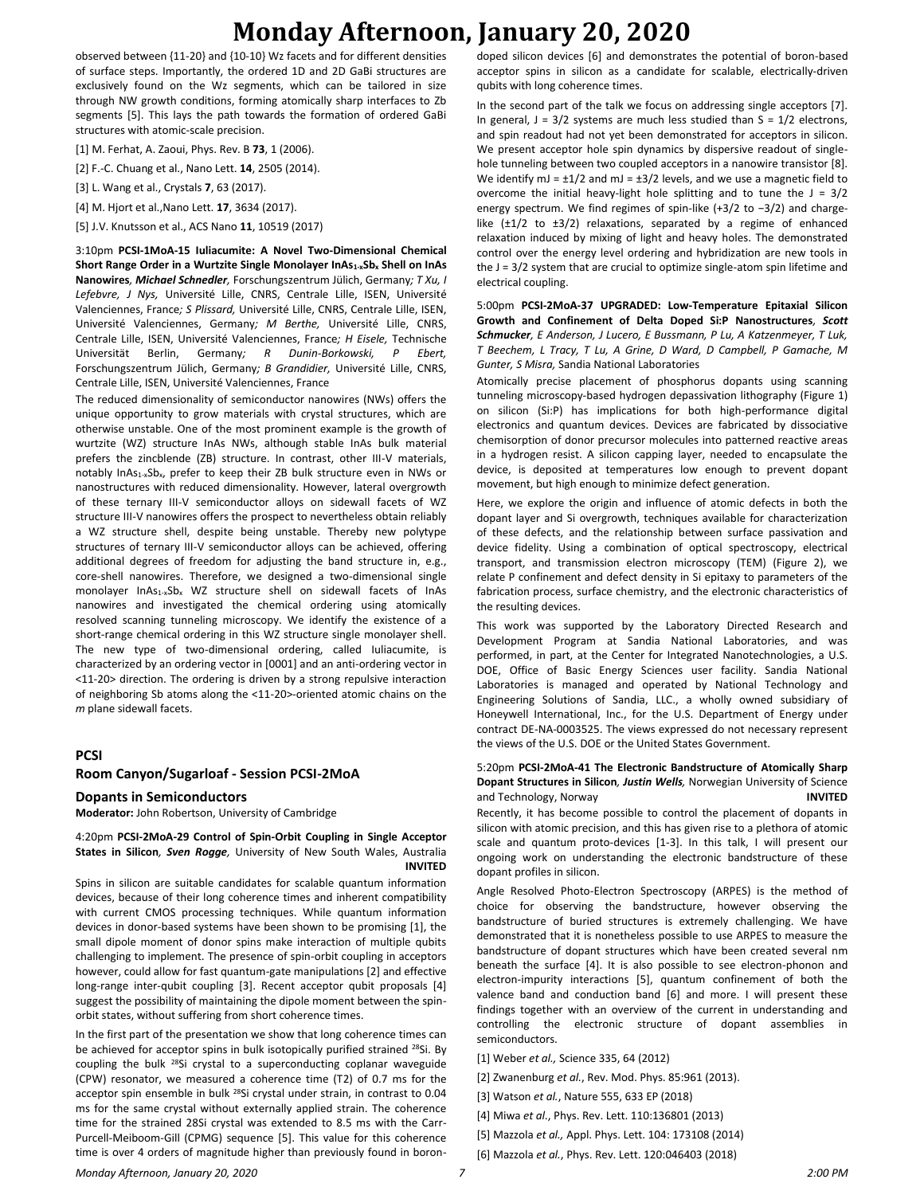# **Monday Afternoon, January 20, 2020**

observed between {11-20} and {10-10} Wz facets and for different densities of surface steps. Importantly, the ordered 1D and 2D GaBi structures are exclusively found on the Wz segments, which can be tailored in size through NW growth conditions, forming atomically sharp interfaces to Zb segments [5]. This lays the path towards the formation of ordered GaBi structures with atomic-scale precision.

[1] M. Ferhat, A. Zaoui, Phys. Rev. B **73**, 1 (2006).

[2] F.-C. Chuang et al., Nano Lett. **14**, 2505 (2014).

[3] L. Wang et al., Crystals **7**, 63 (2017).

[4] M. Hjort et al.,Nano Lett. **17**, 3634 (2017).

[5] J.V. Knutsson et al., ACS Nano **11**, 10519 (2017)

3:10pm **PCSI-1MoA-15 Iuliacumite: A Novel Two-Dimensional Chemical Short Range Order in a Wurtzite Single Monolayer InAs1-xSb<sup>x</sup> Shell on InAs Nanowires***, Michael Schnedler,* Forschungszentrum Jülich, Germany*; T Xu, I Lefebvre, J Nys,* Université Lille, CNRS, Centrale Lille, ISEN, Université Valenciennes, France*; S Plissard,* Université Lille, CNRS, Centrale Lille, ISEN, Université Valenciennes, Germany*; M Berthe,* Université Lille, CNRS, Centrale Lille, ISEN, Université Valenciennes, France*; H Eisele,* Technische Universität Berlin, Germany*; R Dunin-Borkowski, P Ebert,*  Forschungszentrum Jülich, Germany*; B Grandidier,* Université Lille, CNRS, Centrale Lille, ISEN, Université Valenciennes, France

The reduced dimensionality of semiconductor nanowires (NWs) offers the unique opportunity to grow materials with crystal structures, which are otherwise unstable. One of the most prominent example is the growth of wurtzite (WZ) structure InAs NWs, although stable InAs bulk material prefers the zincblende (ZB) structure. In contrast, other III-V materials, notably InAs1-xSbx, prefer to keep their ZB bulk structure even in NWs or nanostructures with reduced dimensionality. However, lateral overgrowth of these ternary III-V semiconductor alloys on sidewall facets of WZ structure III-V nanowires offers the prospect to nevertheless obtain reliably a WZ structure shell, despite being unstable. Thereby new polytype structures of ternary III-V semiconductor alloys can be achieved, offering additional degrees of freedom for adjusting the band structure in, e.g., core-shell nanowires. Therefore, we designed a two-dimensional single monolayer InAs<sub>1-x</sub>Sb<sub>x</sub> WZ structure shell on sidewall facets of InAs nanowires and investigated the chemical ordering using atomically resolved scanning tunneling microscopy. We identify the existence of a short-range chemical ordering in this WZ structure single monolayer shell. The new type of two-dimensional ordering, called Iuliacumite, is characterized by an ordering vector in [0001] and an anti-ordering vector in <11-20> direction. The ordering is driven by a strong repulsive interaction of neighboring Sb atoms along the <11-20>-oriented atomic chains on the *m* plane sidewall facets.

#### **PCSI**

#### **Room Canyon/Sugarloaf - Session PCSI-2MoA**

#### **Dopants in Semiconductors**

**Moderator:** John Robertson, University of Cambridge

#### 4:20pm **PCSI-2MoA-29 Control of Spin-Orbit Coupling in Single Acceptor States in Silicon***, Sven Rogge,* University of New South Wales, Australia **INVITED**

Spins in silicon are suitable candidates for scalable quantum information devices, because of their long coherence times and inherent compatibility with current CMOS processing techniques. While quantum information devices in donor-based systems have been shown to be promising [1], the small dipole moment of donor spins make interaction of multiple qubits challenging to implement. The presence of spin-orbit coupling in acceptors however, could allow for fast quantum-gate manipulations [2] and effective long-range inter-qubit coupling [3]. Recent acceptor qubit proposals [4] suggest the possibility of maintaining the dipole moment between the spinorbit states, without suffering from short coherence times.

In the first part of the presentation we show that long coherence times can be achieved for acceptor spins in bulk isotopically purified strained <sup>28</sup>Si. By coupling the bulk <sup>28</sup>Si crystal to a superconducting coplanar waveguide (CPW) resonator, we measured a coherence time (T2) of 0.7 ms for the acceptor spin ensemble in bulk <sup>28</sup>Si crystal under strain, in contrast to 0.04 ms for the same crystal without externally applied strain. The coherence time for the strained 28Si crystal was extended to 8.5 ms with the Carr-Purcell-Meiboom-Gill (CPMG) sequence [5]. This value for this coherence time is over 4 orders of magnitude higher than previously found in borondoped silicon devices [6] and demonstrates the potential of boron-based acceptor spins in silicon as a candidate for scalable, electrically-driven qubits with long coherence times.

In the second part of the talk we focus on addressing single acceptors [7]. In general,  $J = 3/2$  systems are much less studied than  $S = 1/2$  electrons, and spin readout had not yet been demonstrated for acceptors in silicon. We present acceptor hole spin dynamics by dispersive readout of singlehole tunneling between two coupled acceptors in a nanowire transistor [8]. We identify mJ =  $\pm 1/2$  and mJ =  $\pm 3/2$  levels, and we use a magnetic field to overcome the initial heavy-light hole splitting and to tune the  $J = 3/2$ energy spectrum. We find regimes of spin-like (+3/2 to −3/2) and chargelike  $(\pm 1/2$  to  $\pm 3/2)$  relaxations, separated by a regime of enhanced relaxation induced by mixing of light and heavy holes. The demonstrated control over the energy level ordering and hybridization are new tools in the J = 3/2 system that are crucial to optimize single-atom spin lifetime and electrical coupling.

5:00pm **PCSI-2MoA-37 UPGRADED: Low-Temperature Epitaxial Silicon Growth and Confinement of Delta Doped Si:P Nanostructures***, Scott Schmucker, E Anderson, J Lucero, E Bussmann, P Lu, A Katzenmeyer, T Luk, T Beechem, L Tracy, T Lu, A Grine, D Ward, D Campbell, P Gamache, M Gunter, S Misra,* Sandia National Laboratories

Atomically precise placement of phosphorus dopants using scanning tunneling microscopy-based hydrogen depassivation lithography (Figure 1) on silicon (Si:P) has implications for both high-performance digital electronics and quantum devices. Devices are fabricated by dissociative chemisorption of donor precursor molecules into patterned reactive areas in a hydrogen resist. A silicon capping layer, needed to encapsulate the device, is deposited at temperatures low enough to prevent dopant movement, but high enough to minimize defect generation.

Here, we explore the origin and influence of atomic defects in both the dopant layer and Si overgrowth, techniques available for characterization of these defects, and the relationship between surface passivation and device fidelity. Using a combination of optical spectroscopy, electrical transport, and transmission electron microscopy (TEM) (Figure 2), we relate P confinement and defect density in Si epitaxy to parameters of the fabrication process, surface chemistry, and the electronic characteristics of the resulting devices.

This work was supported by the Laboratory Directed Research and Development Program at Sandia National Laboratories, and was performed, in part, at the Center for Integrated Nanotechnologies, a U.S. DOE, Office of Basic Energy Sciences user facility. Sandia National Laboratories is managed and operated by National Technology and Engineering Solutions of Sandia, LLC., a wholly owned subsidiary of Honeywell International, Inc., for the U.S. Department of Energy under contract DE-NA-0003525. The views expressed do not necessary represent the views of the U.S. DOE or the United States Government.

#### 5:20pm **PCSI-2MoA-41 The Electronic Bandstructure of Atomically Sharp Dopant Structures in Silicon***, Justin Wells,* Norwegian University of Science and Technology, Norway **INVITED**

Recently, it has become possible to control the placement of dopants in silicon with atomic precision, and this has given rise to a plethora of atomic scale and quantum proto-devices [1-3]. In this talk, I will present our ongoing work on understanding the electronic bandstructure of these dopant profiles in silicon.

Angle Resolved Photo-Electron Spectroscopy (ARPES) is the method of choice for observing the bandstructure, however observing the bandstructure of buried structures is extremely challenging. We have demonstrated that it is nonetheless possible to use ARPES to measure the bandstructure of dopant structures which have been created several nm beneath the surface [4]. It is also possible to see electron-phonon and electron-impurity interactions [5], quantum confinement of both the valence band and conduction band [6] and more. I will present these findings together with an overview of the current in understanding and controlling the electronic structure of dopant assemblies in semiconductors.

- [1] Weber *et al.,* Science 335, 64 (2012)
- [2] Zwanenburg *et al.*, Rev. Mod. Phys. 85:961 (2013).
- [3] Watson *et al.*, Nature 555, 633 EP (2018)
- [4] Miwa *et al*., Phys. Rev. Lett. 110:136801 (2013)
- [5] Mazzola *et al.,* Appl. Phys. Lett. 104: 173108 (2014)
- [6] Mazzola *et al.*, Phys. Rev. Lett. 120:046403 (2018)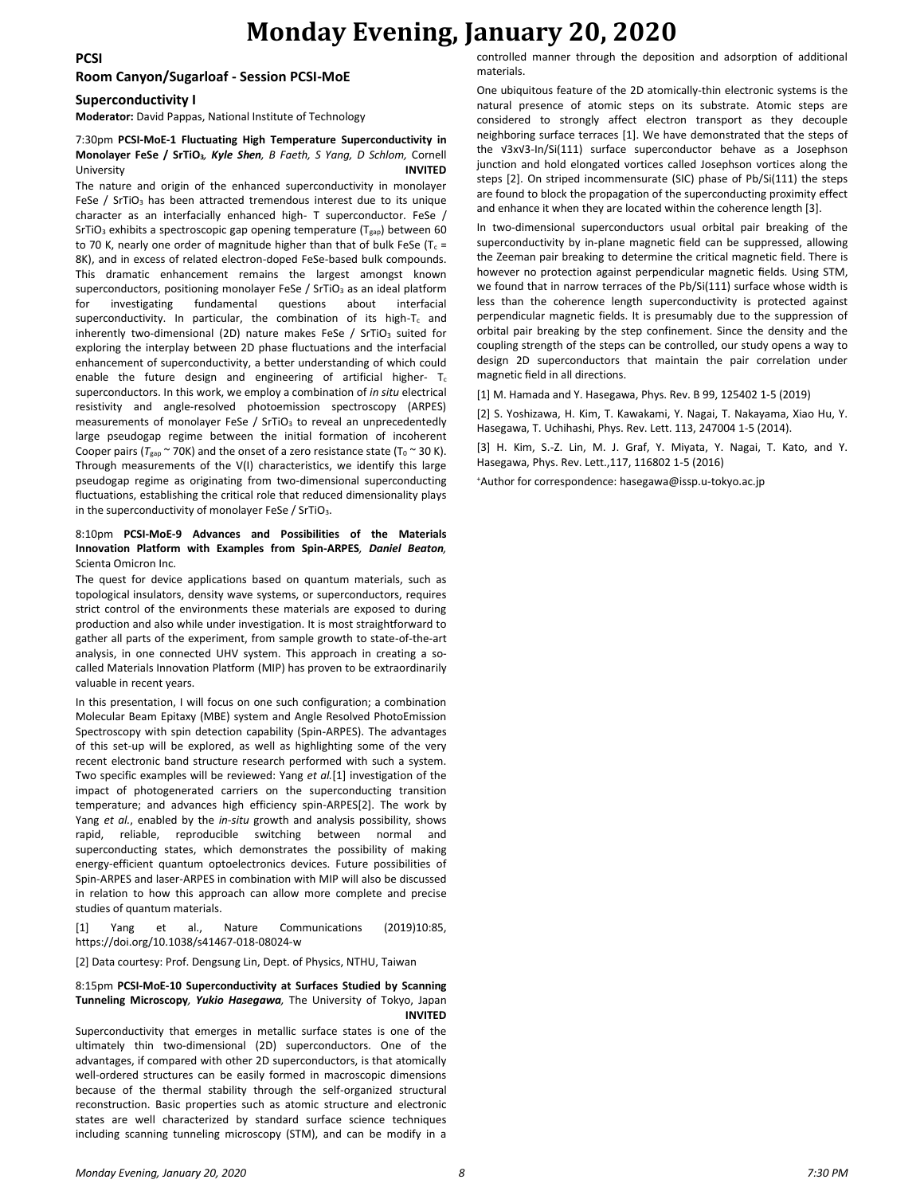## **Monday Evening, January 20, 2020**

**PCSI**

#### **Room Canyon/Sugarloaf - Session PCSI-MoE**

#### **Superconductivity I**

**Moderator:** David Pappas, National Institute of Technology

#### 7:30pm **PCSI-MoE-1 Fluctuating High Temperature Superconductivity in Monolayer FeSe / SrTiO3***, Kyle Shen, B Faeth, S Yang, D Schlom,* Cornell University **INVITED**

The nature and origin of the enhanced superconductivity in monolayer FeSe / SrTiO<sub>3</sub> has been attracted tremendous interest due to its unique character as an interfacially enhanced high- T superconductor. FeSe / SrTiO<sub>3</sub> exhibits a spectroscopic gap opening temperature (T<sub>gap</sub>) between 60 to 70 K, nearly one order of magnitude higher than that of bulk FeSe (T $_c$  = 8K), and in excess of related electron-doped FeSe-based bulk compounds. This dramatic enhancement remains the largest amongst known superconductors, positioning monolayer FeSe / SrTiO<sub>3</sub> as an ideal platform for investigating fundamental questions about interfacial superconductivity. In particular, the combination of its high- $T_c$  and inherently two-dimensional (2D) nature makes FeSe  $/$  SrTiO<sub>3</sub> suited for exploring the interplay between 2D phase fluctuations and the interfacial enhancement of superconductivity, a better understanding of which could enable the future design and engineering of artificial higher-  $T_c$ superconductors. In this work, we employ a combination of *in situ* electrical resistivity and angle-resolved photoemission spectroscopy (ARPES) measurements of monolayer FeSe /  $SrTiO<sub>3</sub>$  to reveal an unprecedentedly large pseudogap regime between the initial formation of incoherent Cooper pairs ( $T_{\text{gap}} \sim 70$ K) and the onset of a zero resistance state ( $T_0 \sim 30$  K). Through measurements of the V(I) characteristics, we identify this large pseudogap regime as originating from two-dimensional superconducting fluctuations, establishing the critical role that reduced dimensionality plays in the superconductivity of monolayer FeSe / SrTiO<sub>3</sub>.

#### 8:10pm **PCSI-MoE-9 Advances and Possibilities of the Materials Innovation Platform with Examples from Spin-ARPES***, Daniel Beaton,*  Scienta Omicron Inc.

The quest for device applications based on quantum materials, such as topological insulators, density wave systems, or superconductors, requires strict control of the environments these materials are exposed to during production and also while under investigation. It is most straightforward to gather all parts of the experiment, from sample growth to state-of-the-art analysis, in one connected UHV system. This approach in creating a socalled Materials Innovation Platform (MIP) has proven to be extraordinarily valuable in recent years.

In this presentation, I will focus on one such configuration; a combination Molecular Beam Epitaxy (MBE) system and Angle Resolved PhotoEmission Spectroscopy with spin detection capability (Spin-ARPES). The advantages of this set-up will be explored, as well as highlighting some of the very recent electronic band structure research performed with such a system. Two specific examples will be reviewed: Yang *et al.*[1] investigation of the impact of photogenerated carriers on the superconducting transition temperature; and advances high efficiency spin-ARPES[2]. The work by Yang *et al.*, enabled by the *in-situ* growth and analysis possibility, shows rapid, reliable, reproducible switching between normal and superconducting states, which demonstrates the possibility of making energy-efficient quantum optoelectronics devices. Future possibilities of Spin-ARPES and laser-ARPES in combination with MIP will also be discussed in relation to how this approach can allow more complete and precise studies of quantum materials.

[1] Yang et al., Nature Communications (2019)10:85, https://doi.org/10.1038/s41467-018-08024-w

[2] Data courtesy: Prof. Dengsung Lin, Dept. of Physics, NTHU, Taiwan

#### 8:15pm **PCSI-MoE-10 Superconductivity at Surfaces Studied by Scanning Tunneling Microscopy***, Yukio Hasegawa,* The University of Tokyo, Japan **INVITED**

Superconductivity that emerges in metallic surface states is one of the ultimately thin two-dimensional (2D) superconductors. One of the advantages, if compared with other 2D superconductors, is that atomically well-ordered structures can be easily formed in macroscopic dimensions because of the thermal stability through the self-organized structural reconstruction. Basic properties such as atomic structure and electronic states are well characterized by standard surface science techniques including scanning tunneling microscopy (STM), and can be modify in a

controlled manner through the deposition and adsorption of additional materials.

One ubiquitous feature of the 2D atomically-thin electronic systems is the natural presence of atomic steps on its substrate. Atomic steps are considered to strongly affect electron transport as they decouple neighboring surface terraces [1]. We have demonstrated that the steps of the √3x√3-In/Si(111) surface superconductor behave as a Josephson junction and hold elongated vortices called Josephson vortices along the steps [2]. On striped incommensurate (SIC) phase of Pb/Si(111) the steps are found to block the propagation of the superconducting proximity effect and enhance it when they are located within the coherence length [3].

In two-dimensional superconductors usual orbital pair breaking of the superconductivity by in-plane magnetic field can be suppressed, allowing the Zeeman pair breaking to determine the critical magnetic field. There is however no protection against perpendicular magnetic fields. Using STM, we found that in narrow terraces of the Pb/Si(111) surface whose width is less than the coherence length superconductivity is protected against perpendicular magnetic fields. It is presumably due to the suppression of orbital pair breaking by the step confinement. Since the density and the coupling strength of the steps can be controlled, our study opens a way to design 2D superconductors that maintain the pair correlation under magnetic field in all directions.

[1] M. Hamada and Y. Hasegawa, Phys. Rev. B 99, 125402 1-5 (2019)

[2] S. Yoshizawa, H. Kim, T. Kawakami, Y. Nagai, T. Nakayama, Xiao Hu, Y. Hasegawa, T. Uchihashi, Phys. Rev. Lett. 113, 247004 1-5 (2014).

[3] H. Kim, S.-Z. Lin, M. J. Graf, Y. Miyata, Y. Nagai, T. Kato, and Y. Hasegawa, Phys. Rev. Lett.,117, 116802 1-5 (2016)

+Author for correspondence: hasegawa@issp.u-tokyo.ac.jp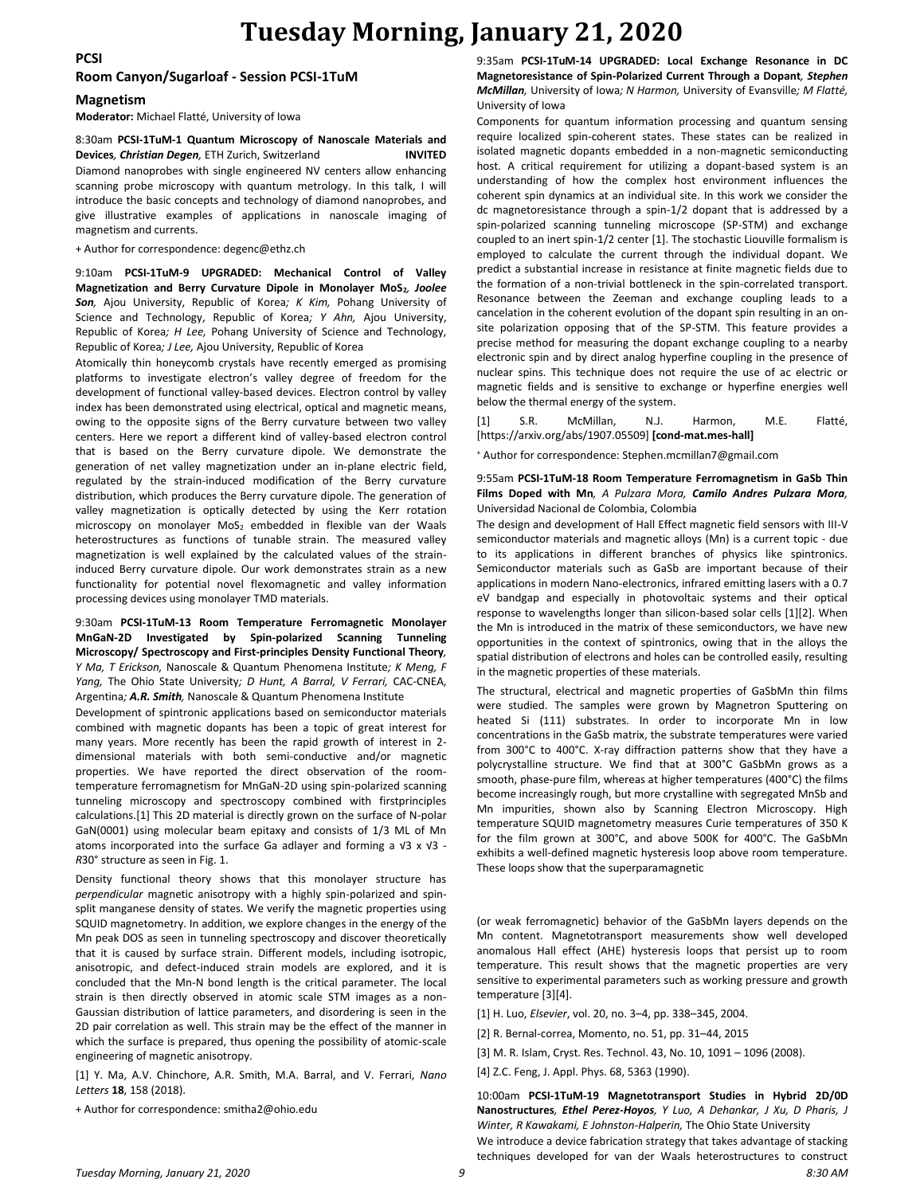#### **PCSI**

#### **Room Canyon/Sugarloaf - Session PCSI-1TuM**

#### **Magnetism**

**Moderator:** Michael Flatté, University of Iowa

#### 8:30am **PCSI-1TuM-1 Quantum Microscopy of Nanoscale Materials and Devices***, Christian Degen,* ETH Zurich, Switzerland **INVITED**

Diamond nanoprobes with single engineered NV centers allow enhancing scanning probe microscopy with quantum metrology. In this talk, I will introduce the basic concepts and technology of diamond nanoprobes, and give illustrative examples of applications in nanoscale imaging of magnetism and currents.

+ Author for correspondence: degenc@ethz.ch

9:10am **PCSI-1TuM-9 UPGRADED: Mechanical Control of Valley Magnetization and Berry Curvature Dipole in Monolayer MoS2***, Joolee Son,* Ajou University, Republic of Korea*; K Kim,* Pohang University of Science and Technology, Republic of Korea*; Y Ahn,* Ajou University, Republic of Korea*; H Lee,* Pohang University of Science and Technology, Republic of Korea*; J Lee,* Ajou University, Republic of Korea

Atomically thin honeycomb crystals have recently emerged as promising platforms to investigate electron's valley degree of freedom for the development of functional valley-based devices. Electron control by valley index has been demonstrated using electrical, optical and magnetic means, owing to the opposite signs of the Berry curvature between two valley centers. Here we report a different kind of valley-based electron control that is based on the Berry curvature dipole. We demonstrate the generation of net valley magnetization under an in-plane electric field, regulated by the strain-induced modification of the Berry curvature distribution, which produces the Berry curvature dipole. The generation of valley magnetization is optically detected by using the Kerr rotation microscopy on monolayer MoS<sub>2</sub> embedded in flexible van der Waals heterostructures as functions of tunable strain. The measured valley magnetization is well explained by the calculated values of the straininduced Berry curvature dipole. Our work demonstrates strain as a new functionality for potential novel flexomagnetic and valley information processing devices using monolayer TMD materials.

#### 9:30am **PCSI-1TuM-13 Room Temperature Ferromagnetic Monolayer MnGaN-2D Investigated by Spin-polarized Scanning Tunneling Microscopy/ Spectroscopy and First-principles Density Functional Theory***, Y Ma, T Erickson,* Nanoscale & Quantum Phenomena Institute*; K Meng, F Yang,* The Ohio State University*; D Hunt, A Barral, V Ferrari,* CAC-CNEA, Argentina*; A.R. Smith,* Nanoscale & Quantum Phenomena Institute

Development of spintronic applications based on semiconductor materials combined with magnetic dopants has been a topic of great interest for many years. More recently has been the rapid growth of interest in 2 dimensional materials with both semi-conductive and/or magnetic properties. We have reported the direct observation of the roomtemperature ferromagnetism for MnGaN-2D using spin-polarized scanning tunneling microscopy and spectroscopy combined with firstprinciples calculations.[1] This 2D material is directly grown on the surface of N-polar GaN(0001) using molecular beam epitaxy and consists of 1/3 ML of Mn atoms incorporated into the surface Ga adlayer and forming a √3 x √3 - *R*30° structure as seen in Fig. 1.

Density functional theory shows that this monolayer structure has *perpendicular* magnetic anisotropy with a highly spin-polarized and spinsplit manganese density of states. We verify the magnetic properties using SQUID magnetometry. In addition, we explore changes in the energy of the Mn peak DOS as seen in tunneling spectroscopy and discover theoretically that it is caused by surface strain. Different models, including isotropic, anisotropic, and defect-induced strain models are explored, and it is concluded that the Mn-N bond length is the critical parameter. The local strain is then directly observed in atomic scale STM images as a non-Gaussian distribution of lattice parameters, and disordering is seen in the 2D pair correlation as well. This strain may be the effect of the manner in which the surface is prepared, thus opening the possibility of atomic-scale engineering of magnetic anisotropy.

[1] Y. Ma, A.V. Chinchore, A.R. Smith, M.A. Barral, and V. Ferrari, *Nano Letters* **18**, 158 (2018).

+ Author for correspondence: smitha2@ohio.edu

9:35am **PCSI-1TuM-14 UPGRADED: Local Exchange Resonance in DC Magnetoresistance of Spin-Polarized Current Through a Dopant***, Stephen McMillan,* University of Iowa*; N Harmon,* University of Evansville*; M Flatté,*  University of Iowa

Components for quantum information processing and quantum sensing require localized spin-coherent states. These states can be realized in isolated magnetic dopants embedded in a non-magnetic semiconducting host. A critical requirement for utilizing a dopant-based system is an understanding of how the complex host environment influences the coherent spin dynamics at an individual site. In this work we consider the dc magnetoresistance through a spin-1/2 dopant that is addressed by a spin-polarized scanning tunneling microscope (SP-STM) and exchange coupled to an inert spin-1/2 center [1]. The stochastic Liouville formalism is employed to calculate the current through the individual dopant. We predict a substantial increase in resistance at finite magnetic fields due to the formation of a non-trivial bottleneck in the spin-correlated transport. Resonance between the Zeeman and exchange coupling leads to a cancelation in the coherent evolution of the dopant spin resulting in an onsite polarization opposing that of the SP-STM. This feature provides a precise method for measuring the dopant exchange coupling to a nearby electronic spin and by direct analog hyperfine coupling in the presence of nuclear spins. This technique does not require the use of ac electric or magnetic fields and is sensitive to exchange or hyperfine energies well below the thermal energy of the system.

[1] S.R. McMillan, N.J. Harmon, M.E. Flatté, [https://arxiv.org/abs/1907.05509] **[cond-mat.mes-hall]**

<sup>+</sup> Author for correspondence: Stephen.mcmillan7@gmail.com

#### 9:55am **PCSI-1TuM-18 Room Temperature Ferromagnetism in GaSb Thin Films Doped with Mn***, A Pulzara Mora, Camilo Andres Pulzara Mora,*  Universidad Nacional de Colombia, Colombia

The design and development of Hall Effect magnetic field sensors with III-V semiconductor materials and magnetic alloys (Mn) is a current topic - due to its applications in different branches of physics like spintronics. Semiconductor materials such as GaSb are important because of their applications in modern Nano-electronics, infrared emitting lasers with a 0.7 eV bandgap and especially in photovoltaic systems and their optical response to wavelengths longer than silicon-based solar cells [1][2]. When the Mn is introduced in the matrix of these semiconductors, we have new opportunities in the context of spintronics, owing that in the alloys the spatial distribution of electrons and holes can be controlled easily, resulting in the magnetic properties of these materials.

The structural, electrical and magnetic properties of GaSbMn thin films were studied. The samples were grown by Magnetron Sputtering on heated Si (111) substrates. In order to incorporate Mn in low concentrations in the GaSb matrix, the substrate temperatures were varied from 300°C to 400°C. X-ray diffraction patterns show that they have a polycrystalline structure. We find that at 300°C GaSbMn grows as a smooth, phase-pure film, whereas at higher temperatures (400°C) the films become increasingly rough, but more crystalline with segregated MnSb and Mn impurities, shown also by Scanning Electron Microscopy. High temperature SQUID magnetometry measures Curie temperatures of 350 K for the film grown at 300°C, and above 500K for 400°C. The GaSbMn exhibits a well-defined magnetic hysteresis loop above room temperature. These loops show that the superparamagnetic

(or weak ferromagnetic) behavior of the GaSbMn layers depends on the Mn content. Magnetotransport measurements show well developed anomalous Hall effect (AHE) hysteresis loops that persist up to room temperature. This result shows that the magnetic properties are very sensitive to experimental parameters such as working pressure and growth temperature [3][4].

[1] H. Luo, *Elsevier*, vol. 20, no. 3–4, pp. 338–345, 2004.

[2] R. Bernal-correa, Momento, no. 51, pp. 31–44, 2015

[3] M. R. Islam, Cryst. Res. Technol. 43, No. 10, 1091 – 1096 (2008).

[4] Z.C. Feng, J. Appl. Phys. 68, 5363 (1990).

*Tuesday Morning, January 21, 2020 9 8:30 AM* 10:00am **PCSI-1TuM-19 Magnetotransport Studies in Hybrid 2D/0D Nanostructures***, Ethel Perez-Hoyos, Y Luo, A Dehankar, J Xu, D Pharis, J Winter, R Kawakami, E Johnston-Halperin,* The Ohio State University We introduce a device fabrication strategy that takes advantage of stacking techniques developed for van der Waals heterostructures to construct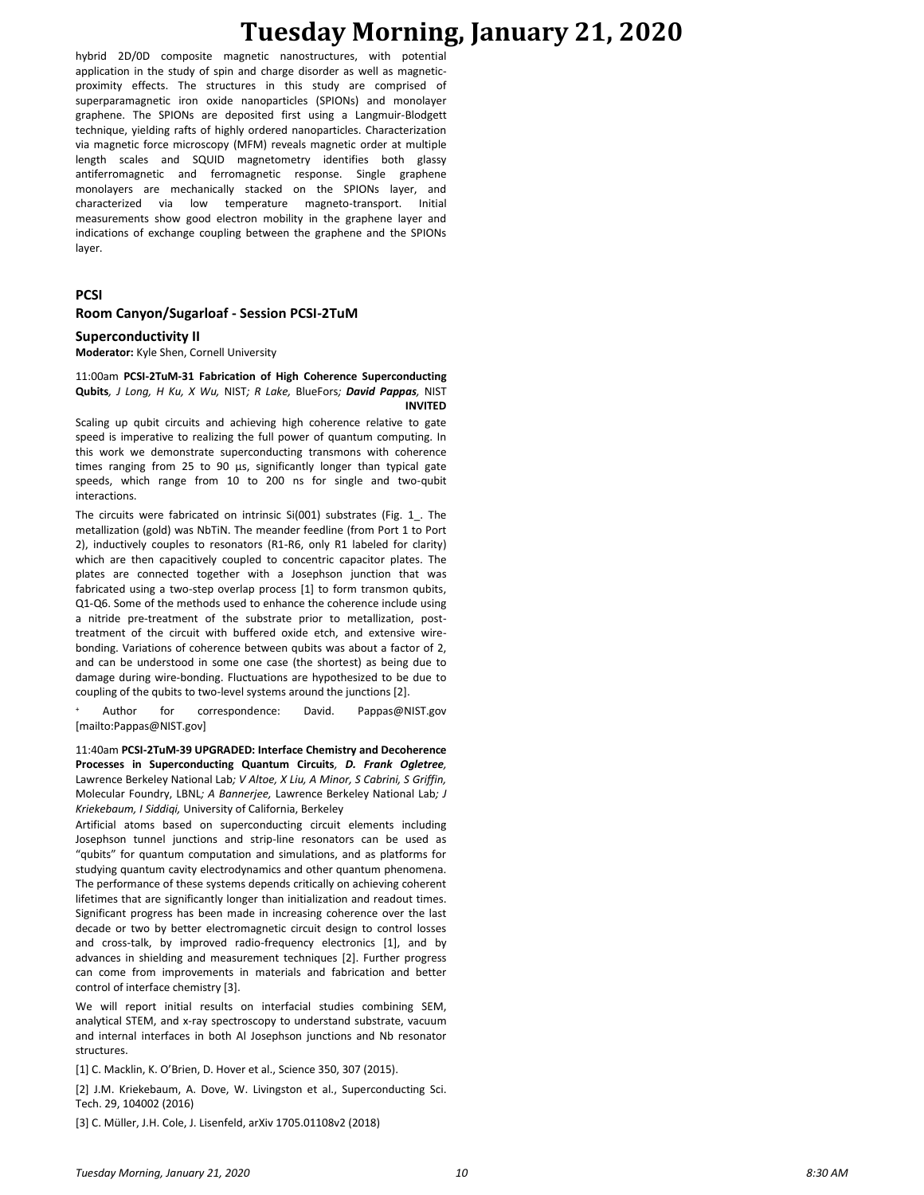## **Tuesday Morning, January 21, 2020**

hybrid 2D/0D composite magnetic nanostructures, with potential application in the study of spin and charge disorder as well as magneticproximity effects. The structures in this study are comprised of superparamagnetic iron oxide nanoparticles (SPIONs) and monolayer graphene. The SPIONs are deposited first using a Langmuir-Blodgett technique, yielding rafts of highly ordered nanoparticles. Characterization via magnetic force microscopy (MFM) reveals magnetic order at multiple length scales and SQUID magnetometry identifies both glassy antiferromagnetic and ferromagnetic response. Single graphene monolayers are mechanically stacked on the SPIONs layer, and characterized via low temperature magneto-transport. Initial measurements show good electron mobility in the graphene layer and indications of exchange coupling between the graphene and the SPIONs layer.

#### **PCSI**

#### **Room Canyon/Sugarloaf - Session PCSI-2TuM**

#### **Superconductivity II**

**Moderator:** Kyle Shen, Cornell University

11:00am **PCSI-2TuM-31 Fabrication of High Coherence Superconducting Qubits***, J Long, H Ku, X Wu,* NIST*; R Lake,* BlueFors*; David Pappas,* NIST **INVITED**

Scaling up qubit circuits and achieving high coherence relative to gate speed is imperative to realizing the full power of quantum computing. In this work we demonstrate superconducting transmons with coherence times ranging from 25 to 90 µs, significantly longer than typical gate speeds, which range from 10 to 200 ns for single and two-qubit interactions.

The circuits were fabricated on intrinsic Si(001) substrates (Fig. 1\_. The metallization (gold) was NbTiN. The meander feedline (from Port 1 to Port 2), inductively couples to resonators (R1-R6, only R1 labeled for clarity) which are then capacitively coupled to concentric capacitor plates. The plates are connected together with a Josephson junction that was fabricated using a two-step overlap process [1] to form transmon qubits, Q1-Q6. Some of the methods used to enhance the coherence include using a nitride pre-treatment of the substrate prior to metallization, posttreatment of the circuit with buffered oxide etch, and extensive wirebonding. Variations of coherence between qubits was about a factor of 2, and can be understood in some one case (the shortest) as being due to damage during wire-bonding. Fluctuations are hypothesized to be due to coupling of the qubits to two-level systems around the junctions [2].

Author for correspondence: David. Pappas@NIST.gov [mailto:Pappas@NIST.gov]

11:40am **PCSI-2TuM-39 UPGRADED: Interface Chemistry and Decoherence Processes in Superconducting Quantum Circuits***, D. Frank Ogletree,*  Lawrence Berkeley National Lab*; V Altoe, X Liu, A Minor, S Cabrini, S Griffin,*  Molecular Foundry, LBNL*; A Bannerjee,* Lawrence Berkeley National Lab*; J Kriekebaum, I Siddiqi,* University of California, Berkeley

Artificial atoms based on superconducting circuit elements including Josephson tunnel junctions and strip-line resonators can be used as "qubits" for quantum computation and simulations, and as platforms for studying quantum cavity electrodynamics and other quantum phenomena. The performance of these systems depends critically on achieving coherent lifetimes that are significantly longer than initialization and readout times. Significant progress has been made in increasing coherence over the last decade or two by better electromagnetic circuit design to control losses and cross-talk, by improved radio-frequency electronics [1], and by advances in shielding and measurement techniques [2]. Further progress can come from improvements in materials and fabrication and better control of interface chemistry [3].

We will report initial results on interfacial studies combining SEM, analytical STEM, and x-ray spectroscopy to understand substrate, vacuum and internal interfaces in both Al Josephson junctions and Nb resonator structures.

[1] C. Macklin, K. O'Brien, D. Hover et al., Science 350, 307 (2015).

[2] J.M. Kriekebaum, A. Dove, W. Livingston et al., Superconducting Sci. Tech. 29, 104002 (2016)

[3] C. Müller, J.H. Cole, J. Lisenfeld, arXiv 1705.01108v2 (2018)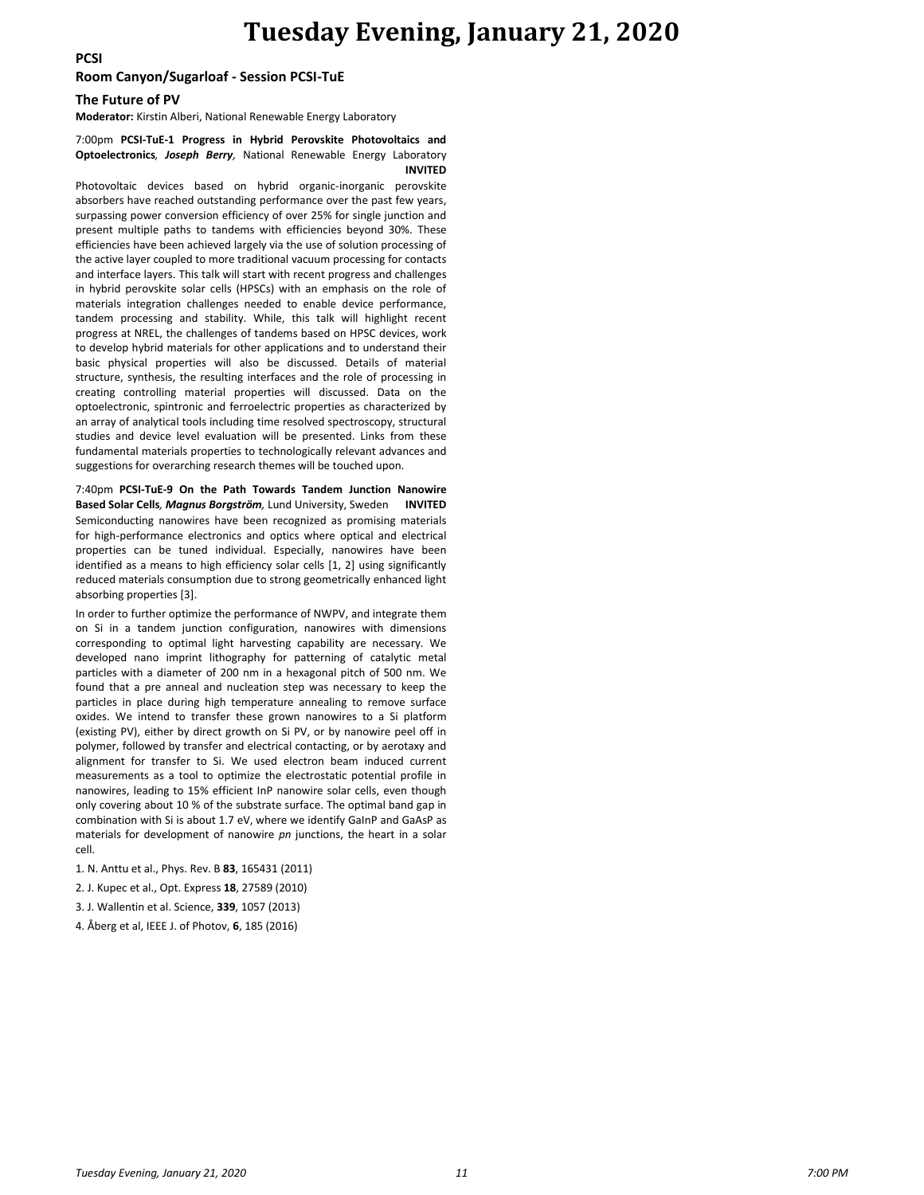### **Tuesday Evening, January 21, 2020**

**PCSI**

#### **Room Canyon/Sugarloaf - Session PCSI-TuE**

#### **The Future of PV**

**Moderator:** Kirstin Alberi, National Renewable Energy Laboratory

#### 7:00pm **PCSI-TuE-1 Progress in Hybrid Perovskite Photovoltaics and Optoelectronics***, Joseph Berry,* National Renewable Energy Laboratory **INVITED**

Photovoltaic devices based on hybrid organic-inorganic perovskite absorbers have reached outstanding performance over the past few years, surpassing power conversion efficiency of over 25% for single junction and present multiple paths to tandems with efficiencies beyond 30%. These efficiencies have been achieved largely via the use of solution processing of the active layer coupled to more traditional vacuum processing for contacts and interface layers. This talk will start with recent progress and challenges in hybrid perovskite solar cells (HPSCs) with an emphasis on the role of materials integration challenges needed to enable device performance, tandem processing and stability. While, this talk will highlight recent progress at NREL, the challenges of tandems based on HPSC devices, work to develop hybrid materials for other applications and to understand their basic physical properties will also be discussed. Details of material structure, synthesis, the resulting interfaces and the role of processing in creating controlling material properties will discussed. Data on the optoelectronic, spintronic and ferroelectric properties as characterized by an array of analytical tools including time resolved spectroscopy, structural studies and device level evaluation will be presented. Links from these fundamental materials properties to technologically relevant advances and suggestions for overarching research themes will be touched upon.

7:40pm **PCSI-TuE-9 On the Path Towards Tandem Junction Nanowire Based Solar Cells***, Magnus Borgström,* Lund University, Sweden **INVITED** Semiconducting nanowires have been recognized as promising materials for high-performance electronics and optics where optical and electrical properties can be tuned individual. Especially, nanowires have been identified as a means to high efficiency solar cells [1, 2] using significantly reduced materials consumption due to strong geometrically enhanced light absorbing properties [3].

In order to further optimize the performance of NWPV, and integrate them on Si in a tandem junction configuration, nanowires with dimensions corresponding to optimal light harvesting capability are necessary. We developed nano imprint lithography for patterning of catalytic metal particles with a diameter of 200 nm in a hexagonal pitch of 500 nm. We found that a pre anneal and nucleation step was necessary to keep the particles in place during high temperature annealing to remove surface oxides. We intend to transfer these grown nanowires to a Si platform (existing PV), either by direct growth on Si PV, or by nanowire peel off in polymer, followed by transfer and electrical contacting, or by aerotaxy and alignment for transfer to Si. We used electron beam induced current measurements as a tool to optimize the electrostatic potential profile in nanowires, leading to 15% efficient InP nanowire solar cells, even though only covering about 10 % of the substrate surface. The optimal band gap in combination with Si is about 1.7 eV, where we identify GaInP and GaAsP as materials for development of nanowire *pn* junctions, the heart in a solar cell.

1. N. Anttu et al., Phys. Rev. B **83**, 165431 (2011)

2. J. Kupec et al., Opt. Express **18**, 27589 (2010)

3. J. Wallentin et al. Science, **339**, 1057 (2013)

4. Åberg et al, IEEE J. of Photov, **6**, 185 (2016)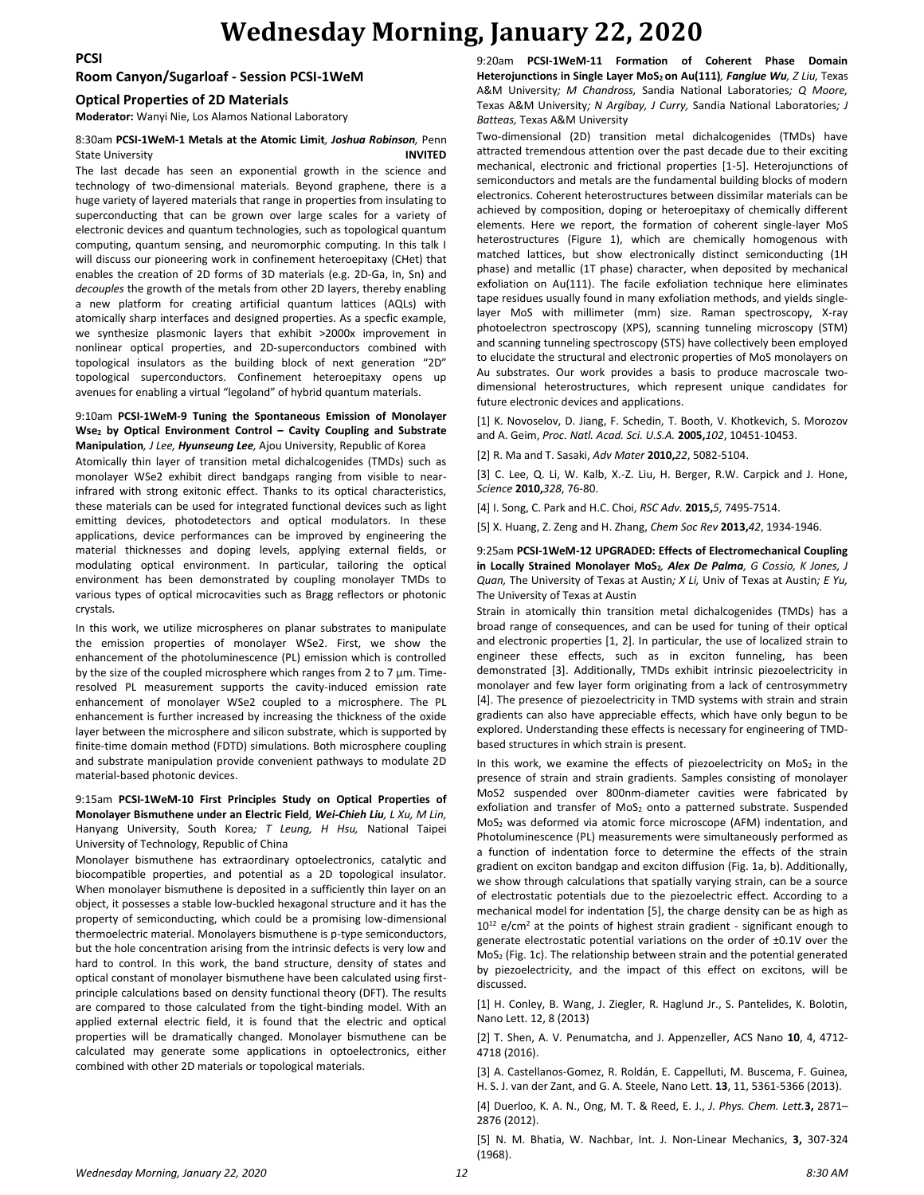### **Wednesday Morning, January 22, 2020**

### **Room Canyon/Sugarloaf - Session PCSI-1WeM**

#### **Optical Properties of 2D Materials**

**Moderator:** Wanyi Nie, Los Alamos National Laboratory

#### 8:30am **PCSI-1WeM-1 Metals at the Atomic Limit***, Joshua Robinson,* Penn State University **INVITED**

The last decade has seen an exponential growth in the science and technology of two-dimensional materials. Beyond graphene, there is a huge variety of layered materials that range in properties from insulating to superconducting that can be grown over large scales for a variety of electronic devices and quantum technologies, such as topological quantum computing, quantum sensing, and neuromorphic computing. In this talk I will discuss our pioneering work in confinement heteroepitaxy (CHet) that enables the creation of 2D forms of 3D materials (e.g. 2D-Ga, In, Sn) and *decouples* the growth of the metals from other 2D layers, thereby enabling a new platform for creating artificial quantum lattices (AQLs) with atomically sharp interfaces and designed properties. As a specfic example, we synthesize plasmonic layers that exhibit >2000x improvement in nonlinear optical properties, and 2D-superconductors combined with topological insulators as the building block of next generation "2D" topological superconductors. Confinement heteroepitaxy opens up avenues for enabling a virtual "legoland" of hybrid quantum materials.

#### 9:10am **PCSI-1WeM-9 Tuning the Spontaneous Emission of Monolayer Wse<sup>2</sup> by Optical Environment Control – Cavity Coupling and Substrate Manipulation***, J Lee, Hyunseung Lee,* Ajou University, Republic of Korea

Atomically thin layer of transition metal dichalcogenides (TMDs) such as monolayer WSe2 exhibit direct bandgaps ranging from visible to nearinfrared with strong exitonic effect. Thanks to its optical characteristics, these materials can be used for integrated functional devices such as light emitting devices, photodetectors and optical modulators. In these applications, device performances can be improved by engineering the material thicknesses and doping levels, applying external fields, or modulating optical environment. In particular, tailoring the optical environment has been demonstrated by coupling monolayer TMDs to various types of optical microcavities such as Bragg reflectors or photonic crystals.

In this work, we utilize microspheres on planar substrates to manipulate the emission properties of monolayer WSe2. First, we show the enhancement of the photoluminescence (PL) emission which is controlled by the size of the coupled microsphere which ranges from 2 to 7 μm. Timeresolved PL measurement supports the cavity-induced emission rate enhancement of monolayer WSe2 coupled to a microsphere. The PL enhancement is further increased by increasing the thickness of the oxide layer between the microsphere and silicon substrate, which is supported by finite-time domain method (FDTD) simulations. Both microsphere coupling and substrate manipulation provide convenient pathways to modulate 2D material-based photonic devices.

#### 9:15am **PCSI-1WeM-10 First Principles Study on Optical Properties of Monolayer Bismuthene under an Electric Field***, Wei-Chieh Liu, L Xu, M Lin,*  Hanyang University, South Korea*; T Leung, H Hsu,* National Taipei University of Technology, Republic of China

Monolayer bismuthene has extraordinary optoelectronics, catalytic and biocompatible properties, and potential as a 2D topological insulator. When monolayer bismuthene is deposited in a sufficiently thin layer on an object, it possesses a stable low-buckled hexagonal structure and it has the property of semiconducting, which could be a promising low-dimensional thermoelectric material. Monolayers bismuthene is p-type semiconductors, but the hole concentration arising from the intrinsic defects is very low and hard to control. In this work, the band structure, density of states and optical constant of monolayer bismuthene have been calculated using firstprinciple calculations based on density functional theory (DFT). The results are compared to those calculated from the tight-binding model. With an applied external electric field, it is found that the electric and optical properties will be dramatically changed. Monolayer bismuthene can be calculated may generate some applications in optoelectronics, either combined with other 2D materials or topological materials.

9:20am **PCSI-1WeM-11 Formation of Coherent Phase Domain Heterojunctions in Single Layer MoS<sup>2</sup> on Au(111)***, Fanglue Wu, Z Liu,* Texas A&M University*; M Chandross,* Sandia National Laboratories*; Q Moore,*  Texas A&M University*; N Argibay, J Curry,* Sandia National Laboratories*; J Batteas,* Texas A&M University

Two-dimensional (2D) transition metal dichalcogenides (TMDs) have attracted tremendous attention over the past decade due to their exciting mechanical, electronic and frictional properties [1-5]. Heterojunctions of semiconductors and metals are the fundamental building blocks of modern electronics. Coherent heterostructures between dissimilar materials can be achieved by composition, doping or heteroepitaxy of chemically different elements. Here we report, the formation of coherent single-layer MoS heterostructures (Figure 1), which are chemically homogenous with matched lattices, but show electronically distinct semiconducting (1H phase) and metallic (1T phase) character, when deposited by mechanical exfoliation on Au(111). The facile exfoliation technique here eliminates tape residues usually found in many exfoliation methods, and yields singlelayer MoS with millimeter (mm) size. Raman spectroscopy, X-ray photoelectron spectroscopy (XPS), scanning tunneling microscopy (STM) and scanning tunneling spectroscopy (STS) have collectively been employed to elucidate the structural and electronic properties of MoS monolayers on Au substrates. Our work provides a basis to produce macroscale twodimensional heterostructures, which represent unique candidates for future electronic devices and applications.

[1] K. Novoselov, D. Jiang, F. Schedin, T. Booth, V. Khotkevich, S. Morozov and A. Geim, *Proc. Natl. Acad. Sci. U.S.A.* **2005,***102*, 10451-10453.

[2] R. Ma and T. Sasaki, *Adv Mater* **2010,***22*, 5082-5104.

[3] C. Lee, Q. Li, W. Kalb, X.-Z. Liu, H. Berger, R.W. Carpick and J. Hone, *Science* **2010,***328*, 76-80.

[4] I. Song, C. Park and H.C. Choi, *RSC Adv.* **2015,***5*, 7495-7514.

[5] X. Huang, Z. Zeng and H. Zhang, *Chem Soc Rev* **2013,***42*, 1934-1946.

#### 9:25am **PCSI-1WeM-12 UPGRADED: Effects of Electromechanical Coupling in Locally Strained Monolayer MoS2***, Alex De Palma, G Cossio, K Jones, J Quan,* The University of Texas at Austin*; X Li,* Univ of Texas at Austin*; E Yu,*  The University of Texas at Austin

Strain in atomically thin transition metal dichalcogenides (TMDs) has a broad range of consequences, and can be used for tuning of their optical and electronic properties [1, 2]. In particular, the use of localized strain to engineer these effects, such as in exciton funneling, has been demonstrated [3]. Additionally, TMDs exhibit intrinsic piezoelectricity in monolayer and few layer form originating from a lack of centrosymmetry [4]. The presence of piezoelectricity in TMD systems with strain and strain gradients can also have appreciable effects, which have only begun to be explored. Understanding these effects is necessary for engineering of TMDbased structures in which strain is present.

In this work, we examine the effects of piezoelectricity on  $MoS<sub>2</sub>$  in the presence of strain and strain gradients. Samples consisting of monolayer MoS2 suspended over 800nm-diameter cavities were fabricated by exfoliation and transfer of MoS<sub>2</sub> onto a patterned substrate. Suspended MoS<sup>2</sup> was deformed via atomic force microscope (AFM) indentation, and Photoluminescence (PL) measurements were simultaneously performed as a function of indentation force to determine the effects of the strain gradient on exciton bandgap and exciton diffusion (Fig. 1a, b). Additionally, we show through calculations that spatially varying strain, can be a source of electrostatic potentials due to the piezoelectric effect. According to a mechanical model for indentation [5], the charge density can be as high as  $10^{12}$  e/cm<sup>2</sup> at the points of highest strain gradient - significant enough to generate electrostatic potential variations on the order of ±0.1V over the MoS<sup>2</sup> (Fig. 1c). The relationship between strain and the potential generated by piezoelectricity, and the impact of this effect on excitons, will be discussed.

[1] H. Conley, B. Wang, J. Ziegler, R. Haglund Jr., S. Pantelides, K. Bolotin, Nano Lett. 12, 8 (2013)

[2] T. Shen, A. V. Penumatcha, and J. Appenzeller, ACS Nano **10**, 4, 4712- 4718 (2016).

[3] A. Castellanos-Gomez, R. Roldán, E. Cappelluti, M. Buscema, F. Guinea, H. S. J. van der Zant, and G. A. Steele, Nano Lett. **13**, 11, 5361-5366 (2013).

[4] Duerloo, K. A. N., Ong, M. T. & Reed, E. J., *J. Phys. Chem. Lett.***3,** 2871– 2876 (2012).

[5] N. M. Bhatia, W. Nachbar, Int. J. Non-Linear Mechanics, **3,** 307-324 (1968).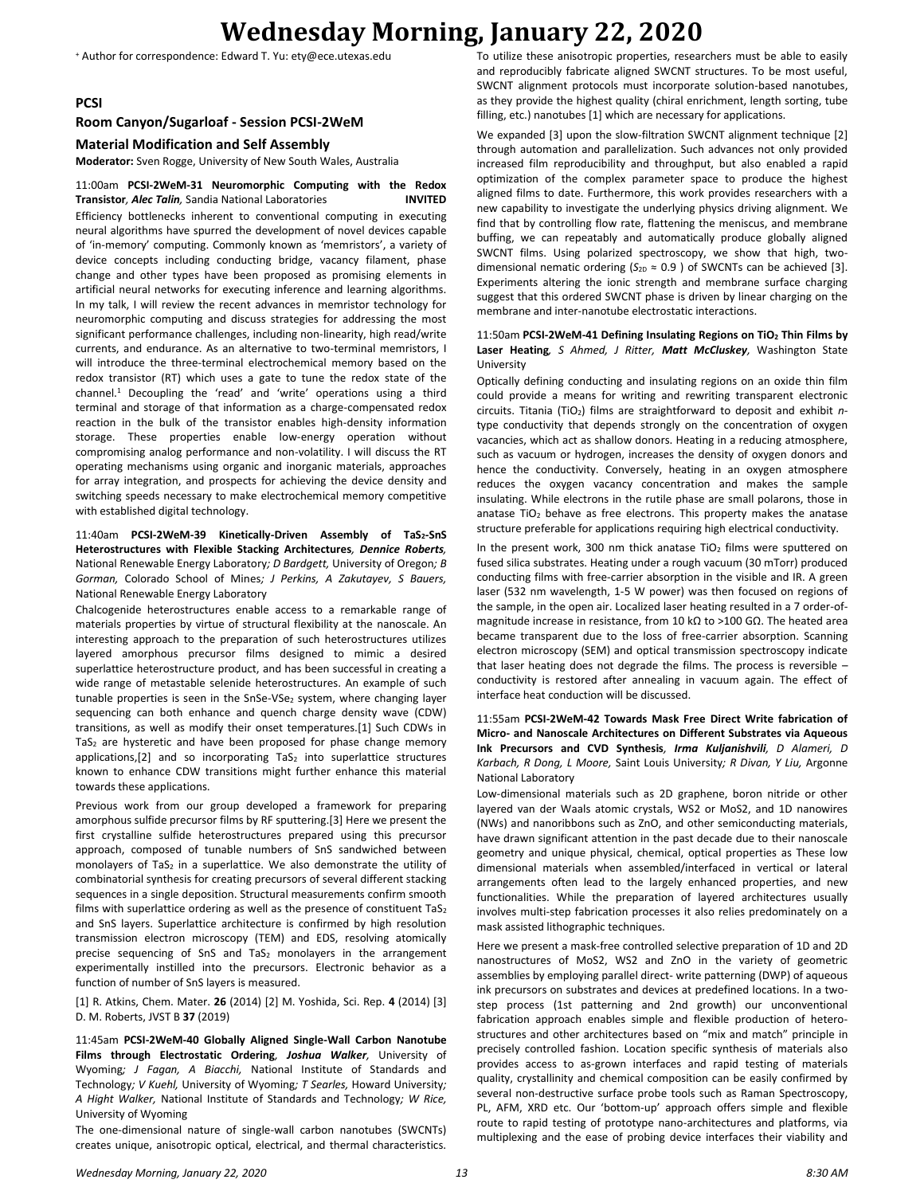# **Wednesday Morning, January 22, 2020**

<sup>+</sup> Author for correspondence: Edward T. Yu: ety@ece.utexas.edu

**PCSI**

#### **Room Canyon/Sugarloaf - Session PCSI-2WeM**

**Material Modification and Self Assembly**

**Moderator:** Sven Rogge, University of New South Wales, Australia

11:00am **PCSI-2WeM-31 Neuromorphic Computing with the Redox Transistor***, Alec Talin,* Sandia National Laboratories **INVITED** Efficiency bottlenecks inherent to conventional computing in executing neural algorithms have spurred the development of novel devices capable of 'in-memory' computing. Commonly known as 'memristors', a variety of device concepts including conducting bridge, vacancy filament, phase change and other types have been proposed as promising elements in artificial neural networks for executing inference and learning algorithms. In my talk, I will review the recent advances in memristor technology for neuromorphic computing and discuss strategies for addressing the most significant performance challenges, including non-linearity, high read/write currents, and endurance. As an alternative to two-terminal memristors, I will introduce the three-terminal electrochemical memory based on the redox transistor (RT) which uses a gate to tune the redox state of the channel.<sup>1</sup> Decoupling the 'read' and 'write' operations using a third terminal and storage of that information as a charge-compensated redox reaction in the bulk of the transistor enables high-density information storage. These properties enable low-energy operation without compromising analog performance and non-volatility. I will discuss the RT operating mechanisms using organic and inorganic materials, approaches for array integration, and prospects for achieving the device density and switching speeds necessary to make electrochemical memory competitive with established digital technology.

11:40am **PCSI-2WeM-39 Kinetically-Driven Assembly of TaS2-SnS Heterostructures with Flexible Stacking Architectures***, Dennice Roberts,*  National Renewable Energy Laboratory*; D Bardgett,* University of Oregon*; B Gorman,* Colorado School of Mines*; J Perkins, A Zakutayev, S Bauers,*  National Renewable Energy Laboratory

Chalcogenide heterostructures enable access to a remarkable range of materials properties by virtue of structural flexibility at the nanoscale. An interesting approach to the preparation of such heterostructures utilizes layered amorphous precursor films designed to mimic a desired superlattice heterostructure product, and has been successful in creating a wide range of metastable selenide heterostructures. An example of such tunable properties is seen in the SnSe-VSe<sub>2</sub> system, where changing layer sequencing can both enhance and quench charge density wave (CDW) transitions, as well as modify their onset temperatures.[1] Such CDWs in  $TaS<sub>2</sub>$  are hysteretic and have been proposed for phase change memory applications,[2] and so incorporating  $TaS<sub>2</sub>$  into superlattice structures known to enhance CDW transitions might further enhance this material towards these applications.

Previous work from our group developed a framework for preparing amorphous sulfide precursor films by RF sputtering.[3] Here we present the first crystalline sulfide heterostructures prepared using this precursor approach, composed of tunable numbers of SnS sandwiched between monolayers of TaS<sub>2</sub> in a superlattice. We also demonstrate the utility of combinatorial synthesis for creating precursors of several different stacking sequences in a single deposition. Structural measurements confirm smooth films with superlattice ordering as well as the presence of constituent  $TaS<sub>2</sub>$ and SnS layers. Superlattice architecture is confirmed by high resolution transmission electron microscopy (TEM) and EDS, resolving atomically precise sequencing of SnS and  $TaS<sub>2</sub>$  monolayers in the arrangement experimentally instilled into the precursors. Electronic behavior as a function of number of SnS layers is measured.

[1] R. Atkins, Chem. Mater. **26** (2014) [2] M. Yoshida, Sci. Rep. **4** (2014) [3] D. M. Roberts, JVST B **37** (2019)

11:45am **PCSI-2WeM-40 Globally Aligned Single-Wall Carbon Nanotube Films through Electrostatic Ordering***, Joshua Walker,* University of Wyoming*; J Fagan, A Biacchi,* National Institute of Standards and Technology*; V Kuehl,* University of Wyoming*; T Searles,* Howard University*; A Hight Walker,* National Institute of Standards and Technology*; W Rice,*  University of Wyoming

The one-dimensional nature of single-wall carbon nanotubes (SWCNTs) creates unique, anisotropic optical, electrical, and thermal characteristics.

To utilize these anisotropic properties, researchers must be able to easily and reproducibly fabricate aligned SWCNT structures. To be most useful, SWCNT alignment protocols must incorporate solution-based nanotubes, as they provide the highest quality (chiral enrichment, length sorting, tube filling, etc.) nanotubes [1] which are necessary for applications.

We expanded [3] upon the slow-filtration SWCNT alignment technique [2] through automation and parallelization. Such advances not only provided increased film reproducibility and throughput, but also enabled a rapid optimization of the complex parameter space to produce the highest aligned films to date. Furthermore, this work provides researchers with a new capability to investigate the underlying physics driving alignment. We find that by controlling flow rate, flattening the meniscus, and membrane buffing, we can repeatably and automatically produce globally aligned SWCNT films. Using polarized spectroscopy, we show that high, twodimensional nematic ordering ( $S_{2D} \approx 0.9$  ) of SWCNTs can be achieved [3]. Experiments altering the ionic strength and membrane surface charging suggest that this ordered SWCNT phase is driven by linear charging on the membrane and inter-nanotube electrostatic interactions.

#### 11:50am **PCSI-2WeM-41 Defining Insulating Regions on TiO<sup>2</sup> Thin Films by Laser Heating***, S Ahmed, J Ritter, Matt McCluskey,* Washington State University

Optically defining conducting and insulating regions on an oxide thin film could provide a means for writing and rewriting transparent electronic circuits. Titania (TiO2) films are straightforward to deposit and exhibit *n*type conductivity that depends strongly on the concentration of oxygen vacancies, which act as shallow donors. Heating in a reducing atmosphere, such as vacuum or hydrogen, increases the density of oxygen donors and hence the conductivity. Conversely, heating in an oxygen atmosphere reduces the oxygen vacancy concentration and makes the sample insulating. While electrons in the rutile phase are small polarons, those in anatase  $TiO<sub>2</sub>$  behave as free electrons. This property makes the anatase structure preferable for applications requiring high electrical conductivity.

In the present work, 300 nm thick anatase TiO<sub>2</sub> films were sputtered on fused silica substrates. Heating under a rough vacuum (30 mTorr) produced conducting films with free-carrier absorption in the visible and IR. A green laser (532 nm wavelength, 1-5 W power) was then focused on regions of the sample, in the open air. Localized laser heating resulted in a 7 order-ofmagnitude increase in resistance, from 10 kΩ to >100 GΩ. The heated area became transparent due to the loss of free-carrier absorption. Scanning electron microscopy (SEM) and optical transmission spectroscopy indicate that laser heating does not degrade the films. The process is reversible – conductivity is restored after annealing in vacuum again. The effect of interface heat conduction will be discussed.

#### 11:55am **PCSI-2WeM-42 Towards Mask Free Direct Write fabrication of Micro- and Nanoscale Architectures on Different Substrates via Aqueous Ink Precursors and CVD Synthesis***, Irma Kuljanishvili, D Alameri, D Karbach, R Dong, L Moore,* Saint Louis University*; R Divan, Y Liu,* Argonne National Laboratory

Low-dimensional materials such as 2D graphene, boron nitride or other layered van der Waals atomic crystals, WS2 or MoS2, and 1D nanowires (NWs) and nanoribbons such as ZnO, and other semiconducting materials, have drawn significant attention in the past decade due to their nanoscale geometry and unique physical, chemical, optical properties as These low dimensional materials when assembled/interfaced in vertical or lateral arrangements often lead to the largely enhanced properties, and new functionalities. While the preparation of layered architectures usually involves multi-step fabrication processes it also relies predominately on a mask assisted lithographic techniques.

Here we present a mask-free controlled selective preparation of 1D and 2D nanostructures of MoS2, WS2 and ZnO in the variety of geometric assemblies by employing parallel direct- write patterning (DWP) of aqueous ink precursors on substrates and devices at predefined locations. In a twostep process (1st patterning and 2nd growth) our unconventional fabrication approach enables simple and flexible production of heterostructures and other architectures based on "mix and match" principle in precisely controlled fashion. Location specific synthesis of materials also provides access to as-grown interfaces and rapid testing of materials quality, crystallinity and chemical composition can be easily confirmed by several non-destructive surface probe tools such as Raman Spectroscopy, PL, AFM, XRD etc. Our 'bottom-up' approach offers simple and flexible route to rapid testing of prototype nano-architectures and platforms, via multiplexing and the ease of probing device interfaces their viability and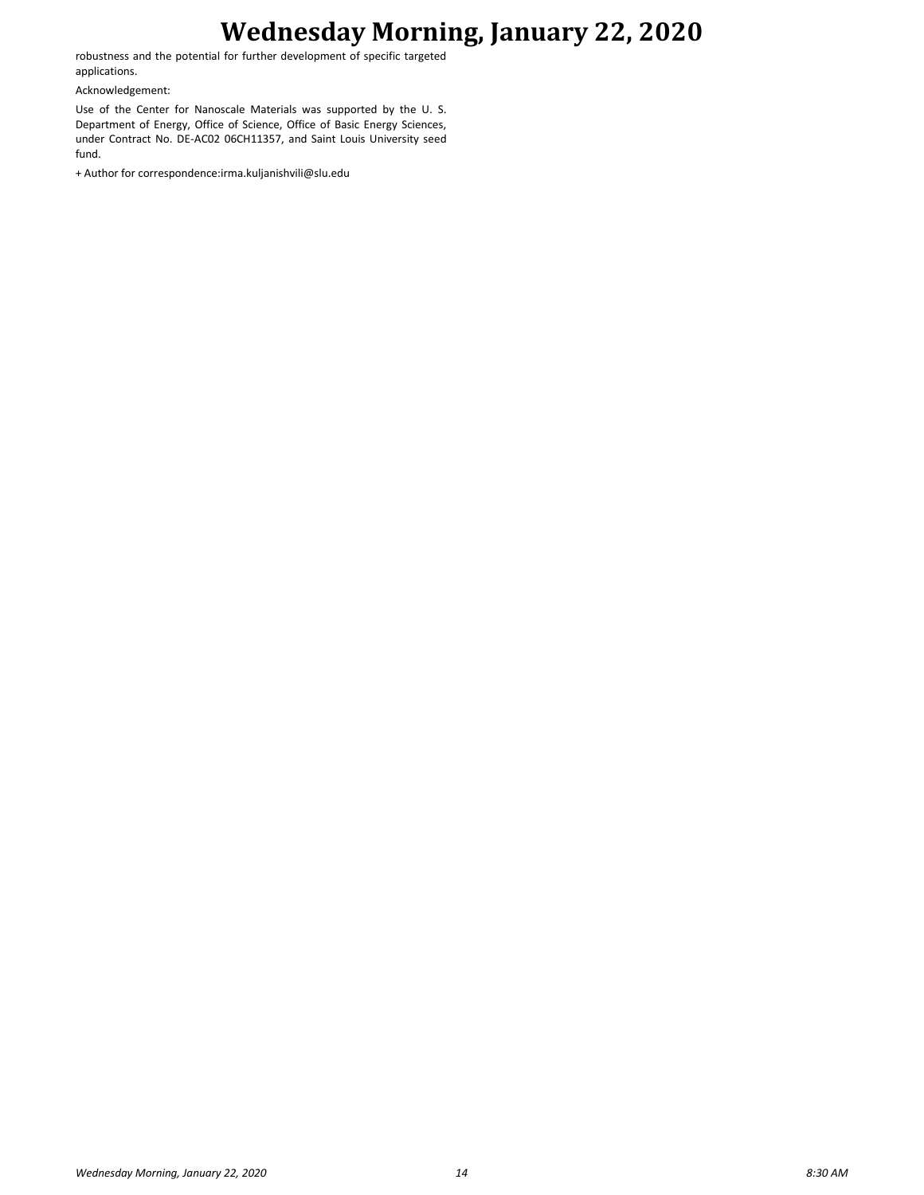## **Wednesday Morning, January 22, 2020**

robustness and the potential for further development of specific targeted applications.

Acknowledgement:

Use of the Center for Nanoscale Materials was supported by the U. S. Department of Energy, Office of Science, Office of Basic Energy Sciences, under Contract No. DE-AC02 06CH11357, and Saint Louis University seed fund.

+ Author for correspondence:irma.kuljanishvili@slu.edu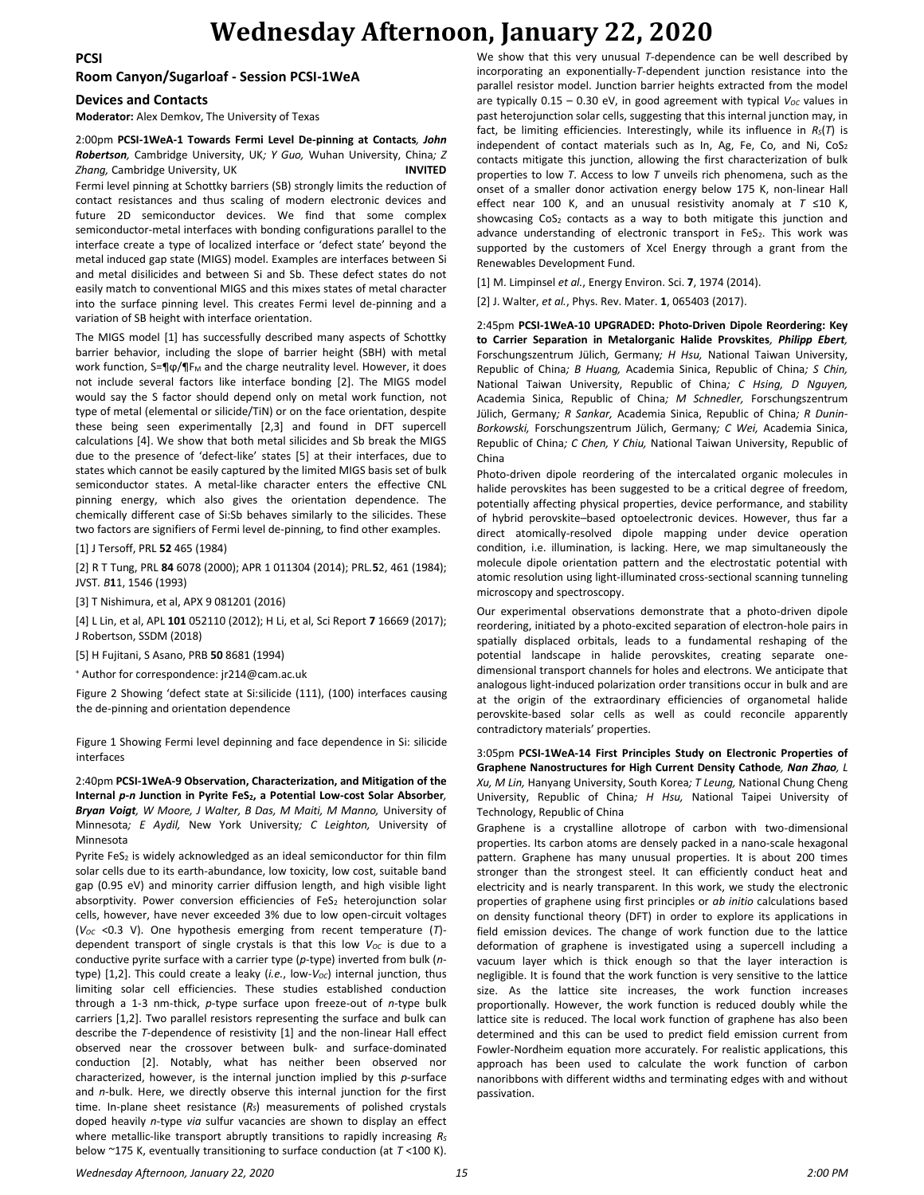#### **PCSI**

# **Wednesday Afternoon, January 22, 2020**

**Room Canyon/Sugarloaf - Session PCSI-1WeA**

#### **Devices and Contacts**

**Moderator:** Alex Demkov, The University of Texas

#### 2:00pm **PCSI-1WeA-1 Towards Fermi Level De-pinning at Contacts***, John Robertson,* Cambridge University, UK*; Y Guo,* Wuhan University, China*; Z Zhang,* Cambridge University, UK **INVITED**

Fermi level pinning at Schottky barriers (SB) strongly limits the reduction of contact resistances and thus scaling of modern electronic devices and future 2D semiconductor devices. We find that some complex semiconductor-metal interfaces with bonding configurations parallel to the interface create a type of localized interface or 'defect state' beyond the metal induced gap state (MIGS) model. Examples are interfaces between Si and metal disilicides and between Si and Sb. These defect states do not easily match to conventional MIGS and this mixes states of metal character into the surface pinning level. This creates Fermi level de-pinning and a variation of SB height with interface orientation.

The MIGS model [1] has successfully described many aspects of Schottky barrier behavior, including the slope of barrier height (SBH) with metal work function, S=¶φ/¶F<sub>M</sub> and the charge neutrality level. However, it does not include several factors like interface bonding [2]. The MIGS model would say the S factor should depend only on metal work function, not type of metal (elemental or silicide/TiN) or on the face orientation, despite these being seen experimentally [2,3] and found in DFT supercell calculations [4]. We show that both metal silicides and Sb break the MIGS due to the presence of 'defect-like' states [5] at their interfaces, due to states which cannot be easily captured by the limited MIGS basis set of bulk semiconductor states. A metal-like character enters the effective CNL pinning energy, which also gives the orientation dependence. The chemically different case of Si:Sb behaves similarly to the silicides. These two factors are signifiers of Fermi level de-pinning, to find other examples.

[1] J Tersoff, PRL **52** 465 (1984)

[2] R T Tung, PRL **84** 6078 (2000); APR 1 011304 (2014); PRL*.***5**2, 461 (1984); JVST*. B***1**1, 1546 (1993)

[3] T Nishimura, et al, APX 9 081201 (2016)

[4] L Lin, et al, APL **101** 052110 (2012); H Li, et al, Sci Report **7** 16669 (2017); J Robertson, SSDM (2018)

[5] H Fujitani, S Asano, PRB **50** 8681 (1994)

<sup>+</sup> Author for correspondence: jr214@cam.ac.uk

Figure 2 Showing 'defect state at Si:silicide (111), (100) interfaces causing the de-pinning and orientation dependence

Figure 1 Showing Fermi level depinning and face dependence in Si: silicide interfaces

2:40pm **PCSI-1WeA-9 Observation, Characterization, and Mitigation of the Internal** *p-n* **Junction in Pyrite FeS2, a Potential Low-cost Solar Absorber***, Bryan Voigt, W Moore, J Walter, B Das, M Maiti, M Manno,* University of Minnesota*; E Aydil,* New York University*; C Leighton,* University of Minnesota

Pyrite FeS<sub>2</sub> is widely acknowledged as an ideal semiconductor for thin film solar cells due to its earth-abundance, low toxicity, low cost, suitable band gap (0.95 eV) and minority carrier diffusion length, and high visible light absorptivity. Power conversion efficiencies of  $FeS<sub>2</sub>$  heterojunction solar cells, however, have never exceeded 3% due to low open-circuit voltages ( $V_{OC}$  <0.3 V). One hypothesis emerging from recent temperature ( $T$ )dependent transport of single crystals is that this low  $V_{OC}$  is due to a conductive pyrite surface with a carrier type (*p*-type) inverted from bulk (*n*type) [1,2]. This could create a leaky (*i.e.*, low-*VOC*) internal junction, thus limiting solar cell efficiencies. These studies established conduction through a 1-3 nm-thick, *p*-type surface upon freeze-out of *n-*type bulk carriers [1,2]. Two parallel resistors representing the surface and bulk can describe the *T*-dependence of resistivity [1] and the non-linear Hall effect observed near the crossover between bulk- and surface-dominated conduction [2]. Notably, what has neither been observed nor characterized, however, is the internal junction implied by this *p-*surface and *n-*bulk. Here, we directly observe this internal junction for the first time. In-plane sheet resistance (*RS*) measurements of polished crystals doped heavily *n*-type *via* sulfur vacancies are shown to display an effect where metallic-like transport abruptly transitions to rapidly increasing  $R_S$ below ~175 K, eventually transitioning to surface conduction (at *T* <100 K). We show that this very unusual *T*-dependence can be well described by incorporating an exponentially-*T*-dependent junction resistance into the parallel resistor model. Junction barrier heights extracted from the model are typically  $0.15 - 0.30$  eV, in good agreement with typical  $V_{OC}$  values in past heterojunction solar cells, suggesting that this internal junction may, in fact, be limiting efficiencies. Interestingly, while its influence in *RS*(*T*) is independent of contact materials such as In, Ag, Fe, Co, and Ni,  $CoS<sub>2</sub>$ contacts mitigate this junction, allowing the first characterization of bulk properties to low *T*. Access to low *T* unveils rich phenomena, such as the onset of a smaller donor activation energy below 175 K, non-linear Hall effect near 100 K, and an unusual resistivity anomaly at *T* ≤10 K, showcasing  $CoS<sub>2</sub>$  contacts as a way to both mitigate this junction and advance understanding of electronic transport in FeS2. This work was supported by the customers of Xcel Energy through a grant from the Renewables Development Fund.

[1] M. Limpinsel *et al.*, Energy Environ. Sci. **7**, 1974 (2014).

[2] J. Walter, *et al.*, Phys. Rev. Mater. **1**, 065403 (2017).

2:45pm **PCSI-1WeA-10 UPGRADED: Photo-Driven Dipole Reordering: Key to Carrier Separation in Metalorganic Halide Provskites***, Philipp Ebert,*  Forschungszentrum Jülich, Germany*; H Hsu,* National Taiwan University, Republic of China*; B Huang,* Academia Sinica, Republic of China*; S Chin,*  National Taiwan University, Republic of China*; C Hsing, D Nguyen,*  Academia Sinica, Republic of China*; M Schnedler,* Forschungszentrum Jülich, Germany*; R Sankar,* Academia Sinica, Republic of China*; R Dunin-Borkowski,* Forschungszentrum Jülich, Germany*; C Wei,* Academia Sinica, Republic of China*; C Chen, Y Chiu,* National Taiwan University, Republic of China

Photo-driven dipole reordering of the intercalated organic molecules in halide perovskites has been suggested to be a critical degree of freedom, potentially affecting physical properties, device performance, and stability of hybrid perovskite–based optoelectronic devices. However, thus far a direct atomically-resolved dipole mapping under device operation condition, i.e. illumination, is lacking. Here, we map simultaneously the molecule dipole orientation pattern and the electrostatic potential with atomic resolution using light-illuminated cross-sectional scanning tunneling microscopy and spectroscopy.

Our experimental observations demonstrate that a photo-driven dipole reordering, initiated by a photo-excited separation of electron-hole pairs in spatially displaced orbitals, leads to a fundamental reshaping of the potential landscape in halide perovskites, creating separate onedimensional transport channels for holes and electrons. We anticipate that analogous light-induced polarization order transitions occur in bulk and are at the origin of the extraordinary efficiencies of organometal halide perovskite-based solar cells as well as could reconcile apparently contradictory materials' properties.

3:05pm **PCSI-1WeA-14 First Principles Study on Electronic Properties of Graphene Nanostructures for High Current Density Cathode***, Nan Zhao, L Xu, M Lin,* Hanyang University, South Korea*; T Leung,* National Chung Cheng University, Republic of China*; H Hsu,* National Taipei University of Technology, Republic of China

Graphene is a crystalline allotrope of carbon with two-dimensional properties. Its carbon atoms are densely packed in a nano-scale hexagonal pattern. Graphene has many unusual properties. It is about 200 times stronger than the strongest steel. It can efficiently conduct heat and electricity and is nearly transparent. In this work, we study the electronic properties of graphene using first principles or *ab initio* calculations based on density functional theory (DFT) in order to explore its applications in field emission devices. The change of work function due to the lattice deformation of graphene is investigated using a supercell including a vacuum layer which is thick enough so that the layer interaction is negligible. It is found that the work function is very sensitive to the lattice size. As the lattice site increases, the work function increases proportionally. However, the work function is reduced doubly while the lattice site is reduced. The local work function of graphene has also been determined and this can be used to predict field emission current from Fowler-Nordheim equation more accurately. For realistic applications, this approach has been used to calculate the work function of carbon nanoribbons with different widths and terminating edges with and without passivation.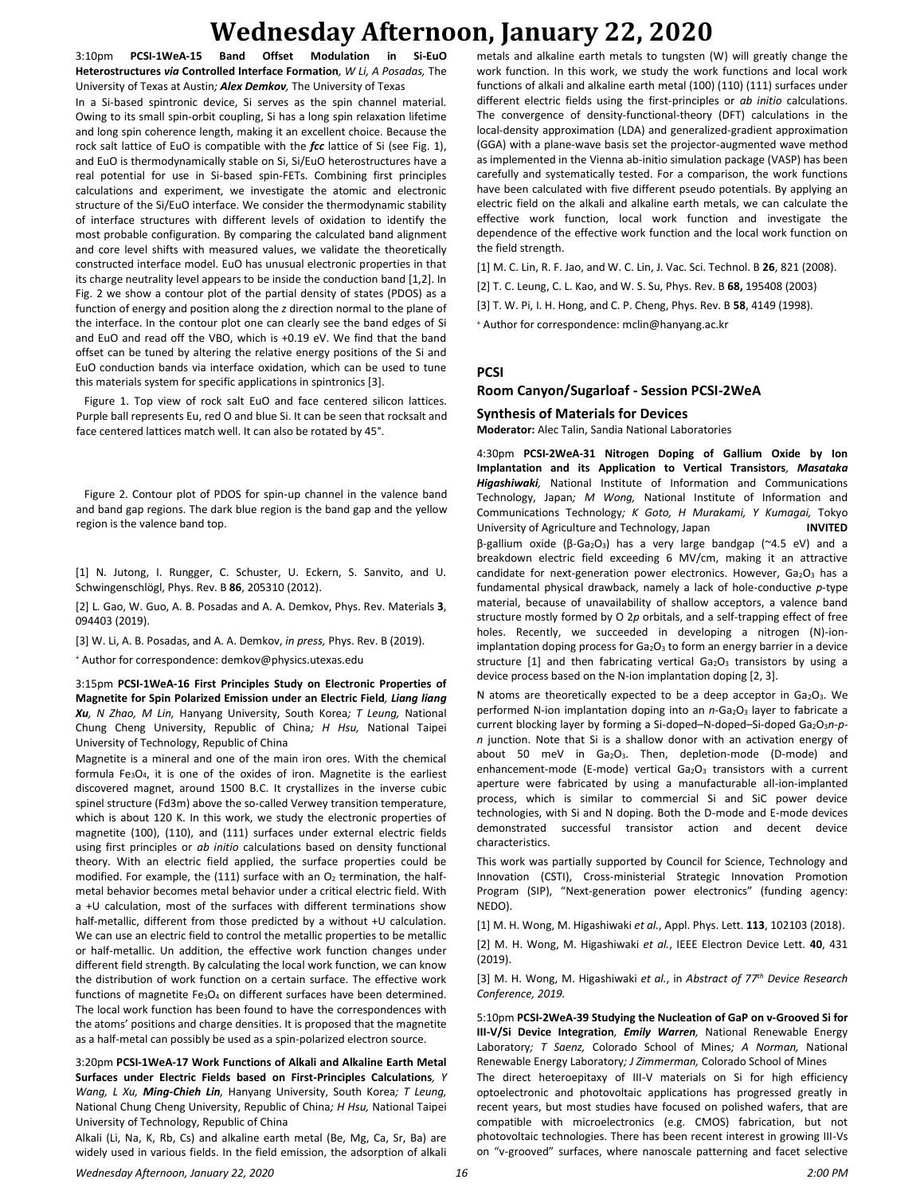# **Wednesday Afternoon, January 22, 2020**

3:10pm **PCSI-1WeA-15 Band Offset Modulation in Si-EuO Heterostructures** *via* **Controlled Interface Formation***, W Li, A Posadas,* The University of Texas at Austin*; Alex Demkov,* The University of Texas In a Si-based spintronic device, Si serves as the spin channel material. Owing to its small spin-orbit coupling, Si has a long spin relaxation lifetime and long spin coherence length, making it an excellent choice. Because the rock salt lattice of EuO is compatible with the *fcc* lattice of Si (see Fig. 1), and EuO is thermodynamically stable on Si, Si/EuO heterostructures have a real potential for use in Si-based spin-FETs. Combining first principles calculations and experiment, we investigate the atomic and electronic structure of the Si/EuO interface. We consider the thermodynamic stability of interface structures with different levels of oxidation to identify the most probable configuration. By comparing the calculated band alignment and core level shifts with measured values, we validate the theoretically constructed interface model. EuO has unusual electronic properties in that its charge neutrality level appears to be inside the conduction band [1,2]. In Fig. 2 we show a contour plot of the partial density of states (PDOS) as a function of energy and position along the *z* direction normal to the plane of the interface. In the contour plot one can clearly see the band edges of Si and EuO and read off the VBO, which is +0.19 eV. We find that the band offset can be tuned by altering the relative energy positions of the Si and EuO conduction bands via interface oxidation, which can be used to tune this materials system for specific applications in spintronics [3].

 Figure 1. Top view of rock salt EuO and face centered silicon lattices. Purple ball represents Eu, red O and blue Si. It can be seen that rocksalt and face centered lattices match well. It can also be rotated by 45°.

 Figure 2. Contour plot of PDOS for spin-up channel in the valence band and band gap regions. The dark blue region is the band gap and the yellow region is the valence band top.

[1] N. Jutong, I. Rungger, C. Schuster, U. Eckern, S. Sanvito, and U. Schwingenschlögl, Phys. Rev. B **86**, 205310 (2012).

[2] L. Gao, W. Guo, A. B. Posadas and A. A. Demkov, Phys. Rev. Materials **3**, 094403 (2019).

[3] W. Li, A. B. Posadas, and A. A. Demkov, *in press,* Phys. Rev. B (2019).

<sup>+</sup> Author for correspondence: demkov@physics.utexas.edu

3:15pm **PCSI-1WeA-16 First Principles Study on Electronic Properties of Magnetite for Spin Polarized Emission under an Electric Field***, Liang liang Xu, N Zhao, M Lin,* Hanyang University, South Korea*; T Leung,* National Chung Cheng University, Republic of China*; H Hsu,* National Taipei University of Technology, Republic of China

Magnetite is a mineral and one of the main iron ores. With the chemical formula  $Fe<sub>3</sub>O<sub>4</sub>$ , it is one of the oxides of iron. Magnetite is the earliest discovered magnet, around 1500 B.C. It crystallizes in the inverse cubic spinel structure (Fd3m) above the so-called Verwey transition temperature, which is about 120 K. In this work, we study the electronic properties of magnetite (100), (110), and (111) surfaces under external electric fields using first principles or *ab initio* calculations based on density functional theory. With an electric field applied, the surface properties could be modified. For example, the (111) surface with an  $O<sub>2</sub>$  termination, the halfmetal behavior becomes metal behavior under a critical electric field. With a +U calculation, most of the surfaces with different terminations show half-metallic, different from those predicted by a without +U calculation. We can use an electric field to control the metallic properties to be metallic or half-metallic. Un addition, the effective work function changes under different field strength. By calculating the local work function, we can know the distribution of work function on a certain surface. The effective work functions of magnetite Fe3O<sup>4</sup> on different surfaces have been determined. The local work function has been found to have the correspondences with the atoms' positions and charge densities. It is proposed that the magnetite as a half-metal can possibly be used as a spin-polarized electron source.

3:20pm **PCSI-1WeA-17 Work Functions of Alkali and Alkaline Earth Metal Surfaces under Electric Fields based on First-Principles Calculations***, Y Wang, L Xu, Ming-Chieh Lin,* Hanyang University, South Korea*; T Leung,*  National Chung Cheng University, Republic of China*; H Hsu,* National Taipei University of Technology, Republic of China

Alkali (Li, Na, K, Rb, Cs) and alkaline earth metal (Be, Mg, Ca, Sr, Ba) are widely used in various fields. In the field emission, the adsorption of alkali metals and alkaline earth metals to tungsten (W) will greatly change the work function. In this work, we study the work functions and local work functions of alkali and alkaline earth metal (100) (110) (111) surfaces under different electric fields using the first-principles or *ab initio* calculations. The convergence of density-functional-theory (DFT) calculations in the local-density approximation (LDA) and generalized-gradient approximation (GGA) with a plane-wave basis set the projector-augmented wave method as implemented in the Vienna ab-initio simulation package (VASP) has been carefully and systematically tested. For a comparison, the work functions have been calculated with five different pseudo potentials. By applying an electric field on the alkali and alkaline earth metals, we can calculate the effective work function, local work function and investigate the dependence of the effective work function and the local work function on the field strength.

[1] M. C. Lin, R. F. Jao, and W. C. Lin, J. Vac. Sci. Technol. B **26**, 821 (2008).

[2] T. C. Leung, C. L. Kao, and W. S. Su, Phys. Rev. B **68,** 195408 (2003)

[3] T. W. Pi, I. H. Hong, and C. P. Cheng, Phys. Rev. B **58**, 4149 (1998).

<sup>+</sup> Author for correspondence: mclin@hanyang.ac.kr

#### **PCSI**

#### **Room Canyon/Sugarloaf - Session PCSI-2WeA**

#### **Synthesis of Materials for Devices**

**Moderator:** Alec Talin, Sandia National Laboratories

4:30pm **PCSI-2WeA-31 Nitrogen Doping of Gallium Oxide by Ion Implantation and its Application to Vertical Transistors***, Masataka Higashiwaki,* National Institute of Information and Communications Technology, Japan*; M Wong,* National Institute of Information and Communications Technology*; K Goto, H Murakami, Y Kumagai,* Tokyo University of Agriculture and Technology, Japan **INVITED** β-gallium oxide (β-Ga2O3) has a very large bandgap (~4.5 eV) and a breakdown electric field exceeding 6 MV/cm, making it an attractive candidate for next-generation power electronics. However, Ga2O3 has a fundamental physical drawback, namely a lack of hole-conductive *p*-type material, because of unavailability of shallow acceptors, a valence band structure mostly formed by O 2*p* orbitals, and a self-trapping effect of free holes. Recently, we succeeded in developing a nitrogen (N)-ionimplantation doping process for Ga<sub>2</sub>O<sub>3</sub> to form an energy barrier in a device structure  $[1]$  and then fabricating vertical  $Ga<sub>2</sub>O<sub>3</sub>$  transistors by using a device process based on the N-ion implantation doping [2, 3].

N atoms are theoretically expected to be a deep acceptor in Ga2O3. We performed N-ion implantation doping into an *n*-Ga<sub>2</sub>O<sub>3</sub> layer to fabricate a current blocking layer by forming a Si-doped-N-doped-Si-doped Ga<sub>2</sub>O<sub>3</sub>n-p*n* junction. Note that Si is a shallow donor with an activation energy of about 50 meV in Ga<sub>2</sub>O<sub>3</sub>. Then, depletion-mode (D-mode) and enhancement-mode (E-mode) vertical  $Ga<sub>2</sub>O<sub>3</sub>$  transistors with a current aperture were fabricated by using a manufacturable all-ion-implanted process, which is similar to commercial Si and SiC power device technologies, with Si and N doping. Both the D-mode and E-mode devices demonstrated successful transistor action and decent device characteristics.

This work was partially supported by Council for Science, Technology and Innovation (CSTI), Cross-ministerial Strategic Innovation Promotion Program (SIP), "Next-generation power electronics" (funding agency: NEDO).

[1] M. H. Wong, M. Higashiwaki *et al.*, Appl. Phys. Lett. **113**, 102103 (2018).

[2] M. H. Wong, M. Higashiwaki *et al.*, IEEE Electron Device Lett. **40**, 431 (2019).

[3] M. H. Wong, M. Higashiwaki *et al.*, in *Abstract of 77th Device Research Conference, 2019.*

5:10pm **PCSI-2WeA-39 Studying the Nucleation of GaP on v-Grooved Si for III-V/Si Device Integration***, Emily Warren,* National Renewable Energy Laboratory*; T Saenz,* Colorado School of Mines*; A Norman,* National Renewable Energy Laboratory*; J Zimmerman,* Colorado School of Mines

The direct heteroepitaxy of III-V materials on Si for high efficiency optoelectronic and photovoltaic applications has progressed greatly in recent years, but most studies have focused on polished wafers, that are compatible with microelectronics (e.g. CMOS) fabrication, but not photovoltaic technologies. There has been recent interest in growing III-Vs on "v-grooved" surfaces, where nanoscale patterning and facet selective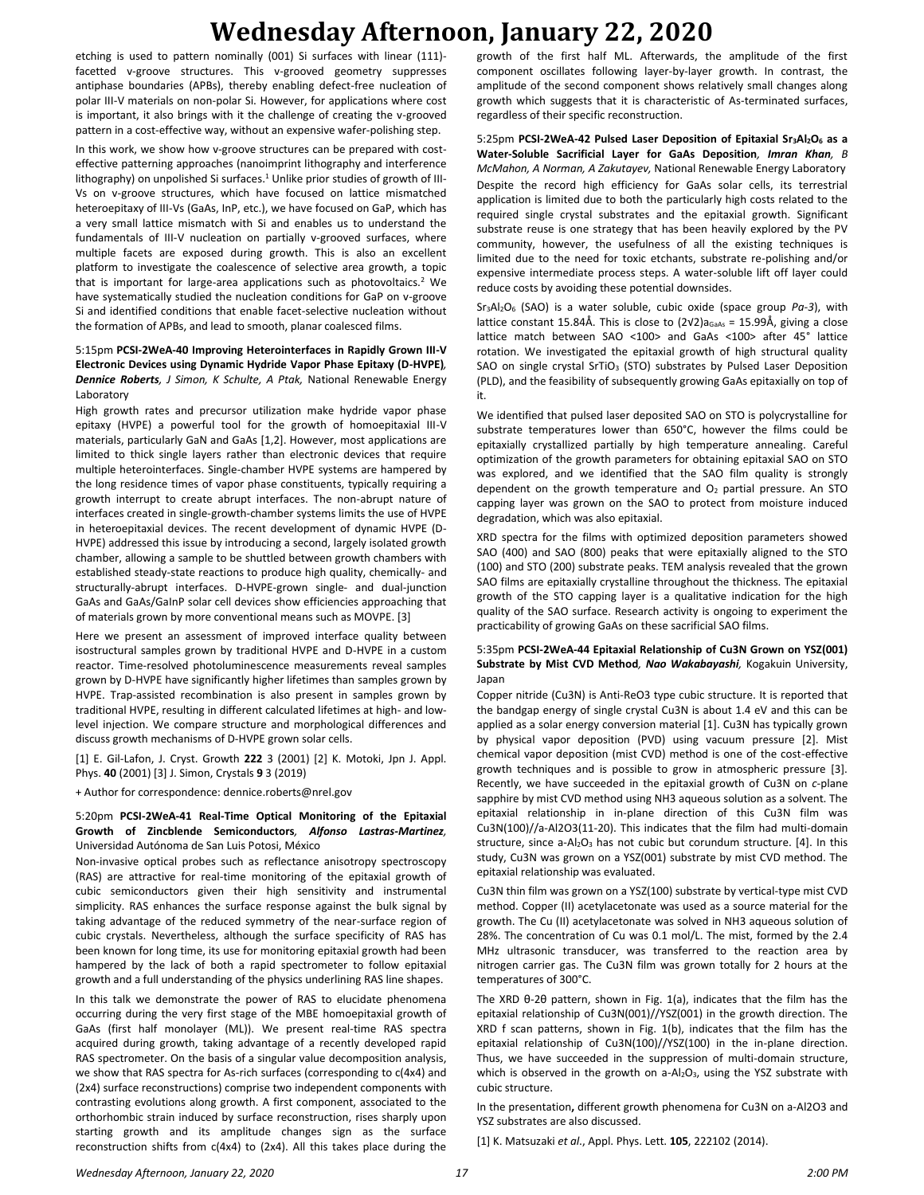# **Wednesday Afternoon, January 22, 2020**

etching is used to pattern nominally (001) Si surfaces with linear (111) facetted v-groove structures. This v-grooved geometry suppresses antiphase boundaries (APBs), thereby enabling defect-free nucleation of polar III-V materials on non-polar Si. However, for applications where cost is important, it also brings with it the challenge of creating the v-grooved pattern in a cost-effective way, without an expensive wafer-polishing step.

In this work, we show how v-groove structures can be prepared with costeffective patterning approaches (nanoimprint lithography and interference lithography) on unpolished Si surfaces.<sup>1</sup> Unlike prior studies of growth of III-Vs on v-groove structures, which have focused on lattice mismatched heteroepitaxy of III-Vs (GaAs, InP, etc.), we have focused on GaP, which has a very small lattice mismatch with Si and enables us to understand the fundamentals of III-V nucleation on partially v-grooved surfaces, where multiple facets are exposed during growth. This is also an excellent platform to investigate the coalescence of selective area growth, a topic that is important for large-area applications such as photovoltaics.<sup>2</sup> We have systematically studied the nucleation conditions for GaP on v-groove Si and identified conditions that enable facet-selective nucleation without the formation of APBs, and lead to smooth, planar coalesced films.

#### 5:15pm **PCSI-2WeA-40 Improving Heterointerfaces in Rapidly Grown III-V Electronic Devices using Dynamic Hydride Vapor Phase Epitaxy (D-HVPE)***, Dennice Roberts, J Simon, K Schulte, A Ptak,* National Renewable Energy Laboratory

High growth rates and precursor utilization make hydride vapor phase epitaxy (HVPE) a powerful tool for the growth of homoepitaxial III-V materials, particularly GaN and GaAs [1,2]. However, most applications are limited to thick single layers rather than electronic devices that require multiple heterointerfaces. Single-chamber HVPE systems are hampered by the long residence times of vapor phase constituents, typically requiring a growth interrupt to create abrupt interfaces. The non-abrupt nature of interfaces created in single-growth-chamber systems limits the use of HVPE in heteroepitaxial devices. The recent development of dynamic HVPE (D-HVPE) addressed this issue by introducing a second, largely isolated growth chamber, allowing a sample to be shuttled between growth chambers with established steady-state reactions to produce high quality, chemically- and structurally-abrupt interfaces. D-HVPE-grown single- and dual-junction GaAs and GaAs/GaInP solar cell devices show efficiencies approaching that of materials grown by more conventional means such as MOVPE. [3]

Here we present an assessment of improved interface quality between isostructural samples grown by traditional HVPE and D-HVPE in a custom reactor. Time-resolved photoluminescence measurements reveal samples grown by D-HVPE have significantly higher lifetimes than samples grown by HVPE. Trap-assisted recombination is also present in samples grown by traditional HVPE, resulting in different calculated lifetimes at high- and lowlevel injection. We compare structure and morphological differences and discuss growth mechanisms of D-HVPE grown solar cells.

[1] E. Gil-Lafon, J. Cryst. Growth **222** 3 (2001) [2] K. Motoki, Jpn J. Appl. Phys. **40** (2001) [3] J. Simon, Crystals **9** 3 (2019)

+ Author for correspondence: dennice.roberts@nrel.gov

#### 5:20pm **PCSI-2WeA-41 Real-Time Optical Monitoring of the Epitaxial Growth of Zincblende Semiconductors***, Alfonso Lastras-Martinez,*  Universidad Autónoma de San Luis Potosi, México

Non-invasive optical probes such as reflectance anisotropy spectroscopy (RAS) are attractive for real-time monitoring of the epitaxial growth of cubic semiconductors given their high sensitivity and instrumental simplicity. RAS enhances the surface response against the bulk signal by taking advantage of the reduced symmetry of the near-surface region of cubic crystals. Nevertheless, although the surface specificity of RAS has been known for long time, its use for monitoring epitaxial growth had been hampered by the lack of both a rapid spectrometer to follow epitaxial growth and a full understanding of the physics underlining RAS line shapes.

In this talk we demonstrate the power of RAS to elucidate phenomena occurring during the very first stage of the MBE homoepitaxial growth of GaAs (first half monolayer (ML)). We present real-time RAS spectra acquired during growth, taking advantage of a recently developed rapid RAS spectrometer. On the basis of a singular value decomposition analysis, we show that RAS spectra for As-rich surfaces (corresponding to c(4x4) and (2x4) surface reconstructions) comprise two independent components with contrasting evolutions along growth. A first component, associated to the orthorhombic strain induced by surface reconstruction, rises sharply upon starting growth and its amplitude changes sign as the surface reconstruction shifts from c(4x4) to (2x4). All this takes place during the

growth of the first half ML. Afterwards, the amplitude of the first component oscillates following layer-by-layer growth. In contrast, the amplitude of the second component shows relatively small changes along growth which suggests that it is characteristic of As-terminated surfaces, regardless of their specific reconstruction.

5:25pm **PCSI-2WeA-42 Pulsed Laser Deposition of Epitaxial Sr3Al2O<sup>6</sup> as a Water-Soluble Sacrificial Layer for GaAs Deposition***, Imran Khan, B McMahon, A Norman, A Zakutayev,* National Renewable Energy Laboratory Despite the record high efficiency for GaAs solar cells, its terrestrial application is limited due to both the particularly high costs related to the required single crystal substrates and the epitaxial growth. Significant substrate reuse is one strategy that has been heavily explored by the PV community, however, the usefulness of all the existing techniques is limited due to the need for toxic etchants, substrate re-polishing and/or expensive intermediate process steps. A water-soluble lift off layer could reduce costs by avoiding these potential downsides.

Sr3Al2O<sup>6</sup> (SAO) is a water soluble, cubic oxide (space group *Pa-3*), with lattice constant 15.84Å. This is close to (2√2)a<sub>GaAs</sub> = 15.99Å, giving a close lattice match between SAO <100> and GaAs <100> after 45° lattice rotation. We investigated the epitaxial growth of high structural quality SAO on single crystal SrTiO<sub>3</sub> (STO) substrates by Pulsed Laser Deposition (PLD), and the feasibility of subsequently growing GaAs epitaxially on top of it.

We identified that pulsed laser deposited SAO on STO is polycrystalline for substrate temperatures lower than 650°C, however the films could be epitaxially crystallized partially by high temperature annealing. Careful optimization of the growth parameters for obtaining epitaxial SAO on STO was explored, and we identified that the SAO film quality is strongly dependent on the growth temperature and  $O<sub>2</sub>$  partial pressure. An STO capping layer was grown on the SAO to protect from moisture induced degradation, which was also epitaxial.

XRD spectra for the films with optimized deposition parameters showed SAO (400) and SAO (800) peaks that were epitaxially aligned to the STO (100) and STO (200) substrate peaks. TEM analysis revealed that the grown SAO films are epitaxially crystalline throughout the thickness. The epitaxial growth of the STO capping layer is a qualitative indication for the high quality of the SAO surface. Research activity is ongoing to experiment the practicability of growing GaAs on these sacrificial SAO films.

#### 5:35pm **PCSI-2WeA-44 Epitaxial Relationship of Cu3N Grown on YSZ(001) Substrate by Mist CVD Method***, Nao Wakabayashi,* Kogakuin University, Japan

Copper nitride (Cu3N) is Anti-ReO3 type cubic structure. It is reported that the bandgap energy of single crystal Cu3N is about 1.4 eV and this can be applied as a solar energy conversion material [1]. Cu3N has typically grown by physical vapor deposition (PVD) using vacuum pressure [2]. Mist chemical vapor deposition (mist CVD) method is one of the cost-effective growth techniques and is possible to grow in atmospheric pressure [3]. Recently, we have succeeded in the epitaxial growth of Cu3N on *c*-plane sapphire by mist CVD method using NH3 aqueous solution as a solvent. The epitaxial relationship in in-plane direction of this Cu3N film was Cu3N(100)//a-Al2O3(11-20). This indicates that the film had multi-domain structure, since  $a$ -Al<sub>2</sub>O<sub>3</sub> has not cubic but corundum structure. [4]. In this study, Cu3N was grown on a YSZ(001) substrate by mist CVD method. The epitaxial relationship was evaluated.

Cu3N thin film was grown on a YSZ(100) substrate by vertical-type mist CVD method. Copper (II) acetylacetonate was used as a source material for the growth. The Cu (II) acetylacetonate was solved in NH3 aqueous solution of 28%. The concentration of Cu was 0.1 mol/L. The mist, formed by the 2.4 MHz ultrasonic transducer, was transferred to the reaction area by nitrogen carrier gas. The Cu3N film was grown totally for 2 hours at the temperatures of 300°C.

The XRD θ-2θ pattern, shown in Fig. 1(a), indicates that the film has the epitaxial relationship of Cu3N(001)//YSZ(001) in the growth direction. The XRD f scan patterns, shown in Fig. 1(b), indicates that the film has the epitaxial relationship of Cu3N(100)//YSZ(100) in the in-plane direction. Thus, we have succeeded in the suppression of multi-domain structure, which is observed in the growth on  $a-Al<sub>2</sub>O<sub>3</sub>$ , using the YSZ substrate with cubic structure.

In the presentation**,** different growth phenomena for Cu3N on a-Al2O3 and YSZ substrates are also discussed.

[1] K. Matsuzaki *et al*., Appl. Phys. Lett. **105**, 222102 (2014).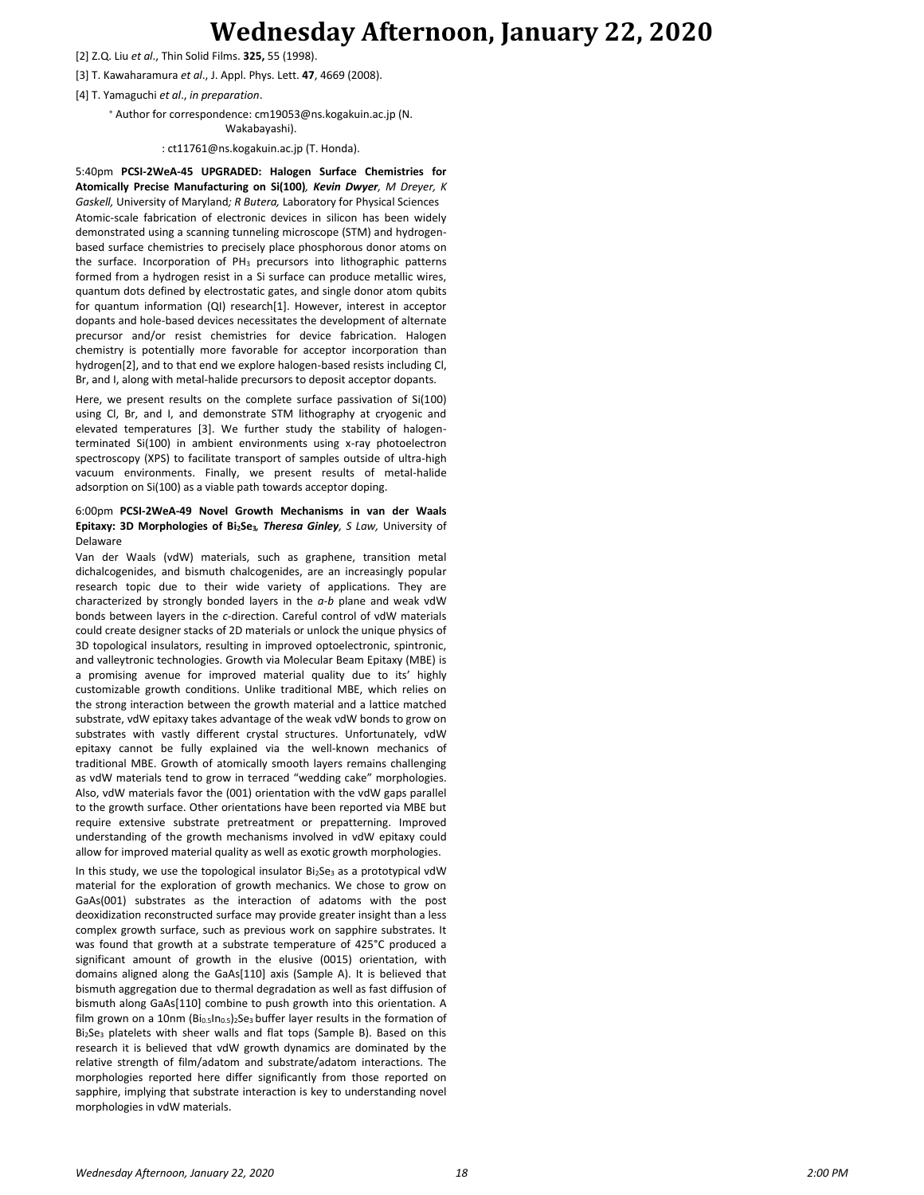### **Wednesday Afternoon, January 22, 2020**

- [2] Z.Q. Liu *et al*., Thin Solid Films. **325,** 55 (1998).
- [3] T. Kawaharamura *et al*., J. Appl. Phys. Lett. **47**, 4669 (2008).
- [4] T. Yamaguchi *et al*., *in preparation*.
	- <sup>+</sup> Author for correspondence: cm19053@ns.kogakuin.ac.jp (N.

Wakabayashi).

: ct11761@ns.kogakuin.ac.jp (T. Honda).

5:40pm **PCSI-2WeA-45 UPGRADED: Halogen Surface Chemistries for Atomically Precise Manufacturing on Si(100)***, Kevin Dwyer, M Dreyer, K Gaskell,* University of Maryland*; R Butera,* Laboratory for Physical Sciences Atomic-scale fabrication of electronic devices in silicon has been widely demonstrated using a scanning tunneling microscope (STM) and hydrogenbased surface chemistries to precisely place phosphorous donor atoms on the surface. Incorporation of PH<sub>3</sub> precursors into lithographic patterns formed from a hydrogen resist in a Si surface can produce metallic wires, quantum dots defined by electrostatic gates, and single donor atom qubits for quantum information (QI) research[1]. However, interest in acceptor dopants and hole-based devices necessitates the development of alternate precursor and/or resist chemistries for device fabrication. Halogen chemistry is potentially more favorable for acceptor incorporation than hydrogen[2], and to that end we explore halogen-based resists including Cl, Br, and I, along with metal-halide precursors to deposit acceptor dopants.

Here, we present results on the complete surface passivation of Si(100) using Cl, Br, and I, and demonstrate STM lithography at cryogenic and elevated temperatures [3]. We further study the stability of halogenterminated Si(100) in ambient environments using x-ray photoelectron spectroscopy (XPS) to facilitate transport of samples outside of ultra-high vacuum environments. Finally, we present results of metal-halide adsorption on Si(100) as a viable path towards acceptor doping.

#### 6:00pm **PCSI-2WeA-49 Novel Growth Mechanisms in van der Waals Epitaxy: 3D Morphologies of Bi2Se3***, Theresa Ginley, S Law,* University of Delaware

Van der Waals (vdW) materials, such as graphene, transition metal dichalcogenides, and bismuth chalcogenides, are an increasingly popular research topic due to their wide variety of applications. They are characterized by strongly bonded layers in the *a-b* plane and weak vdW bonds between layers in the *c*-direction. Careful control of vdW materials could create designer stacks of 2D materials or unlock the unique physics of 3D topological insulators, resulting in improved optoelectronic, spintronic, and valleytronic technologies. Growth via Molecular Beam Epitaxy (MBE) is a promising avenue for improved material quality due to its' highly customizable growth conditions. Unlike traditional MBE, which relies on the strong interaction between the growth material and a lattice matched substrate, vdW epitaxy takes advantage of the weak vdW bonds to grow on substrates with vastly different crystal structures. Unfortunately, vdW epitaxy cannot be fully explained via the well-known mechanics of traditional MBE. Growth of atomically smooth layers remains challenging as vdW materials tend to grow in terraced "wedding cake" morphologies. Also, vdW materials favor the (001) orientation with the vdW gaps parallel to the growth surface. Other orientations have been reported via MBE but require extensive substrate pretreatment or prepatterning. Improved understanding of the growth mechanisms involved in vdW epitaxy could allow for improved material quality as well as exotic growth morphologies.

In this study, we use the topological insulator  $Bi<sub>2</sub>Se<sub>3</sub>$  as a prototypical vdW material for the exploration of growth mechanics. We chose to grow on GaAs(001) substrates as the interaction of adatoms with the post deoxidization reconstructed surface may provide greater insight than a less complex growth surface, such as previous work on sapphire substrates. It was found that growth at a substrate temperature of 425°C produced a significant amount of growth in the elusive (0015) orientation, with domains aligned along the GaAs[110] axis (Sample A). It is believed that bismuth aggregation due to thermal degradation as well as fast diffusion of bismuth along GaAs[110] combine to push growth into this orientation. A film grown on a 10nm (Bi<sub>0.5</sub>In<sub>0.5</sub>)<sub>2</sub>Se<sub>3</sub> buffer layer results in the formation of Bi2Se<sup>3</sup> platelets with sheer walls and flat tops (Sample B). Based on this research it is believed that vdW growth dynamics are dominated by the relative strength of film/adatom and substrate/adatom interactions. The morphologies reported here differ significantly from those reported on sapphire, implying that substrate interaction is key to understanding novel morphologies in vdW materials.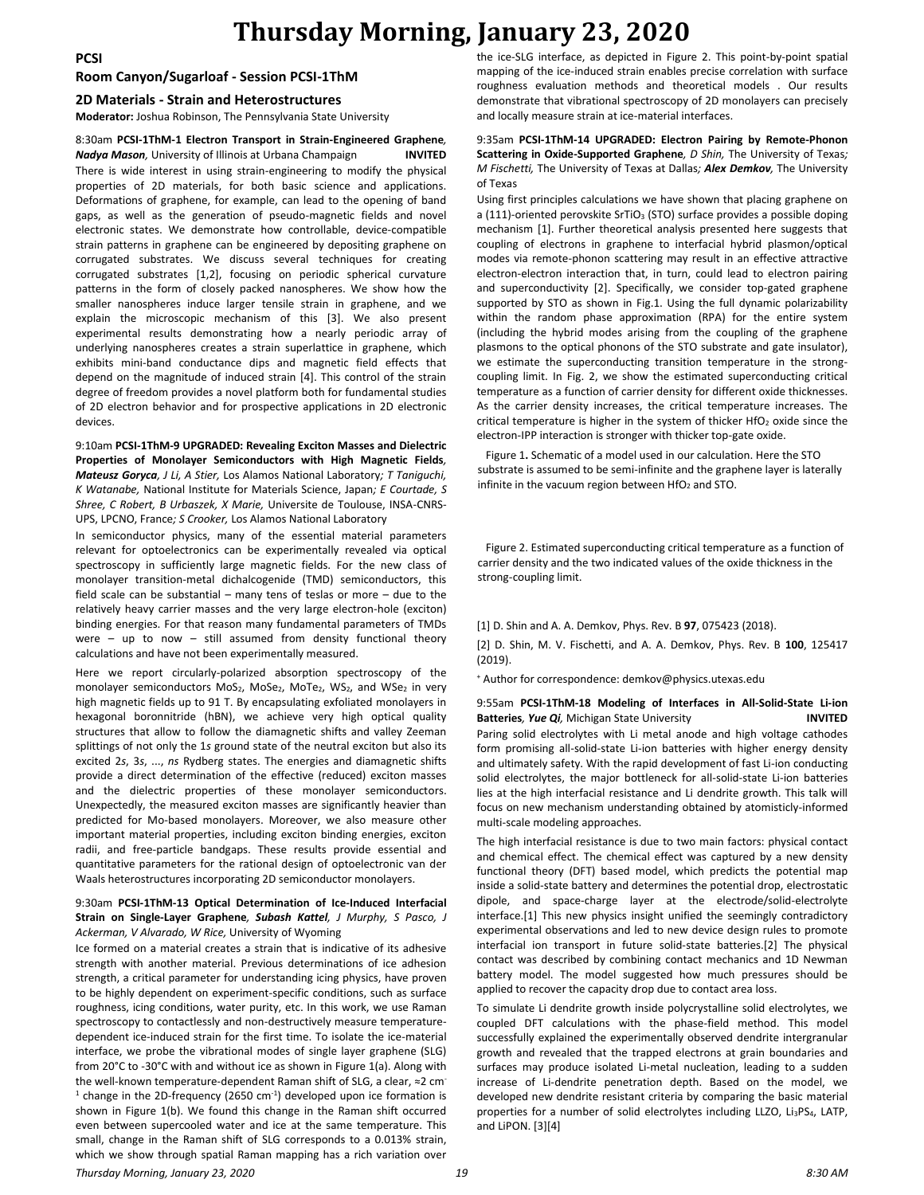### **Thursday Morning, January 23, 2020**

### **Room Canyon/Sugarloaf - Session PCSI-1ThM**

#### **2D Materials - Strain and Heterostructures**

**Moderator:** Joshua Robinson, The Pennsylvania State University

#### 8:30am **PCSI-1ThM-1 Electron Transport in Strain-Engineered Graphene***,*

*Nadya Mason,* University of Illinois at Urbana Champaign **INVITED** There is wide interest in using strain-engineering to modify the physical properties of 2D materials, for both basic science and applications. Deformations of graphene, for example, can lead to the opening of band gaps, as well as the generation of pseudo-magnetic fields and novel electronic states. We demonstrate how controllable, device-compatible strain patterns in graphene can be engineered by depositing graphene on corrugated substrates. We discuss several techniques for creating corrugated substrates [1,2], focusing on periodic spherical curvature patterns in the form of closely packed nanospheres. We show how the smaller nanospheres induce larger tensile strain in graphene, and we explain the microscopic mechanism of this [3]. We also present experimental results demonstrating how a nearly periodic array of underlying nanospheres creates a strain superlattice in graphene, which exhibits mini-band conductance dips and magnetic field effects that depend on the magnitude of induced strain [4]. This control of the strain degree of freedom provides a novel platform both for fundamental studies of 2D electron behavior and for prospective applications in 2D electronic devices.

9:10am **PCSI-1ThM-9 UPGRADED: Revealing Exciton Masses and Dielectric Properties of Monolayer Semiconductors with High Magnetic Fields***, Mateusz Goryca, J Li, A Stier,* Los Alamos National Laboratory*; T Taniguchi, K Watanabe,* National Institute for Materials Science, Japan*; E Courtade, S Shree, C Robert, B Urbaszek, X Marie,* Universite de Toulouse, INSA-CNRS-UPS, LPCNO, France*; S Crooker,* Los Alamos National Laboratory

In semiconductor physics, many of the essential material parameters relevant for optoelectronics can be experimentally revealed via optical spectroscopy in sufficiently large magnetic fields. For the new class of monolayer transition-metal dichalcogenide (TMD) semiconductors, this field scale can be substantial – many tens of teslas or more – due to the relatively heavy carrier masses and the very large electron-hole (exciton) binding energies. For that reason many fundamental parameters of TMDs were – up to now – still assumed from density functional theory calculations and have not been experimentally measured.

Here we report circularly-polarized absorption spectroscopy of the monolayer semiconductors MoS<sub>2</sub>, MoSe<sub>2</sub>, MoTe<sub>2</sub>, WS<sub>2</sub>, and WSe<sub>2</sub> in very high magnetic fields up to 91 T. By encapsulating exfoliated monolayers in hexagonal boronnitride (hBN), we achieve very high optical quality structures that allow to follow the diamagnetic shifts and valley Zeeman splittings of not only the 1*s* ground state of the neutral exciton but also its excited 2*s*, 3*s*, ..., *ns* Rydberg states. The energies and diamagnetic shifts provide a direct determination of the effective (reduced) exciton masses and the dielectric properties of these monolayer semiconductors. Unexpectedly, the measured exciton masses are significantly heavier than predicted for Mo-based monolayers. Moreover, we also measure other important material properties, including exciton binding energies, exciton radii, and free-particle bandgaps. These results provide essential and quantitative parameters for the rational design of optoelectronic van der Waals heterostructures incorporating 2D semiconductor monolayers.

#### 9:30am **PCSI-1ThM-13 Optical Determination of Ice-Induced Interfacial Strain on Single-Layer Graphene***, Subash Kattel, J Murphy, S Pasco, J Ackerman, V Alvarado, W Rice,* University of Wyoming

Ice formed on a material creates a strain that is indicative of its adhesive strength with another material. Previous determinations of ice adhesion strength, a critical parameter for understanding icing physics, have proven to be highly dependent on experiment-specific conditions, such as surface roughness, icing conditions, water purity, etc. In this work, we use Raman spectroscopy to contactlessly and non-destructively measure temperaturedependent ice-induced strain for the first time. To isolate the ice-material interface, we probe the vibrational modes of single layer graphene (SLG) from 20°C to -30°C with and without ice as shown in Figure 1(a). Along with the well-known temperature-dependent Raman shift of SLG, a clear, ≈2 cm- $1$  change in the 2D-frequency (2650 cm $1$ ) developed upon ice formation is shown in Figure 1(b). We found this change in the Raman shift occurred even between supercooled water and ice at the same temperature. This small, change in the Raman shift of SLG corresponds to a 0.013% strain, which we show through spatial Raman mapping has a rich variation over

the ice-SLG interface, as depicted in Figure 2. This point-by-point spatial mapping of the ice-induced strain enables precise correlation with surface roughness evaluation methods and theoretical models . Our results demonstrate that vibrational spectroscopy of 2D monolayers can precisely and locally measure strain at ice-material interfaces.

#### 9:35am **PCSI-1ThM-14 UPGRADED: Electron Pairing by Remote-Phonon Scattering in Oxide-Supported Graphene***, D Shin,* The University of Texas*; M Fischetti,* The University of Texas at Dallas*; Alex Demkov,* The University of Texas

Using first principles calculations we have shown that placing graphene on a (111)-oriented perovskite SrTiO<sub>3</sub> (STO) surface provides a possible doping mechanism [1]. Further theoretical analysis presented here suggests that coupling of electrons in graphene to interfacial hybrid plasmon/optical modes via remote-phonon scattering may result in an effective attractive electron-electron interaction that, in turn, could lead to electron pairing and superconductivity [2]. Specifically, we consider top-gated graphene supported by STO as shown in Fig.1. Using the full dynamic polarizability within the random phase approximation (RPA) for the entire system (including the hybrid modes arising from the coupling of the graphene plasmons to the optical phonons of the STO substrate and gate insulator), we estimate the superconducting transition temperature in the strongcoupling limit. In Fig. 2, we show the estimated superconducting critical temperature as a function of carrier density for different oxide thicknesses. As the carrier density increases, the critical temperature increases. The critical temperature is higher in the system of thicker  $HfO<sub>2</sub>$  oxide since the electron-IPP interaction is stronger with thicker top-gate oxide.

 Figure 1**.** Schematic of a model used in our calculation. Here the STO substrate is assumed to be semi-infinite and the graphene layer is laterally infinite in the vacuum region between  $HfO<sub>2</sub>$  and STO.

 Figure 2. Estimated superconducting critical temperature as a function of carrier density and the two indicated values of the oxide thickness in the strong-coupling limit.

#### [1] D. Shin and A. A. Demkov, Phys. Rev. B **97**, 075423 (2018).

[2] D. Shin, M. V. Fischetti, and A. A. Demkov, Phys. Rev. B **100**, 125417 (2019).

<sup>+</sup> Author for correspondence: demkov@physics.utexas.edu

#### 9:55am **PCSI-1ThM-18 Modeling of Interfaces in All-Solid-State Li-ion Batteries***, Yue Qi,* Michigan State University **INVITED**

Paring solid electrolytes with Li metal anode and high voltage cathodes form promising all-solid-state Li-ion batteries with higher energy density and ultimately safety. With the rapid development of fast Li-ion conducting solid electrolytes, the major bottleneck for all-solid-state Li-ion batteries lies at the high interfacial resistance and Li dendrite growth. This talk will focus on new mechanism understanding obtained by atomisticly-informed multi-scale modeling approaches.

The high interfacial resistance is due to two main factors: physical contact and chemical effect. The chemical effect was captured by a new density functional theory (DFT) based model, which predicts the potential map inside a solid-state battery and determines the potential drop, electrostatic dipole, and space-charge layer at the electrode/solid-electrolyte interface.[1] This new physics insight unified the seemingly contradictory experimental observations and led to new device design rules to promote interfacial ion transport in future solid-state batteries.[2] The physical contact was described by combining contact mechanics and 1D Newman battery model. The model suggested how much pressures should be applied to recover the capacity drop due to contact area loss.

To simulate Li dendrite growth inside polycrystalline solid electrolytes, we coupled DFT calculations with the phase-field method. This model successfully explained the experimentally observed dendrite intergranular growth and revealed that the trapped electrons at grain boundaries and surfaces may produce isolated Li-metal nucleation, leading to a sudden increase of Li-dendrite penetration depth. Based on the model, we developed new dendrite resistant criteria by comparing the basic material properties for a number of solid electrolytes including LLZO, Li<sub>3</sub>PS<sub>4</sub>, LATP, and LiPON. [3][4]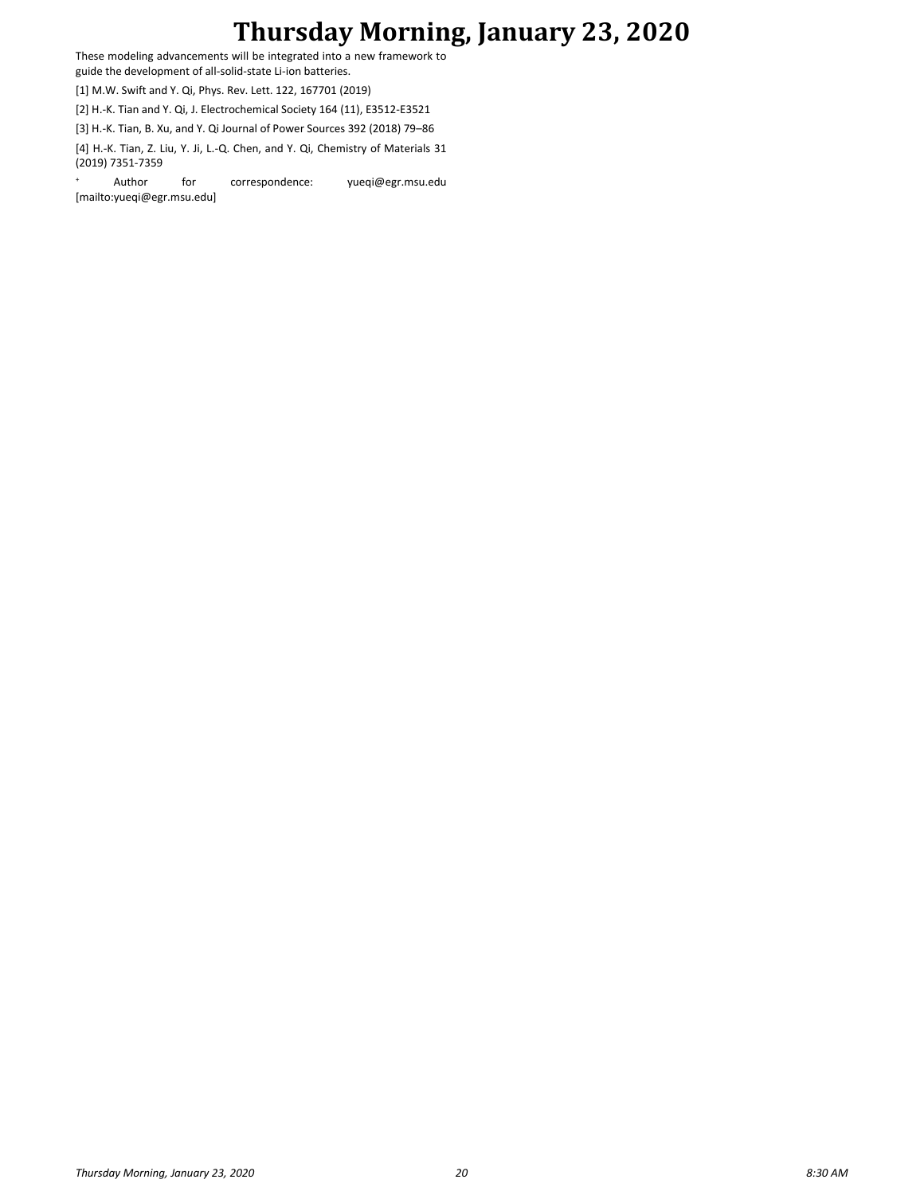# **Thursday Morning, January 23, 2020**

These modeling advancements will be integrated into a new framework to guide the development of all-solid-state Li-ion batteries.

[1] M.W. Swift and Y. Qi, Phys. Rev. Lett. 122, 167701 (2019)

[2] H.-K. Tian and Y. Qi, J. Electrochemical Society 164 (11), E3512-E3521

[3] H.-K. Tian, B. Xu, and Y. Qi Journal of Power Sources 392 (2018) 79–86

[4] H.-K. Tian, Z. Liu, Y. Ji, L.-Q. Chen, and Y. Qi, Chemistry of Materials 31 (2019) 7351-7359

Author for correspondence: yueqi@egr.msu.edu [mailto:yueqi@egr.msu.edu]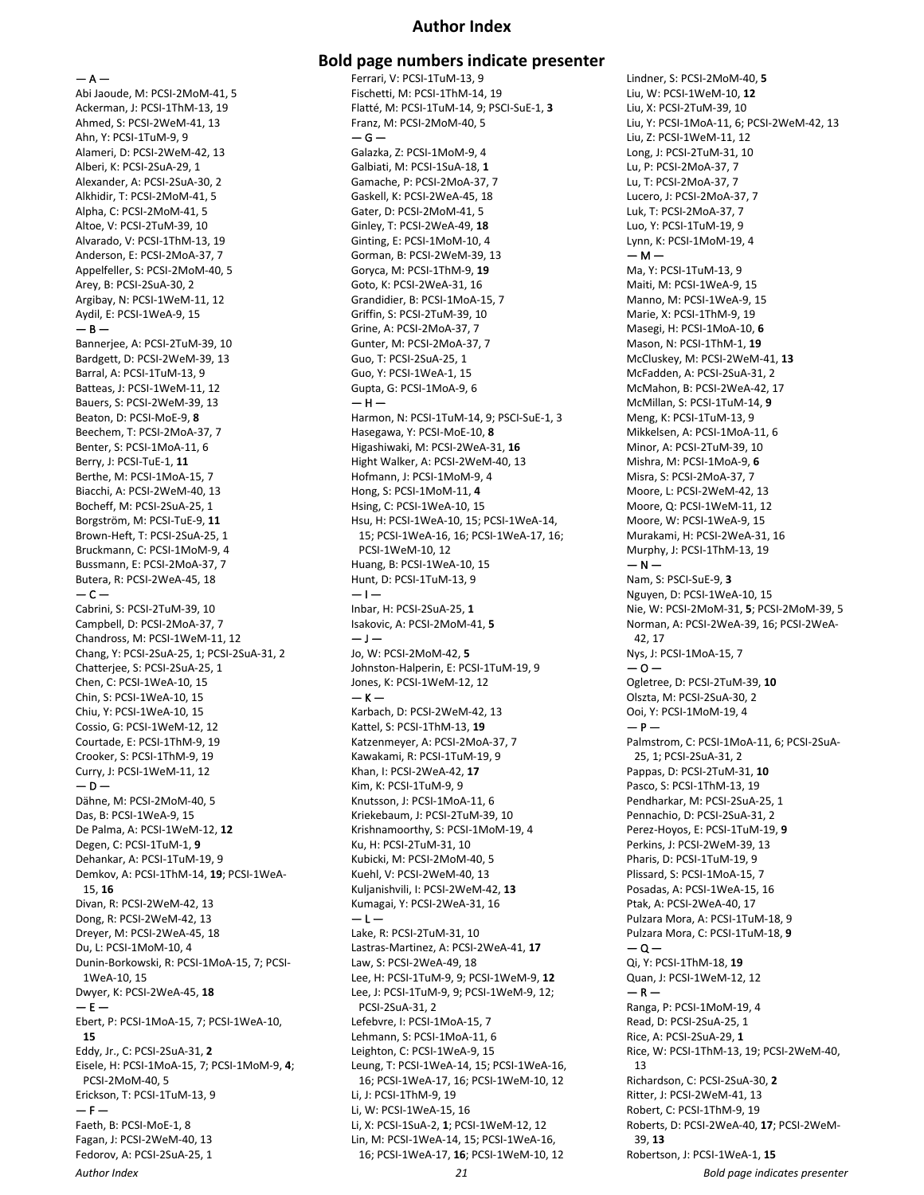#### **Author Index**

#### $- A -$

Abi Jaoude, M: PCSI-2MoM-41, 5 Ackerman, J: PCSI-1ThM-13, 19 Ahmed, S: PCSI-2WeM-41, 13 Ahn, Y: PCSI-1TuM-9, 9 Alameri, D: PCSI-2WeM-42, 13 Alberi, K: PCSI-2SuA-29, 1 Alexander, A: PCSI-2SuA-30, 2 Alkhidir, T: PCSI-2MoM-41, 5 Alpha, C: PCSI-2MoM-41, 5 Altoe, V: PCSI-2TuM-39, 10 Alvarado, V: PCSI-1ThM-13, 19 Anderson, E: PCSI-2MoA-37, 7 Appelfeller, S: PCSI-2MoM-40, 5 Arey, B: PCSI-2SuA-30, 2 Argibay, N: PCSI-1WeM-11, 12 Aydil, E: PCSI-1WeA-9, 15  $-$  B  $-$ Bannerjee, A: PCSI-2TuM-39, 10 Bardgett, D: PCSI-2WeM-39, 13 Barral, A: PCSI-1TuM-13, 9 Batteas, J: PCSI-1WeM-11, 12 Bauers, S: PCSI-2WeM-39, 13 Beaton, D: PCSI-MoE-9, **8** Beechem, T: PCSI-2MoA-37, 7 Benter, S: PCSI-1MoA-11, 6 Berry, J: PCSI-TuE-1, **11** Berthe, M: PCSI-1MoA-15, 7 Biacchi, A: PCSI-2WeM-40, 13 Bocheff, M: PCSI-2SuA-25, 1 Borgström, M: PCSI-TuE-9, **11** Brown-Heft, T: PCSI-2SuA-25, 1 Bruckmann, C: PCSI-1MoM-9, 4 Bussmann, E: PCSI-2MoA-37, 7 Butera, R: PCSI-2WeA-45, 18  $-$  C  $-$ Cabrini, S: PCSI-2TuM-39, 10 Campbell, D: PCSI-2MoA-37, 7 Chandross, M: PCSI-1WeM-11, 12 Chang, Y: PCSI-2SuA-25, 1; PCSI-2SuA-31, 2 Chatterjee, S: PCSI-2SuA-25, 1 Chen, C: PCSI-1WeA-10, 15 Chin, S: PCSI-1WeA-10, 15 Chiu, Y: PCSI-1WeA-10, 15 Cossio, G: PCSI-1WeM-12, 12 Courtade, E: PCSI-1ThM-9, 19 Crooker, S: PCSI-1ThM-9, 19 Curry, J: PCSI-1WeM-11, 12  $-$  D  $-$ Dähne, M: PCSI-2MoM-40, 5 Das, B: PCSI-1WeA-9, 15 De Palma, A: PCSI-1WeM-12, **12** Degen, C: PCSI-1TuM-1, **9** Dehankar, A: PCSI-1TuM-19, 9 Demkov, A: PCSI-1ThM-14, **19**; PCSI-1WeA-15, **16** Divan, R: PCSI-2WeM-42, 13 Dong, R: PCSI-2WeM-42, 13 Dreyer, M: PCSI-2WeA-45, 18 Du, L: PCSI-1MoM-10, 4 Dunin-Borkowski, R: PCSI-1MoA-15, 7; PCSI-1WeA-10, 15 Dwyer, K: PCSI-2WeA-45, **18**  $- E -$ Ebert, P: PCSI-1MoA-15, 7; PCSI-1WeA-10, **15** Eddy, Jr., C: PCSI-2SuA-31, **2** Eisele, H: PCSI-1MoA-15, 7; PCSI-1MoM-9, **4**; PCSI-2MoM-40, 5 Erickson, T: PCSI-1TuM-13, 9  $- F -$ Faeth, B: PCSI-MoE-1, 8 Fagan, J: PCSI-2WeM-40, 13 Fedorov, A: PCSI-2SuA-25, 1

### **Bold page numbers indicate presenter**

Ferrari, V: PCSI-1TuM-13, 9 Fischetti, M: PCSI-1ThM-14, 19 Flatté, M: PCSI-1TuM-14, 9; PSCI-SuE-1, **3** Franz, M: PCSI-2MoM-40, 5  $-$ Galazka, Z: PCSI-1MoM-9, 4 Galbiati, M: PCSI-1SuA-18, **1** Gamache, P: PCSI-2MoA-37, 7 Gaskell, K: PCSI-2WeA-45, 18 Gater, D: PCSI-2MoM-41, 5 Ginley, T: PCSI-2WeA-49, **18** Ginting, E: PCSI-1MoM-10, 4 Gorman, B: PCSI-2WeM-39, 13 Goryca, M: PCSI-1ThM-9, **19** Goto, K: PCSI-2WeA-31, 16 Grandidier, B: PCSI-1MoA-15, 7 Griffin, S: PCSI-2TuM-39, 10 Grine, A: PCSI-2MoA-37, 7 Gunter, M: PCSI-2MoA-37, 7 Guo, T: PCSI-2SuA-25, 1 Guo, Y: PCSI-1WeA-1, 15 Gupta, G: PCSI-1MoA-9, 6  $-$  H  $-$ Harmon, N: PCSI-1TuM-14, 9; PSCI-SuE-1, 3 Hasegawa, Y: PCSI-MoE-10, **8** Higashiwaki, M: PCSI-2WeA-31, **16** Hight Walker, A: PCSI-2WeM-40, 13 Hofmann, J: PCSI-1MoM-9, 4 Hong, S: PCSI-1MoM-11, **4** Hsing, C: PCSI-1WeA-10, 15 Hsu, H: PCSI-1WeA-10, 15; PCSI-1WeA-14, 15; PCSI-1WeA-16, 16; PCSI-1WeA-17, 16; PCSI-1WeM-10, 12 Huang, B: PCSI-1WeA-10, 15 Hunt, D: PCSI-1TuM-13, 9  $-1-$ Inbar, H: PCSI-2SuA-25, **1** Isakovic, A: PCSI-2MoM-41, **5**  $-1-$ Jo, W: PCSI-2MoM-42, **5** Johnston-Halperin, E: PCSI-1TuM-19, 9 Jones, K: PCSI-1WeM-12, 12  $-$  K  $-$ Karbach, D: PCSI-2WeM-42, 13 Kattel, S: PCSI-1ThM-13, **19** Katzenmeyer, A: PCSI-2MoA-37, 7 Kawakami, R: PCSI-1TuM-19, 9 Khan, I: PCSI-2WeA-42, **17** Kim, K: PCSI-1TuM-9, 9 Knutsson, J: PCSI-1MoA-11, 6 Kriekebaum, J: PCSI-2TuM-39, 10 Krishnamoorthy, S: PCSI-1MoM-19, 4 Ku, H: PCSI-2TuM-31, 10 Kubicki, M: PCSI-2MoM-40, 5 Kuehl, V: PCSI-2WeM-40, 13 Kuljanishvili, I: PCSI-2WeM-42, **13** Kumagai, Y: PCSI-2WeA-31, 16  $-1-$ Lake, R: PCSI-2TuM-31, 10 Lastras-Martinez, A: PCSI-2WeA-41, **17** Law, S: PCSI-2WeA-49, 18 Lee, H: PCSI-1TuM-9, 9; PCSI-1WeM-9, **12** Lee, J: PCSI-1TuM-9, 9; PCSI-1WeM-9, 12; PCSI-2SuA-31, 2 Lefebvre, I: PCSI-1MoA-15, 7 Lehmann, S: PCSI-1MoA-11, 6 Leighton, C: PCSI-1WeA-9, 15 Leung, T: PCSI-1WeA-14, 15; PCSI-1WeA-16, 16; PCSI-1WeA-17, 16; PCSI-1WeM-10, 12 Li, J: PCSI-1ThM-9, 19 Li, W: PCSI-1WeA-15, 16 Li, X: PCSI-1SuA-2, **1**; PCSI-1WeM-12, 12 Lin, M: PCSI-1WeA-14, 15; PCSI-1WeA-16, 16; PCSI-1WeA-17, **16**; PCSI-1WeM-10, 12 Lindner, S: PCSI-2MoM-40, **5** Liu, W: PCSI-1WeM-10, **12** Liu, X: PCSI-2TuM-39, 10 Liu, Y: PCSI-1MoA-11, 6; PCSI-2WeM-42, 13 Liu, Z: PCSI-1WeM-11, 12 Long, J: PCSI-2TuM-31, 10 Lu, P: PCSI-2MoA-37, 7 Lu, T: PCSI-2MoA-37, 7 Lucero, J: PCSI-2MoA-37, 7 Luk, T: PCSI-2MoA-37, 7 Luo, Y: PCSI-1TuM-19, 9 Lynn, K: PCSI-1MoM-19, 4  $- M -$ Ma, Y: PCSI-1TuM-13, 9 Maiti, M: PCSI-1WeA-9, 15 Manno, M: PCSI-1WeA-9, 15 Marie, X: PCSI-1ThM-9, 19 Masegi, H: PCSI-1MoA-10, **6** Mason, N: PCSI-1ThM-1, **19** McCluskey, M: PCSI-2WeM-41, **13** McFadden, A: PCSI-2SuA-31, 2 McMahon, B: PCSI-2WeA-42, 17 McMillan, S: PCSI-1TuM-14, **9** Meng, K: PCSI-1TuM-13, 9 Mikkelsen, A: PCSI-1MoA-11, 6 Minor, A: PCSI-2TuM-39, 10 Mishra, M: PCSI-1MoA-9, **6** Misra, S: PCSI-2MoA-37, 7 Moore, L: PCSI-2WeM-42, 13 Moore, Q: PCSI-1WeM-11, 12 Moore, W: PCSI-1WeA-9, 15 Murakami, H: PCSI-2WeA-31, 16 Murphy, J: PCSI-1ThM-13, 19  $- N -$ Nam, S: PSCI-SuE-9, **3** Nguyen, D: PCSI-1WeA-10, 15 Nie, W: PCSI-2MoM-31, **5**; PCSI-2MoM-39, 5 Norman, A: PCSI-2WeA-39, 16; PCSI-2WeA-42, 17 Nys, J: PCSI-1MoA-15, 7 — O — Ogletree, D: PCSI-2TuM-39, **10** Olszta, M: PCSI-2SuA-30, 2 Ooi, Y: PCSI-1MoM-19, 4  $- P -$ Palmstrom, C: PCSI-1MoA-11, 6; PCSI-2SuA-25, 1; PCSI-2SuA-31, 2 Pappas, D: PCSI-2TuM-31, **10** Pasco, S: PCSI-1ThM-13, 19 Pendharkar, M: PCSI-2SuA-25, 1 Pennachio, D: PCSI-2SuA-31, 2 Perez-Hoyos, E: PCSI-1TuM-19, **9** Perkins, J: PCSI-2WeM-39, 13 Pharis, D: PCSI-1TuM-19, 9 Plissard, S: PCSI-1MoA-15, 7 Posadas, A: PCSI-1WeA-15, 16 Ptak, A: PCSI-2WeA-40, 17 Pulzara Mora, A: PCSI-1TuM-18, 9 Pulzara Mora, C: PCSI-1TuM-18, **9**  $-\alpha -$ Qi, Y: PCSI-1ThM-18, **19** Quan, J: PCSI-1WeM-12, 12  $- R -$ Ranga, P: PCSI-1MoM-19, 4 Read, D: PCSI-2SuA-25, 1 Rice, A: PCSI-2SuA-29, **1** Rice, W: PCSI-1ThM-13, 19; PCSI-2WeM-40, 13 Richardson, C: PCSI-2SuA-30, **2** Ritter, J: PCSI-2WeM-41, 13 Robert, C: PCSI-1ThM-9, 19 Roberts, D: PCSI-2WeA-40, **17**; PCSI-2WeM-39, **13** Robertson, J: PCSI-1WeA-1, **15**